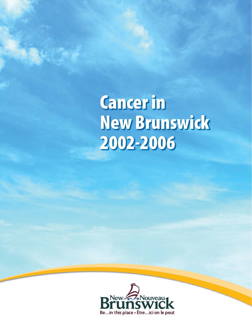**Cancer in New Brunswick 2002-2006**

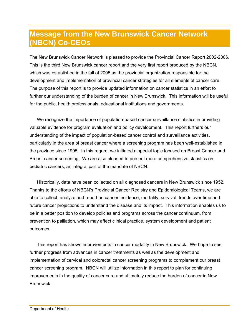## **Message from the New Brunswick Cancer Network (NBCN) Co-CEOs**

The New Brunswick Cancer Network is pleased to provide the Provincial Cancer Report 2002-2006. This is the third New Brunswick cancer report and the very first report produced by the NBCN, which was established in the fall of 2005 as the provincial organization responsible for the development and implementation of provincial cancer strategies for all elements of cancer care. The purpose of this report is to provide updated information on cancer statistics in an effort to further our understanding of the burden of cancer in New Brunswick. This information will be useful for the public, health professionals, educational institutions and governments.

We recognize the importance of population-based cancer surveillance statistics in providing valuable evidence for program evaluation and policy development. This report furthers our understanding of the impact of population-based cancer control and surveillance activities, particularly in the area of breast cancer where a screening program has been well-established in the province since 1995. In this regard, we initiated a special topic focused on Breast Cancer and Breast cancer screening. We are also pleased to present more comprehensive statistics on pediatric cancers, an integral part of the mandate of NBCN.

Historically, data have been collected on all diagnosed cancers in New Brunswick since 1952. Thanks to the efforts of NBCN's Provincial Cancer Registry and Epidemiological Teams, we are able to collect, analyze and report on cancer incidence, mortality, survival, trends over time and future cancer projections to understand the disease and its impact. This information enables us to be in a better position to develop policies and programs across the cancer continuum, from prevention to palliation, which may affect clinical practice, system development and patient outcomes.

This report has shown improvements in cancer mortality in New Brunswick. We hope to see further progress from advances in cancer treatments as well as the development and implementation of cervical and colorectal cancer screening programs to complement our breast cancer screening program. NBCN will utilize information in this report to plan for continuing improvements in the quality of cancer care and ultimately reduce the burden of cancer in New Brunswick.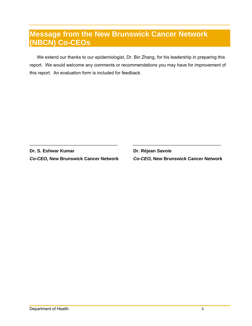## **Message from the New Brunswick Cancer Network (NBCN) Co-CEOs**

We extend our thanks to our epidemiologist, Dr. Bin Zhang, for his leadership in preparing this report. We would welcome any comments or recommendations you may have for improvement of this report. An evaluation form is included for feedback.

 $\_$ 

**Dr. S. Eshwar Kumar Change and Br. Réjean Savoie br. Réjean** *Co-CEO,* **New Brunswick Cancer Network** *Co-CEO,* **New Brunswick Cancer Network**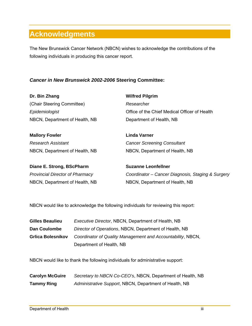# **Acknowledgments**

The New Brunswick Cancer Network (NBCN) wishes to acknowledge the contributions of the following individuals in producing this cancer report.

### *Cancer in New Brunswick 2002-2006* **Steering Committee:**

| Dr. Bin Zhang                          | <b>Wilfred Pilgrim</b>                            |
|----------------------------------------|---------------------------------------------------|
| (Chair Steering Committee)             | Researcher                                        |
| Epidemiologist                         | Office of the Chief Medical Officer of Health     |
| NBCN, Department of Health, NB         | Department of Health, NB                          |
| <b>Mallory Fowler</b>                  | Linda Varner                                      |
| Research Assistant                     | <b>Cancer Screening Consultant</b>                |
| NBCN, Department of Health, NB         | NBCN, Department of Health, NB                    |
| Diane E. Strong, BScPharm              | <b>Suzanne Leonfellner</b>                        |
| <b>Provincial Director of Pharmacy</b> | Coordinator – Cancer Diagnosis, Staging & Surgery |
| NBCN, Department of Health, NB         | NBCN, Department of Health, NB                    |
|                                        |                                                   |

NBCN would like to acknowledge the following individuals for reviewing this report:

| <b>Gilles Beaulieu</b>   | <i>Executive Director, NBCN, Department of Health, NB</i>   |
|--------------------------|-------------------------------------------------------------|
| <b>Dan Coulombe</b>      | Director of Operations, NBCN, Department of Health, NB      |
| <b>Grlica Bolesnikov</b> | Coordinator of Quality Management and Accountability, NBCN, |
|                          | Department of Health, NB                                    |

NBCN would like to thank the following individuals for administrative support:

| <b>Carolyn McGuire</b> | Secretary to NBCN Co-CEO's, NBCN, Department of Health, NB |
|------------------------|------------------------------------------------------------|
| <b>Tammy Ring</b>      | Administrative Support, NBCN, Department of Health, NB     |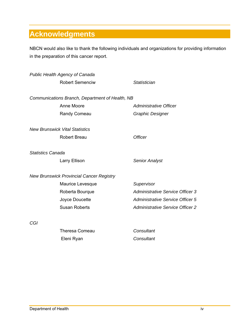# **Acknowledgments**

NBCN would also like to thank the following individuals and organizations for providing information in the preparation of this cancer report.

|                          | <b>Public Health Agency of Canada</b>           |                                         |
|--------------------------|-------------------------------------------------|-----------------------------------------|
|                          | <b>Robert Semenciw</b>                          | Statistician                            |
|                          | Communications Branch, Department of Health, NB |                                         |
|                          | Anne Moore                                      | Administrative Officer                  |
|                          | Randy Comeau                                    | <b>Graphic Designer</b>                 |
|                          | <b>New Brunswick Vital Statistics</b>           |                                         |
|                          | <b>Robert Breau</b>                             | <b>Officer</b>                          |
| <b>Statistics Canada</b> |                                                 |                                         |
|                          | Larry Ellison                                   | <b>Senior Analyst</b>                   |
|                          | <b>New Brunswick Provincial Cancer Registry</b> |                                         |
|                          | Maurice Levesque                                | Supervisor                              |
|                          | Roberta Bourque                                 | <b>Administrative Service Officer 3</b> |
|                          | Joyce Doucette                                  | <b>Administrative Service Officer 5</b> |
|                          | <b>Susan Roberts</b>                            | <b>Administrative Service Officer 2</b> |
| CGI                      |                                                 |                                         |
|                          | <b>Theresa Comeau</b>                           | Consultant                              |
|                          | Eleni Ryan                                      | Consultant                              |
|                          |                                                 |                                         |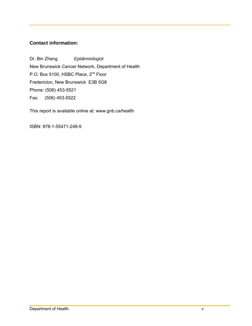### **Contact information:**

Dr. Bin Zhang *Epidemiologist*  New Brunswick Cancer Network, Department of Health P.O. Box 5100, HSBC Place, 2<sup>nd</sup> Floor Fredericton, New Brunswick E3B 5G8 Phone: (506) 453-5521 Fax: (506) 453-5522

This report is available online at: www.gnb.ca/health

ISBN: 978-1-55471-248-9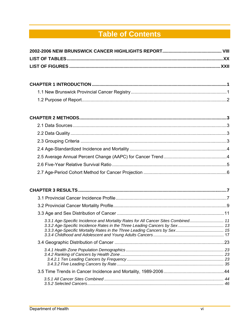# **Table of Contents**

| 3.3.1 Age-Specific Incidence and Mortality Rates for All Cancer Sites Combined 11 |  |
|-----------------------------------------------------------------------------------|--|
|                                                                                   |  |
|                                                                                   |  |
|                                                                                   |  |
|                                                                                   |  |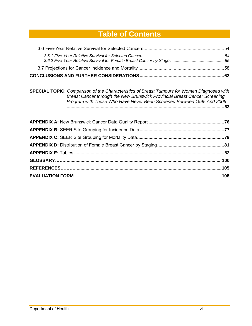# **Table of Contents**

| <b>SPECIAL TOPIC:</b> Comparison of the Characteristics of Breast Tumours for Women Diagnosed with<br>Breast Cancer through the New Brunswick Provincial Breast Cancer Screening<br>Program with Those Who Have Never Been Screened Between 1995 And 2006 |
|-----------------------------------------------------------------------------------------------------------------------------------------------------------------------------------------------------------------------------------------------------------|
|                                                                                                                                                                                                                                                           |
|                                                                                                                                                                                                                                                           |
|                                                                                                                                                                                                                                                           |
|                                                                                                                                                                                                                                                           |
|                                                                                                                                                                                                                                                           |
|                                                                                                                                                                                                                                                           |
|                                                                                                                                                                                                                                                           |

**EVALUATION FORM .....................................................................................................................108**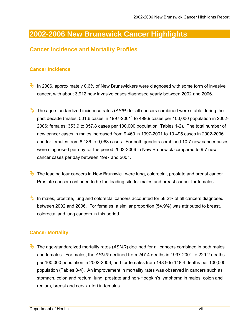## **Cancer Incidence and Mortality Profiles**

### **Cancer Incidence**

- In 2006, approximately 0.6% of New Brunswickers were diagnosed with some form of invasive cancer, with about 3,912 new invasive cases diagnosed yearly between 2002 and 2006.
- $\rightarrow$  The age-standardized incidence rates (ASIR) for all cancers combined were stable during the past decade (males: 501.6 cases in 1997-2001<sup>1</sup> to 499.9 cases per 100,000 population in 2002-2006; females: 353.9 to 357.8 cases per 100,000 population; Tables 1-2). The total number of new cancer cases in males increased from 9,460 in 1997-2001 to 10,495 cases in 2002-2006 and for females from 8,186 to 9,063 cases. For both genders combined 10.7 new cancer cases were diagnosed per day for the period 2002-2006 in New Brunswick compared to 9.7 new cancer cases per day between 1997 and 2001.
- $\mathbb{Q}$  The leading four cancers in New Brunswick were lung, colorectal, prostate and breast cancer. Prostate cancer continued to be the leading site for males and breast cancer for females.
- In males, prostate, lung and colorectal cancers accounted for 58.2% of all cancers diagnosed between 2002 and 2006. For females, a similar proportion (54.9%) was attributed to breast, colorectal and lung cancers in this period.

## **Cancer Mortality**

The age-standardized mortality rates (ASMR) declined for all cancers combined in both males and females. For males, the *ASMR* declined from 247.4 deaths in 1997-2001 to 229.2 deaths per 100,000 population in 2002-2006, and for females from 148.9 to 148.4 deaths per 100,000 population (Tables 3-4). An improvement in mortality rates was observed in cancers such as stomach, colon and rectum, lung, prostate and non-Hodgkin's lymphoma in males; colon and rectum, breast and cervix uteri in females.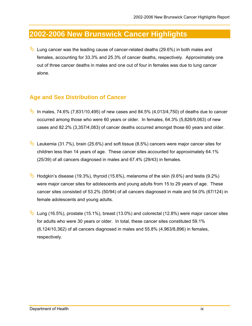Lung cancer was the leading cause of cancer-related deaths (29.6%) in both males and females, accounting for 33.3% and 25.3% of cancer deaths, respectively. Approximately one out of three cancer deaths in males and one out of four in females was due to lung cancer alone.

## **Age and Sex Distribution of Cancer**

- In males, 74.6% (7,831/10,495) of new cases and 84.5% (4,013/4,750) of deaths due to cancer occurred among those who were 60 years or older. In females, 64.3% (5,826/9,063) of new cases and 82.2% (3,357/4,083) of cancer deaths occurred amongst those 60 years and older.
- Leukemia (31.7%), brain (25.6%) and soft tissue (8.5%) cancers were major cancer sites for children less than 14 years of age. These cancer sites accounted for approximately 64.1% (25/39) of all cancers diagnosed in males and 67.4% (29/43) in females.
- $\rightarrow$  Hodgkin's disease (19.3%), thyroid (15.6%), melanoma of the skin (9.6%) and testis (9.2%) were major cancer sites for adolescents and young adults from 15 to 29 years of age. These cancer sites consisted of 53.2% (50/94) of all cancers diagnosed in male and 54.0% (67/124) in female adolescents and young adults.
- Lung (16.5%), prostate (15.1%), breast (13.0%) and colorectal (12.8%) were major cancer sites for adults who were 30 years or older. In total, these cancer sites constituted 59.1% (6,124/10,362) of all cancers diagnosed in males and 55.8% (4,963/8,896) in females, respectively.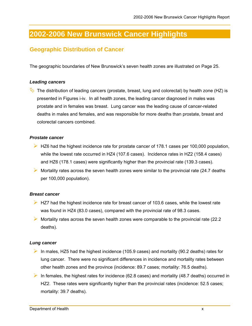## **Geographic Distribution of Cancer**

The geographic boundaries of New Brunswick's seven health zones are illustrated on Page 25.

#### *Leading cancers*

The distribution of leading cancers (prostate, breast, lung and colorectal) by health zone (HZ) is presented in Figures i-iv. In all health zones, the leading cancer diagnosed in males was prostate and in females was breast. Lung cancer was the leading cause of cancer-related deaths in males and females, and was responsible for more deaths than prostate, breast and colorectal cancers combined.

#### *Prostate cancer*

- $\triangleright$  HZ6 had the highest incidence rate for prostate cancer of 178.1 cases per 100,000 population, while the lowest rate occurred in HZ4 (107.6 cases). Incidence rates in HZ2 (158.4 cases) and HZ6 (178.1 cases) were significantly higher than the provincial rate (139.3 cases).
- $\triangleright$  Mortality rates across the seven health zones were similar to the provincial rate (24.7 deaths) per 100,000 population).

#### *Breast cancer*

- $\triangleright$  HZ7 had the highest incidence rate for breast cancer of 103.6 cases, while the lowest rate was found in HZ4 (83.0 cases), compared with the provincial rate of 98.3 cases.
- $\triangleright$  Mortality rates across the seven health zones were comparable to the provincial rate (22.2) deaths).

#### *Lung cancer*

- In males, HZ5 had the highest incidence (105.9 cases) and mortality (90.2 deaths) rates for lung cancer. There were no significant differences in incidence and mortality rates between other health zones and the province (incidence: 89.7 cases; mortality: 76.5 deaths).
- In females, the highest rates for incidence (62.8 cases) and mortality (48.7 deaths) occurred in HZ2. These rates were significantly higher than the provincial rates (incidence: 52.5 cases; mortality: 39.7 deaths).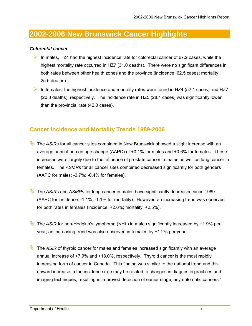#### *Colorectal cancer*

- In males, HZ4 had the highest incidence rate for colorectal cancer of 67.2 cases, while the highest mortality rate occurred in HZ7 (31.0 deaths). There were no significant differences in both rates between other health zones and the province (incidence: 62.5 cases; mortality: 25.5 deaths).
- In females, the highest incidence and mortality rates were found in HZ4 (52.1 cases) and HZ7 (20.3 deaths), respectively. The incidence rate in HZ5 (28.4 cases) was significantly lower than the provincial rate (42.0 cases).

## **Cancer Incidence and Mortality Trends 1989-2006**

- The *ASIRs* for all cancer sites combined in New Brunswick showed a slight increase with an average annual percentage change (AAPC) of +0.1% for males and +0.6% for females. These increases were largely due to the influence of prostate cancer in males as well as lung cancer in females. The *ASMRs* for all cancer sites combined decreased significantly for both genders (AAPC for males: -0.7%; -0.4% for females).
- The *ASIRs* and *ASMRs* for lung cancer in males have significantly decreased since 1989 (AAPC for incidence: -1.1%; -1.1% for mortality). However, an increasing trend was observed for both rates in females (incidence: +2.6%; mortality: +2.5%).
- The *ASIR* for non-Hodgkin's lymphoma (NHL) in males significantly increased by +1.9% per year; an increasing trend was also observed in females by +1.2% per year.
- The *ASIR* of thyroid cancer for males and females increased significantly with an average annual increase of +7.9% and +18.0%, respectively. Thyroid cancer is the most rapidly increasing form of cancer in Canada. This finding was similar to the national trend and this upward increase in the incidence rate may be related to changes in diagnostic practices and imaging techniques, resulting in improved detection of earlier stage, asymptomatic cancers.<sup>2</sup>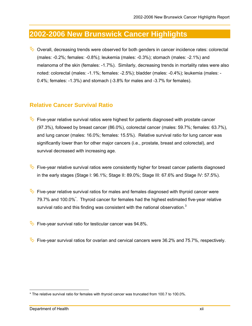$\&$  Overall, decreasing trends were observed for both genders in cancer incidence rates: colorectal (males: -0.2%; females: -0.8%); leukemia (males: -0.3%); stomach (males: -2.1%) and melanoma of the skin (females: -1.7%). Similarly, decreasing trends in mortality rates were also noted: colorectal (males: -1.1%; females: -2.5%); bladder (males: -0.4%); leukemia (males: - 0.4%; females: -1.3%) and stomach (-3.8% for males and -3.7% for females).

## **Relative Cancer Survival Ratio**

- Five-year relative survival ratios were highest for patients diagnosed with prostate cancer (97.3%), followed by breast cancer (86.0%), colorectal cancer (males: 59.7%; females: 63.7%), and lung cancer (males: 16.0%; females: 15.5%). Relative survival ratio for lung cancer was significantly lower than for other major cancers (i.e., prostate, breast and colorectal), and survival decreased with increasing age.
- Five-year relative survival ratios were consistently higher for breast cancer patients diagnosed in the early stages (Stage I: 96.1%; Stage II: 89.0%; Stage III: 67.6% and Stage IV: 57.5%).
- Five-year relative survival ratios for males and females diagnosed with thyroid cancer were 79.7% and 100.0%<sup>\*</sup>. Thyroid cancer for females had the highest estimated five-year relative survival ratio and this finding was consistent with the national observation. $3$
- Five-year survival ratio for testicular cancer was 94.8%.
- Five-year survival ratios for ovarian and cervical cancers were 36.2% and 75.7%, respectively.

 $\overline{a}$ \* The relative survival ratio for females with thyroid cancer was truncated from 100.7 to 100.0%.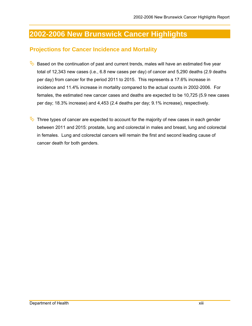## **Projections for Cancer Incidence and Mortality**

- Based on the continuation of past and current trends, males will have an estimated five year total of 12,343 new cases (i.e., 6.8 new cases per day) of cancer and 5,290 deaths (2.9 deaths per day) from cancer for the period 2011 to 2015. This represents a 17.6% increase in incidence and 11.4% increase in mortality compared to the actual counts in 2002-2006. For females, the estimated new cancer cases and deaths are expected to be 10,725 (5.9 new cases per day; 18.3% increase) and 4,453 (2.4 deaths per day; 9.1% increase), respectively.
- Three types of cancer are expected to account for the majority of new cases in each gender between 2011 and 2015: prostate, lung and colorectal in males and breast, lung and colorectal in females. Lung and colorectal cancers will remain the first and second leading cause of cancer death for both genders.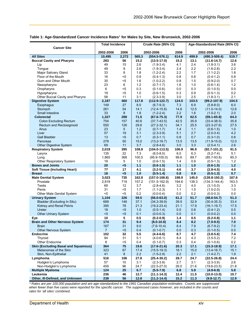|  |  | Table 1: Age-Standardized Cancer Incidence Rates* for Males by Site, New Brunswick, 2002-2006 |
|--|--|-----------------------------------------------------------------------------------------------|
|--|--|-----------------------------------------------------------------------------------------------|

|                                              | <b>Total Incidence</b> |         | Crude Rate (95% CI) |                                 | Age-Standardized Rate (95% CI) |            |                                |            |  |
|----------------------------------------------|------------------------|---------|---------------------|---------------------------------|--------------------------------|------------|--------------------------------|------------|--|
| <b>Cancer Site</b>                           | 2002-2006              | 2006    |                     | 2002-2006<br>2006               |                                |            | 2002-2006<br>2006              |            |  |
| <b>All Sites</b>                             | 10,495                 | 2,272   | 565.3               | $(554.5 - 576.1)$               | 614.9                          | 499.9      | $(490.3 - 509.4)$              | 519.7      |  |
| <b>Buccal Cavity and Pharynx</b>             | 283                    | 56      | 15.2                | $(13.5 - 17.0)$                 | 15.2                           | 13.1       | $(11.6 - 14.7)$                | 12.6       |  |
| Lip                                          | 49                     | 15      | 2.6                 | $(1.9-3.4)$                     | 4.1                            | 2.4        | $(1.8-3.1)$                    | 3.6        |  |
| Tongue                                       | 49                     | 9       | 2.6                 | $(1.9-3.4)$                     | 2.4                            | 2.2        | $(1.6-2.8)$                    | 2.2        |  |
| Major Salivary Gland                         | 33                     | 8       | 1.8                 | $(1.2 - 2.4)$                   | 2.2                            | 1.7        | $(1.1 - 2.2)$                  | 1.8        |  |
| Floor of the Mouth                           | 16                     | <5      | 0.9                 | $(0.4-1.3)$                     | 0.8                            | 0.8        | $(0.4-1.2)$                    | 0.8        |  |
| Gum and Other Mouth                          | 30                     | $5$     | 1.6                 | $(1.0 - 2.2)$                   | 0.8                            | 1.5        | $(0.9 - 2.0)$                  | 0.7        |  |
| Nasopharynx                                  | 23                     | 6       | 1.2                 | $(0.7 - 1.7)$                   | 1.6                            | 1.0        | $(0.6-1.4)$                    | 1.2        |  |
| Oropharynx                                   | 6                      | <5      | 0.3                 | $(0.1 - 0.6)$                   | 0.0                            | 0.3        | $(0.1 - 0.5)$                  | 0.0        |  |
| Hypopharynx                                  | 19                     | $5$     | 1.0                 | $(0.6-1.5)$                     | 0.3                            | 0.9        | $(0.5-1.3)$                    | 0.2        |  |
| Other Buccal Cavity and Pharynx              | 58                     | 11      | 3.1                 | $(2.3 - 3.9)$                   | 3.0                            | 2.5        | $(1.8-3.1)$                    | 2.1        |  |
| <b>Digestive System</b>                      | 2,187                  | 460     | 117.8               | $(112.9 - 122.7)$               | 124.5                          | 103.5      | $(99.2 - 107.9)$               | 104.5      |  |
| Esophagus                                    | 149                    | 27      | 8.0                 | $(6.7-9.3)$                     | 7.3                            | 6.9        | $(5.8 - 8.0)$                  | 6.0        |  |
| Stomach                                      | 261                    | 54      | 14.1                | $(12.4 - 15.8)$                 | 14.6                           | 12.5       | $(11.0 - 14.0)$                | 12.6       |  |
| <b>Small Intestine</b>                       | 33                     | 8       | 1.8                 | $(1.2 - 2.4)$                   | 2.2                            | 1.6        | $(1.0-2.1)$                    | 2.0        |  |
| <b>Colorectal</b>                            | 1,327                  | 288     | 71.5                | $(67.6 - 75.3)$                 | 77.9                           | 62.5       | $(59.1 - 65.8)$                | 64.3       |  |
| Colon Excluding Rectum                       | 754                    | 157     | 40.6                | $(37.7 - 43.5)$                 | 42.5                           | 35.9       | $(33.4 - 38.5)$                | 35.8       |  |
| Rectum and Rectosigmoid                      | 550                    | 126     | 29.6                | $(27.2 - 32.1)$                 | 34.1                           | 25.5       | $(23.3 - 27.6)$                | 27.5       |  |
| Anus                                         | 23                     | 5       | 1.2                 | $(0.7-1.7)$                     | 1.4                            | 1.1        | $(0.6-1.5)$                    | 1.0        |  |
| Liver                                        | 57                     | 19      | 3.1                 | $(2.3 - 3.9)$                   | 5.1                            | 2.7        | $(2.0-3.4)$                    | 4.2        |  |
| <b>Gall Bladder</b>                          | 13                     | $5$     | 0.7                 | $(0.3 - 1.1)$                   | 0.8                            | 0.7        | $(0.3 - 1.0)$                  | 0.8        |  |
| Pancreas                                     | 278                    | 50      | 15.0                | $(13.2 - 16.7)$                 | 13.5                           | 13.5       | $(11.9 - 15.0)$                | 12.0       |  |
| <b>Other Digestive System</b>                | 69                     | 11      | 3.7                 | $(2.8-4.6)$                     | 3.0                            | 3.3        | $(2.5 - 4.1)$                  | 2.6        |  |
| <b>Respiratory System</b>                    | 2,019                  | 395     | 108.8               | $(104.0 - 113.5)$               | 106.9                          | 96.9       | $(92.7 - 101.2)$               | 91.5       |  |
| Larynx                                       | 135                    | 22      | 7.3                 | $(6.0 - 8.5)$                   | 6.0                            | 6.3        | $(5.2 - 7.4)$                  | 5.1        |  |
| Lung                                         | 1,865                  | 368     | 100.5               | $(95.9 - 105.0)$                | 99.6                           | 89.7       | $(85.7 - 93.8)$                | 85.3       |  |
| Other Respiratory System                     | 19                     | 5       | 1.0                 | $(0.6-1.5)$                     | 1.4                            | 0.9        | $(0.5-1.3)$                    | 1.2        |  |
| <b>Bones and Joints</b>                      | 20                     | $5$     | 1.1                 | $(0.6 - 1.5)$                   | 1.1                            | 1.0        | $(0.6 - 1.5)$                  | $1.2$      |  |
| <b>Soft Tissue (Including Heart)</b>         | 77                     | 17      | 4.1                 | $(3.2 - 5.1)$                   | 4.6                            | 3.7        | $(2.8 - 4.5)$                  | 4.0        |  |
| <b>Breast</b>                                | 18                     | $5$     | 1.0                 | $(0.5-1.4)$                     | 0.8                            | 0.9        | $(0.5-1.3)$                    | 0.7        |  |
| <b>Male Genital System</b>                   | 3,023                  | 735     | 162.8               | $(157.0 - 168.6)$               | 198.9                          | 145.0      | $(139.8 - 150.2)$              | 167.6      |  |
| Prostate                                     | 2,919                  | 719     | 157.2               | $(151.5 - 162.9)$               | 194.6                          | 139.3      | $(134.3 - 144.4)$              | 163.3      |  |
| Testis                                       | 69                     | 12      | 3.7                 | $(2.8-4.6)$                     | 3.2                            | 4.0        | $(3.1 - 5.0)$                  | 3.3        |  |
| Penis                                        | 31                     | <5      | 1.7                 | $(1.1 - 2.3)$                   | 1.1                            | 1.5        | $(1.0 - 2.0)$                  | 1.0        |  |
| Other Male Genital System                    | $5$                    | $5$     | 0.2                 | $(0.0 - 0.4)$                   | 0.0                            | 0.2        | $(0.0 - 0.3)$                  | 0.0        |  |
| <b>Urinary System</b>                        | 1,104                  | 226     | 59.5                | $(56.0 - 63.0)$                 | 61.2                           | 51.7       | $(48.6 - 54.7)$                | 51.3       |  |
| Bladder (Excluding In Situ)                  | 689                    | 146     | 37.1                | $(34.3 - 39.9)$                 | 39.5                           | 32.9       | $(30.4 - 35.3)$                | 33.4       |  |
| Kidney and Renal Pelvis                      | 395                    | 78      | 21.3                | $(19.2 - 23.4)$                 | 21.1                           | 17.9       | $(16.1 - 19.7)$                | 17.5       |  |
| Ureter                                       | 18<br>$5$              | $5$     | 1.0<br>0.1          | $(0.5 - 1.4)$                   | 0.5                            | 0.8        | $(0.4-1.2)$                    | 0.5        |  |
| Other Urinary System                         | 10                     | <5<br>5 | 0.5                 | $(0.0 - 0.3)$                   | 0.0<br>1.4                     | 0.1<br>0.5 | $(0.0 - 0.2)$<br>$(0.2 - 0.8)$ | 0.0<br>1.1 |  |
| Eye<br><b>Brain and Other Nervous System</b> | 174                    | 31      | 9.4                 | $(0.2 - 0.9)$<br>$(8.0 - 10.8)$ | 8.4                            | 8.2        | $(7.0 - 9.5)$                  | 7.0        |  |
|                                              | 167                    | 31      | 9.0                 | $(7.6-10.4)$                    | 8.4                            | 7.9        | $(6.7-9.2)$                    | $7.0\,$    |  |
| <b>Brain</b><br><b>Other Nervous System</b>  | $\overline{7}$         | $5$     | 0.4                 | $(0.1 - 0.7)$                   | 0.0                            | 0.3        | $(0.1 - 0.5)$                  | 0.0        |  |
| <b>Endocrine</b>                             | 102                    | 32      | 5.5                 | $(4.4 - 6.6)$                   | 8.7                            | 4.7        | $(3.8 - 5.6)$                  | 7.4        |  |
| Thyroid                                      | 94                     | 31      | 5.1                 | $(4.0 - 6.1)$                   | 8.4                            | 4.3        | $(3.5 - 5.2)$                  | 7.2        |  |
| Other Endocrine                              | 8                      | <5      | 0.4                 | $(0.1 - 0.7)$                   | 0.3                            | 0.4        | $(0.1 - 0.6)$                  | 0.2        |  |
| <b>Skin (Excluding Basal and Squamous)</b>   | 364                    | 75      | 19.6                | $(17.6 - 21.6)$                 | 20.3                           | 17.1       | $(15.3 - 18.9)$                | 17.1       |  |
| Melanomas of the Skin                        | 323                    | 67      | 17.4                | $(15.5 - 19.3)$                 | 18.1                           | 15.0       | $(13.4 - 16.7)$                | 15.1       |  |
| Skin, Non-Epithelial                         | 41                     | 8       | 2.2                 | $(1.5-2.9)$                     | 2.2                            | 2.1        | $(1.4 - 2.7)$                  | 1.9        |  |
| Lymphoma                                     | 516                    | 106     | 27.8                | $(25.4 - 30.2)$                 | 28.7                           | 24.7       | $(22.5 - 26.8)$                | 24.4       |  |
| Hodgkin's Lymphoma                           | 57                     | 10      | 3.1                 | $(2.3 - 3.9)$                   | 2.7                            | 3.1        | $(2.3-3.9)$                    | 2.6        |  |
| Non-Hodgkin's Lymphoma                       | 459                    | 96      | 24.7                | $(22.5 - 27.0)$                 | 26.0                           | 21.6       | $(19.6 - 23.5)$                | 21.8       |  |
| <b>Multiple Myeloma</b>                      | 124                    | 25      | 6.7                 | $(5.5 - 7.9)$                   | 6.8                            | 5.9        | $(4.9 - 6.9)$                  | 5.8        |  |
| Leukemia                                     | 236                    | 46      | 12.7                | $(11.1 - 14.3)$                 | 12.4                           | 11.5       | $(10.0 - 13.0)$                | 10.7       |  |
| Other, III-Defined, and Unknown              | 238                    | 56      | 12.8                | $(11.2 - 14.4)$                 | 15.2                           | 11.3       | $(9.8 - 12.7)$                 | 12.9       |  |

*\* Rates are per 100,000 population and are age-standardized to the 1991 Canadian population estimates. Counts are suppressed when fewer than five cases were reported for the specific cancer. The suppressed cases however, are included in the counts and rates for 'all sites' combined.*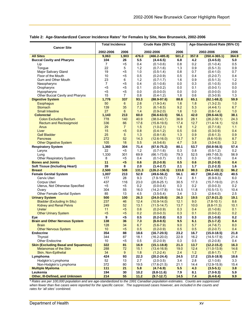|                                                      | <b>Total Incidence</b> |                | Crude Rate (95% CI)                                     |                                  |             | Age-Standardized Rate (95% CI)          |                                  |             |
|------------------------------------------------------|------------------------|----------------|---------------------------------------------------------|----------------------------------|-------------|-----------------------------------------|----------------------------------|-------------|
| <b>Cancer Site</b>                                   | 2002-2006              |                |                                                         |                                  |             | 2006                                    |                                  |             |
| <b>All Sites</b>                                     | 9,063                  | 1,903          | 2006<br>2002-2006<br>2006<br>476.0<br>$(466.2 - 485.8)$ |                                  | 501.2       | 2002-2006<br>357.8<br>$(350.4 - 365.1)$ |                                  | 364.9       |
| <b>Buccal Cavity and Pharynx</b>                     | 104                    | 26             | 5.5                                                     | $(4.4 - 6.5)$                    | 6.8         | 4.2                                     | $(3.4 - 5.0)$                    | 5.0         |
| Lip                                                  | $\overline{7}$         | $5$            | 0.4                                                     | $(0.1 - 0.6)$                    | 0.8         | 0.2                                     | $(0.1 - 0.4)$                    | 0.5         |
| Tongue                                               | 22                     | 5              | 1.2                                                     | $(0.7-1.6)$                      | 1.3         | 0.9                                     | $(0.5-1.3)$                      | 0.9         |
| Major Salivary Gland                                 | 19                     | $5$            | 1.0                                                     | $(0.5-1.4)$                      | 0.8         | 0.7                                     | $(0.4-1.0)$                      | 0.7         |
| Floor of the Mouth                                   | 10                     | $5$            | 0.5                                                     | $(0.2 - 0.9)$                    | 0.5         | 0.4                                     | $(0.2 - 0.7)$                    | 0.4         |
| Gum and Other Mouth                                  | 23                     | 6              | 1.2                                                     | $(0.7 - 1.7)$                    | 1.6         | 0.9                                     | $(0.5-1.3)$                      | $1.2$       |
| Nasopharynx                                          | $\overline{7}$         | $5$            | 0.4                                                     | $(0.1 - 0.6)$                    | 0.0         | 0.3                                     | $(0.1 - 0.5)$                    | 0.0         |
| Oropharynx                                           | $5$                    | $5$            | 0.1                                                     | $(0.0 - 0.2)$                    | 0.0         | 0.1                                     | $(0.0 - 0.1)$                    | 0.0         |
| Hypopharynx                                          | $5$                    | $5$            | 0.0                                                     | $(0.0 - 0.0)$                    | 0.0         | 0.0                                     | $(0.0 - 0.0)$                    | 0.0         |
| Other Buccal Cavity and Pharynx                      | 15                     | $\overline{7}$ | 0.8                                                     | $(0.4-1.2)$                      | 1.8         | 0.6                                     | $(0.3 - 0.9)$                    | 1.3         |
| <b>Digestive System</b>                              | 1,776                  | 337            | 93.3                                                    | $(88.9 - 97.6)$                  | 88.8        | 65.1                                    | $(62.1 - 68.2)$                  | 59.9        |
| <b>Esophagus</b>                                     | 50                     | $6\phantom{1}$ | 2.6                                                     | $(1.9 - 3.4)$                    | 1.6         | 1.8                                     | $(1.3 - 2.3)$                    | 1.0         |
| <b>Stomach</b>                                       | 139                    | 35             | 7.3                                                     | $(6.1 - 8.5)$                    | 9.2         | 5.3                                     | $(4.4-6.1)$                      | 6.7         |
| <b>Small Intestine</b>                               | 27                     | $6^{\circ}$    | 1.4                                                     | $(0.9 - 2.0)$                    | 1.6         | 1.0                                     | $(0.6 - 1.4)$                    | 1.0         |
| <b>Colorectal</b>                                    | 1,143                  | 213            | 60.0                                                    | $(56.6 - 63.5)$                  | 56.1        | 42.0                                    | $(39.6 - 44.5)$                  | 38.1        |
| <b>Colon Excluding Rectum</b>                        | 778                    | 140            | 40.9                                                    | $(38.0 - 43.7)$                  | 36.9        | 28.1                                    | $(26.2 - 30.1)$                  | 24.3        |
| <b>Rectum and Rectosigmoid</b>                       | 336                    | 66             | 17.6                                                    | $(15.8 - 19.5)$                  | 17.4        | 12.7                                    | $(11.4 - 14.1)$                  | 12.6        |
| Anus                                                 | 29                     | $\overline{7}$ | 1.5                                                     | $(1.0 - 2.1)$                    | 1.8         | 1.2                                     | $(0.7-1.6)$                      | 1.1         |
| Liver                                                | 15                     | $5$            | 0.8                                                     | $(0.4-1.2)$                      | 0.5         | 0.6                                     | $(0.3 - 0.9)$                    | 0.4         |
| <b>Gall Bladder</b>                                  | 25                     | 5              | 1.3                                                     | $(0.8 - 1.8)$                    | 1.3         | 0.9                                     | $(0.6-1.3)$                      | 0.9         |
| Pancreas                                             | 272                    | 52             | 14.3                                                    | $(12.6 - 16.0)$                  | 13.7        | 9.7                                     | $(8.6 - 10.9)$                   | 8.7         |
| <b>Other Digestive System</b>                        | 105                    | 18             | 5.5                                                     | $(4.5-6.6)$                      | 4.7         | 3.8                                     | $(3.0 - 4.5)$                    | 3.2         |
| <b>Respiratory System</b>                            | 1,360                  | 304            | 71.4                                                    | $(67.6 - 75.2)$                  | 80.1        | 53.7                                    | $(50.8 - 56.5)$                  | 57.4        |
| Larynx                                               | 22                     | $5$            | 1.2                                                     | $(0.7-1.6)$                      | 0.3         | 0.8                                     | $(0.5-1.2)$                      | 0.2         |
| Lung                                                 | 1,330                  | 301            | 69.9                                                    | $(66.1 - 73.6)$                  | 79.3        | 52.5                                    | $(49.7 - 55.3)$                  | 56.9        |
| Other Respiratory System                             | 8                      | <5             | 0.4                                                     | $(0.1 - 0.7)$                    | 0.5         | 0.3                                     | $(0.1 - 0.6)$                    | 0.4         |
| <b>Bones and Joints</b>                              | 11                     | $5$            | 0.6                                                     | $(0.2 - 0.9)$                    | 0.5         | 0.6                                     | $(0.2 - 0.9)$                    | 0.4         |
| <b>Soft Tissue (Including Heart)</b>                 | 39                     | 8              | 2.0                                                     | $(1.4 - 2.7)$                    | 2.1         | $1.7$                                   | $(1.2 - 2.3)$                    | 1.6         |
| <b>Breast</b>                                        | 2,500                  | 508            | 131.3                                                   | $(126.2 - 136.5)$                | 133.8       | 98.3                                    | $(94.4 - 102.1)$                 | 96.2        |
| <b>Female Genital System</b>                         | 1,007                  | 213            | 52.9                                                    | $(49.6 - 56.2)$                  | 56.1        | 40.7                                    | $(38.2 - 43.2)$                  | 40.5        |
| Cervix Uteri                                         | 177                    | 28             | 9.3                                                     | $(7.9 - 10.7)$                   | 7.4         | 8.1                                     | $(6.9-9.3)$                      | 6.0         |
| Corpus Uteri                                         | 437                    | 116            | 23.0                                                    | $(20.8 - 25.1)$                  | 30.5        | 17.3                                    | $(15.7 - 19.0)$                  | 21.5        |
| Uterus, Not Otherwise Specified                      | $5$                    | <5             | 0.2                                                     | $(0.0 - 0.4)$                    | 0.3         | 0.2                                     | $(0.0 - 0.3)$                    | 0.2         |
| Ovary                                                | 304                    | 55             | 16.0                                                    | $(14.2 - 17.8)$                  | 14.5        | 11.8                                    | $(10.5 - 13.1)$                  | 10.4        |
| Other Female Genital System                          | 85                     | 13             | 4.5                                                     | $(3.5 - 5.4)$                    | 3.4         | 3.3                                     | $(2.6 - 4.0)$                    | 2.5         |
| <b>Urinary System</b>                                | 500                    | 100            | 26.3                                                    | $(24.0 - 28.6)$                  | 26.3        | 19.5                                    | $(17.8 - 21.2)$                  | 19.1        |
| <b>Bladder (Excluding In Situ)</b>                   | 237                    | 46             | 12.4                                                    | $(10.9 - 14.0)$                  | 12.1        | 9.0                                     | $(7.8 - 10.1)$                   | 8.6         |
| <b>Kidney and Renal Pelvis</b>                       | 249                    | 52             | 13.1                                                    | $(11.5 - 14.7)$                  | 13.7        | 10.0                                    | $(8.8 - 11.3)$                   | 10.1        |
| <b>Ureter</b>                                        | 11                     | $5$            | 0.6                                                     | $(0.2 - 0.9)$                    | 0.3         | 0.4                                     | $(0.1 - 0.6)$                    | 0.1         |
| <b>Other Urinary System</b>                          | $5$                    | $5$            | 0.2                                                     | $(0.0 - 0.3)$                    | 0.3         | 0.1                                     | $(0.0 - 0.2)$                    | 0.2         |
| Eye                                                  | $\overline{9}$         | <5             | 0.5                                                     | $(0.2 - 0.8)$                    | 0.3         | 0.3                                     | $(0.1 - 0.6)$                    | 0.2         |
| <b>Brain and Other Nervous System</b>                | 138                    | 36             | 7.3                                                     | $(6.0 - 8.5)$                    | 9.5         | 6.1                                     | $(5.1 - 7.2)$                    | 8.4         |
| <b>Brain</b>                                         | 128                    | 34             | 6.7                                                     | $(5.6 - 7.9)$                    | 9.0         | 5.7                                     | $(4.7 - 6.7)$                    | 8.0         |
| <b>Other Nervous System</b>                          | 10                     | $5$            | 0.5                                                     | $(0.2 - 0.9)$                    | 0.5         | 0.5                                     | $(0.2 - 0.7)$                    | 0.4         |
| <b>Endocrine</b>                                     | 354                    | 88             | 18.6                                                    | $(16.7 - 20.5)$                  | 23.2        | 16.7                                    | $(15.0 - 18.5)$                  | 21.8        |
| Thyroid                                              | 344                    | 87             | 18.1                                                    | $(16.2 - 20.0)$                  | 22.9        | 16.2                                    | $(14.5 - 17.9)$                  | 21.4        |
| Other Endocrine                                      | 10                     | <5             | 0.5                                                     | $(0.2 - 0.9)$<br>$(15.1 - 18.8)$ | 0.3         | 0.5                                     | $(0.2 - 0.8)$                    | 0.4         |
| <b>Skin (Excluding Basal and Squamous)</b>           | 322                    | 81             | 16.9                                                    |                                  | 21.3        | 13.7                                    | $(12.2 - 15.2)$                  | 16.3        |
| <b>Melanomas of the Skin</b><br>Skin, Non-Epithelial | 288<br>34              | 72<br>9        | 15.1<br>1.8                                             | $(13.4 - 16.9)$                  | 19.0<br>2.4 | 12.4<br>$1.2$                           | $(11.0 - 13.9)$                  | 14.6<br>1.7 |
| Lymphoma                                             | 424                    | 93             | 22.3                                                    | $(1.2 - 2.4)$<br>$(20.2 - 24.4)$ | 24.5        | 17.2                                    | $(0.8 - 1.7)$<br>$(15.6 - 18.9)$ | 18.6        |
| Hodgkin's Lymphoma                                   | 52                     | 13             | 2.7                                                     | $(2.0-3.5)$                      | 3.4         | 2.8                                     | $(2.1 - 3.6)$                    | 3.3         |
| Non-Hodgkin's Lymphoma                               | 372                    | 80             | 19.5                                                    | $(17.6 - 21.5)$                  | 21.1        | 14.4                                    | $(12.9 - 15.9)$                  | 15.4        |
| <b>Multiple Myeloma</b>                              | 111                    | 21             | 5.8                                                     | $(4.7 - 6.9)$                    | 5.5         | 4.3                                     | $(3.5 - 5.1)$                    | 3.8         |
| Leukemia                                             | 194                    | 30             | 10.2                                                    | $(8.8 - 11.6)$                   | 7.9         | 8.1                                     | $(7.0-9.3)$                      | 5.9         |
| Other, III-Defined, and Unknown                      | 214                    | 55             | 11.2                                                    | $(9.7 - 12.7)$                   | 14.5        | 7.4                                     | $(6.4 - 8.4)$                    | 9.9         |

#### **Table 2: Age-Standardized Cancer Incidence Rates**\* **for Females by Site, New Brunswick, 2002-2006**

*\* Rates are per 100,000 population and are age-standardized to the 1991 Canadian population estimates. Counts are suppressed when fewer than five cases were reported for the specific cancer. The suppressed cases however, are included in the counts and rates for 'all sites' combined.*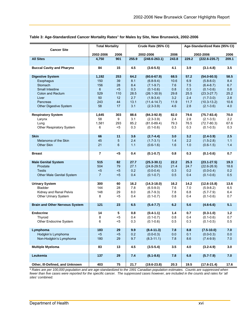#### **Table 3: Age-Standardized Cancer Mortality Rates**\* **for Males by Site, New Brunswick, 2002-2006**

| <b>Cancer Site</b>                    |                 | <b>Total Mortality</b> | Crude Rate (95% CI) |                                |             | Age-Standardized Rate (95% CI) |                                |             |
|---------------------------------------|-----------------|------------------------|---------------------|--------------------------------|-------------|--------------------------------|--------------------------------|-------------|
|                                       | 2002-2006       | 2006                   | 2002-2006           |                                | 2006        | 2002-2006                      |                                | 2006        |
| <b>All Sites</b>                      | 4,750           | 901                    | 255.9               | $(248.6 - 263.1)$              | 243.8       | 229.2                          | $(222.6 - 235.7)$              | 209.1       |
| <b>Buccal Cavity and Pharynx</b>      | 84              | 15                     | 4.5                 | $(3.6 - 5.5)$                  | 4.1         | 3.9                            | $(3.1 - 4.8)$                  | 3.5         |
| <b>Digestive System</b>               | 1,192           | 253                    | 64.2                | $(60.6 - 67.9)$                | 68.5        | 57.2                           | $(54.0 - 60.5)$                | 58.5        |
| Esophagus                             | 150             | 39                     | 8.1                 | $(6.8-9.4)$                    | 10.6        | 6.9                            | $(5.8 - 8.0)$                  | 8.4         |
| Stomach                               | 156             | 28                     | 8.4                 | $(7.1 - 9.7)$                  | 7.6         | 7.5                            | $(6.4 - 8.7)$                  | 6.7         |
| Small Intestine                       | $6\overline{6}$ | $5$                    | 0.3                 | $(0.1 - 0.6)$                  | 0.8         | 0.3                            | $(0.1 - 0.6)$                  | 0.8         |
| <b>Colon and Rectum</b><br>Liver      | 529<br>50       | 110<br>12              | 28.5<br>2.7         | $(26.1 - 30.9)$<br>$(1.9-3.4)$ | 29.8<br>3.2 | 25.5<br>2.4                    | $(23.3 - 27.7)$<br>$(1.7-3.0)$ | 25.2<br>2.8 |
| Pancreas                              | 243             | 44                     | 13.1                | $(11.4-14.7)$                  | 11.9        | 11.7                           | $(10.3 - 13.2)$                | 10.6        |
| Other Digestive System                | 58              | 17                     | 3.1                 | $(2.3 - 3.9)$                  | 4.6         | 2.8                            | $(2.1 - 3.6)$                  | 4.0         |
|                                       |                 |                        |                     |                                |             |                                |                                |             |
| <b>Respiratory System</b>             | 1,645           | 303                    | 88.6                | $(84.3 - 92.9)$                | 82.0        | 79.6                           | $(75.7 - 83.4)$                | 70.0        |
| Larynx                                | 58              | 9                      | 3.1                 | $(2.3-3.9)$                    | 2.4         | 2.8                            | $(2.1 - 3.5)$                  | 2.2         |
| Lung                                  | 1,581           | 293                    | 85.2                | $(81.0 - 89.4)$                | 79.3        | 76.5                           | $(72.7 - 80.3)$                | 67.6        |
| Other Respiratory System              | 6               | <5                     | 0.3                 | $(0.1 - 0.6)$                  | 0.3         | 0.3                            | $(0.1 - 0.5)$                  | 0.3         |
|                                       |                 |                        |                     |                                |             |                                |                                |             |
| <b>Skin</b>                           | 66              | 11                     | 3.6                 | $(2.7 - 4.4)$                  | 3.0         | 3.2                            | $(2.4 - 3.9)$                  | 2.5         |
| Melanoma of the Skin                  | 45              | 5                      | 2.4                 | $(1.7-3.1)$                    | $1.4$       | 2.2                            | $(1.5-2.8)$                    | 1.1         |
| Other Skin                            | 21              | 6                      | 1.1                 | $(0.6 - 1.6)$                  | 1.6         | 1.0                            | $(0.6 - 1.5)$                  | 1.4         |
|                                       |                 |                        |                     |                                |             |                                |                                |             |
| <b>Breast</b>                         | 7               | <5                     | 0.4                 | $(0.1 - 0.7)$                  | 0.8         | 0.3                            | $(0.1 - 0.6)$                  | 0.7         |
| <b>Male Genital System</b>            | 515             | 82                     | 27.7                | $(25.3 - 30.1)$                | 22.2        | 25.3                           | $(23.1 - 27.5)$                | 19.3        |
| Prostate                              | 504             | 79                     | 27.1                | $(24.8 - 29.5)$                | 21.4        | 24.7                           | $(22.6 - 26.9)$                | 18.6        |
| <b>Testis</b>                         | < 5             | $5$                    | 0.2                 | $(0.0 - 0.4)$                  | 0.3         | 0.2                            | $(0.0 - 0.4)$                  | 0.2         |
| <b>Other Male Genital System</b>      | $\overline{7}$  | $5$                    | 0.4                 | $(0.1 - 0.7)$                  | 0.5         | 0.4                            | $(0.1 - 0.6)$                  | 0.5         |
|                                       |                 |                        |                     |                                |             |                                |                                |             |
| <b>Urinary System</b>                 | 300             | 60                     | 16.2                | $(14.3 - 18.0)$                | 16.2        | 14.2                           | $(12.6 - 15.8)$                | 13.6        |
| <b>Bladder</b>                        | 144             | 28                     | 7.8                 | $(6.5-9.0)$                    | 7.6         | 7.0                            | $(5.9 - 8.2)$                  | 6.5         |
| Kidney and Renal Pelvis               | 148             | 29                     | 8.0                 | $(6.7-9.3)$                    | 7.8         | 6.8                            | $(5.7 - 7.9)$                  | 6.4         |
| <b>Other Urinary System</b>           | 8               | <5                     | 0.4                 | $(0.1 - 0.7)$                  | 0.8         | 0.4                            | $(0.1 - 0.6)$                  | 0.7         |
|                                       |                 |                        |                     |                                |             |                                |                                |             |
| <b>Brain and Other Nervous System</b> | 121             | 23                     | 6.5                 | $(5.4 - 7.7)$                  | 6.2         | 5.6                            | $(4.6 - 6.6)$                  | 5.1         |
| <b>Endocrine</b>                      | 14              | 5                      | 0.8                 | $(0.4-1.1)$                    | 1.4         | 0.7                            | $(0.3 - 1.0)$                  | 1.2         |
| Thyroid                               | 8               | $5$                    | 0.4                 | $(0.1 - 0.7)$                  | 0.8         | 0.4                            | $(0.1 - 0.6)$                  | 0.7         |
| Other Endocrine System                | 6               | $5$                    | 0.3                 | $(0.1 - 0.6)$                  | 0.5         | 0.3                            | $(0.1 - 0.5)$                  | 0.5         |
|                                       |                 |                        |                     |                                |             |                                |                                |             |
| Lymphoma                              | 183             | 29                     | 9.9                 | $(8.4 - 11.3)$                 | 7.8         | 8.8                            | $(7.5 - 10.0)$                 | 7.0         |
| Hodgkin's Lymphoma                    | $5$             | $5$                    | 0.2                 | $(0.0 - 0.3)$                  | 0.0         | 0.1                            | $(0.0 - 0.3)$                  | 0.0         |
| Non-Hodgkin's Lymphoma                | 180             | 29                     | 9.7                 | $(8.3 - 11.1)$                 | 7.8         | 8.6                            | $(7.4-9.9)$                    | 7.0         |
|                                       |                 |                        |                     |                                |             |                                |                                |             |
| <b>Multiple Myeloma</b>               | 83              | 13                     | 4.5                 | $(3.5 - 5.4)$                  | 3.5         | 4.0                            | $(3.2 - 4.9)$                  | 3.0         |
| Leukemia                              | 137             | 29                     | 7.4                 | $(6.1 - 8.6)$                  | 7.8         | 6.8                            | $(5.7 - 7.9)$                  | 7.0         |
| Other, III-Defined, and Unknown       | 403             | ${\bf 75}$             | 21.7                | $(19.6 - 23.8)$                | 20.3        | 19.5                           | $(17.6 - 21.4)$                | 17.6        |
|                                       |                 |                        |                     |                                |             |                                |                                |             |

*\* Rates are per 100,000 population and are age-standardized to the 1991 Canadian population estimates. Counts are suppressed when*  fewer than five cases were reported for the specific cancer. The suppressed cases however, are included in the counts and rates for 'all *sites' combined.*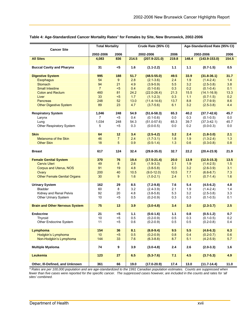#### **Table 4: Age-Standardized Cancer Mortality Rates**\* **for Females by Site, New Brunswick, 2002-2006**

| <b>Cancer Site</b>                                                                                                                                                              | <b>Total Mortality</b>                                      |                                                | Crude Rate (95% CI)                                     |                                                                                                                                            |                                                         | Age-Standardized Rate (95% CI)                         |                                                                                                                                      |                                                        |
|---------------------------------------------------------------------------------------------------------------------------------------------------------------------------------|-------------------------------------------------------------|------------------------------------------------|---------------------------------------------------------|--------------------------------------------------------------------------------------------------------------------------------------------|---------------------------------------------------------|--------------------------------------------------------|--------------------------------------------------------------------------------------------------------------------------------------|--------------------------------------------------------|
|                                                                                                                                                                                 | 2002-2006                                                   | 2006                                           | 2002-2006                                               |                                                                                                                                            | 2006                                                    | 2002-2006                                              |                                                                                                                                      | 2006                                                   |
| <b>All Sites</b>                                                                                                                                                                | 4,083                                                       | 836                                            | 214.5                                                   | $(207.9 - 221.0)$                                                                                                                          | 219.8                                                   | 148.4                                                  | $(143.9 - 153.0)$                                                                                                                    | 154.5                                                  |
| <b>Buccal Cavity and Pharynx</b>                                                                                                                                                | 31                                                          | <5                                             | 1.6                                                     | $(1.1 - 2.2)$                                                                                                                              | 1.1                                                     | 1.1                                                    | $(0.7-1.5)$                                                                                                                          | 0.5                                                    |
| <b>Digestive System</b><br><b>Esophagus</b><br><b>Stomach</b><br><b>Small Intestine</b><br><b>Colon and Rectum</b><br>Liver<br><b>Pancreas</b><br><b>Other Digestive System</b> | 995<br>54<br>94<br>$\overline{7}$<br>460<br>33<br>248<br>89 | 188<br>9<br>21<br>$5$<br>81<br>$5$<br>52<br>23 | 51.7<br>2.8<br>4.9<br>0.4<br>24.2<br>1.7<br>13.0<br>4.7 | $(48.5 - 55.0)$<br>$(2.1 - 3.6)$<br>$(3.9 - 5.9)$<br>$(0.1 - 0.6)$<br>$(22.0 - 26.4)$<br>$(1.1 - 2.3)$<br>$(11.4 - 14.6)$<br>$(3.7 - 5.6)$ | 49.5<br>2.4<br>5.5<br>0.3<br>21.3<br>0.3<br>13.7<br>6.1 | 33.9<br>1.9<br>3.2<br>0.2<br>15.5<br>1.1<br>8.8<br>3.2 | $(31.8 - 36.1)$<br>$(1.4 - 2.4)$<br>$(2.5 - 3.8)$<br>$(0.1 - 0.4)$<br>$(14.1 - 16.9)$<br>$(0.7 - 1.5)$<br>$(7.7-9.9)$<br>$(2.5-3.8)$ | 31.7<br>1.4<br>3.8<br>0.1<br>13.3<br>0.2<br>8.6<br>4.4 |
| <b>Respiratory System</b><br>Larynx<br>Lung<br>Other Respiratory System                                                                                                         | 1,046<br>7<br>1,034<br>5                                    | 248<br>$5$<br>248<br><5                        | 54.9<br>0.4<br>54.3<br>0.3                              | $(51.6 - 58.3)$<br>$(0.1 - 0.6)$<br>$(51.0 - 57.6)$<br>$(0.0 - 0.5)$                                                                       | 65.3<br>0.0<br>65.3<br>0.0                              | 40.2<br>0.3<br>39.7<br>0.2                             | $(37.7 - 42.6)$<br>$(0.1 - 0.5)$<br>$(37.3 - 42.1)$<br>$(0.0 - 0.3)$                                                                 | 45.7<br>0.0<br>45.7<br>0.0                             |
| <b>Skin</b><br>Melanoma of the Skin<br><b>Other Skin</b>                                                                                                                        | 64<br>46<br>18                                              | 12<br>7<br>5                                   | 3.4<br>2.4<br>0.9                                       | $(2.5 - 4.2)$<br>$(1.7-3.1)$<br>$(0.5 - 1.4)$                                                                                              | 3.2<br>1.8<br>1.3                                       | 2.4<br>1.9<br>0.6                                      | $(1.8 - 3.0)$<br>$(1.3 - 2.4)$<br>$(0.3 - 0.8)$                                                                                      | 2.1<br>1.3<br>0.8                                      |
| <b>Breast</b>                                                                                                                                                                   | 617                                                         | 124                                            | 32.4                                                    | $(29.8 - 35.0)$                                                                                                                            | 32.7                                                    | 22.2                                                   | $(20.4 - 23.9)$                                                                                                                      | 21.9                                                   |
| <b>Female Genital System</b><br><b>Cervix Uteri</b><br><b>Corpus and Uterus, NOS</b><br>Ovary<br><b>Other Female Genital Organs</b>                                             | 370<br>49<br>91<br>200<br>30                                | 76<br>8<br>19<br>40<br>9                       | 19.4<br>2.6<br>4.8<br>10.5<br>1.6                       | $(17.5 - 21.4)$<br>$(1.9 - 3.3)$<br>$(3.8-5.8)$<br>$(9.0 - 12.0)$<br>$(1.0-2.1)$                                                           | 20.0<br>2.1<br>5.0<br>10.5<br>2.4                       | 13.9<br>1.9<br>3.2<br>7.7<br>1.1                       | $(12.5 - 15.3)$<br>$(1.4 - 2.5)$<br>$(2.6 - 3.9)$<br>$(6.6 - 8.7)$<br>$(0.7-1.4)$                                                    | 13.5<br>1.5<br>3.1<br>7.3<br>1.6                       |
| <b>Urinary System</b><br>Bladder<br>Kidney and Renal Pelvis<br>Other Urinary System                                                                                             | 162<br>60<br>92<br>10                                       | 29<br>8<br>20<br><5                            | 8.5<br>3.2<br>4.8<br>0.5                                | $(7.2 - 9.8)$<br>$(2.4 - 3.9)$<br>$(3.8-5.8)$<br>$(0.2 - 0.9)$                                                                             | 7.6<br>2.1<br>5.3<br>0.3                                | 5.4<br>1.9<br>3.2<br>0.3                               | $(4.5 - 6.2)$<br>$(1.4 - 2.4)$<br>$(2.5-3.8)$<br>$(0.1 - 0.5)$                                                                       | 4.8<br>1.4<br>3.3<br>0.1                               |
| <b>Brain and Other Nervous System</b>                                                                                                                                           | 75                                                          | 13                                             | 3.9                                                     | $(3.0 - 4.8)$                                                                                                                              | 3.4                                                     | 3.0                                                    | $(2.3 - 3.7)$                                                                                                                        | 2.5                                                    |
| <b>Endocrine</b><br>Thyroid<br>Other Endocrine System                                                                                                                           | 21<br>10<br>11                                              | - 5<br><5<br><5                                | 1.1<br>0.5<br>0.6                                       | $(0.6-1.6)$<br>$(0.2 - 0.9)$<br>$(0.2 - 0.9)$                                                                                              | 1.1<br>0.5<br>0.5                                       | 0.8<br>0.3<br>0.5                                      | $(0.5-1.2)$<br>$(0.1 - 0.5)$<br>$(0.2 - 0.8)$                                                                                        | 0.7<br>0.2<br>0.4                                      |
| Lymphoma<br>Hodgkin's Lymphoma<br>Non-Hodgkin's Lymphoma                                                                                                                        | 154<br>10<br>144                                            | 36<br>$5$<br>33                                | 8.1<br>0.5<br>7.6                                       | $(6.8 - 9.4)$<br>$(0.2 - 0.9)$<br>$(6.3 - 8.8)$                                                                                            | 9.5<br>0.8<br>8.7                                       | 5.5<br>0.4<br>5.1                                      | $(4.6 - 6.3)$<br>$(0.2 - 0.7)$<br>$(4.2 - 5.9)$                                                                                      | 6.3<br>0.6<br>5.7                                      |
| <b>Multiple Myeloma</b>                                                                                                                                                         | 74                                                          | 9                                              | 3.9                                                     | $(3.0-4.8)$                                                                                                                                | 2.4                                                     | 2.6                                                    | $(2.0-3.3)$                                                                                                                          | 1.6                                                    |
| <b>Leukemia</b>                                                                                                                                                                 | 123                                                         | 27                                             | 6.5                                                     | $(5.3 - 7.6)$                                                                                                                              | 7.1                                                     | 4.5                                                    | $(3.7 - 5.3)$                                                                                                                        | 4.9                                                    |
| Other, III-Defined, and Unknown                                                                                                                                                 | 361                                                         | 66                                             | 19.0                                                    | $(17.0 - 20.9)$                                                                                                                            | 17.4                                                    | 13.0                                                   | $(11.7 - 14.4)$                                                                                                                      | 11.0                                                   |

*\* Rates are per 100,000 population and are age-standardized to the 1991 Canadian population estimates. Counts are suppressed when fewer than five cases were reported for the specific cancer. The suppressed cases however, are included in the counts and rates for 'all sites' combined.*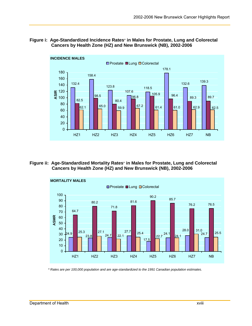#### **Figure i: Age-Standardized Incidence Rates**\* **in Males for Prostate, Lung and Colorectal Cancers by Health Zone (HZ) and New Brunswick (NB), 2002-2006**



#### **Figure ii: Age-Standardized Mortality Rates**\* **in Males for Prostate, Lung and Colorectal Cancers by Health Zone (HZ) and New Brunswick (NB), 2002-2006**



*\* Rates are per 100,000 population and are age-standardized to the 1991 Canadian population estimates.*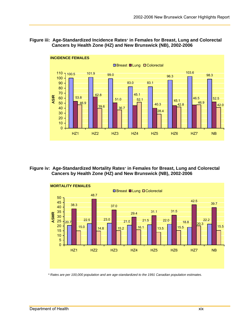#### **Figure iii: Age-Standardized Incidence Rates**\* **in Females for Breast, Lung and Colorectal Cancers by Health Zone (HZ) and New Brunswick (NB), 2002-2006**



#### **Figure iv: Age-Standardized Mortality Rates**\* **in Females for Breast, Lung and Colorectal Cancers by Health Zone (HZ) and New Brunswick (NB), 2002-2006**



*\* Rates are per 100,000 population and are age-standardized to the 1991 Canadian population estimates.*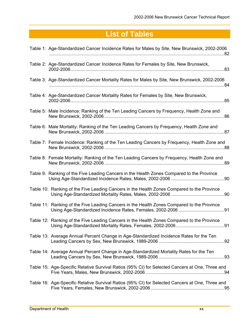# **List of Tables**

| Table 1: Age-Standardized Cancer Incidence Rates for Males by Site, New Brunswick, 2002-2006        |
|-----------------------------------------------------------------------------------------------------|
| Table 2: Age-Standardized Cancer Incidence Rates for Females by Site, New Brunswick,<br>.83         |
| Table 3: Age-Standardized Cancer Mortality Rates for Males by Site, New Brunswick, 2002-2006<br>.84 |
| Table 4: Age-Standardized Cancer Mortality Rates for Females by Site, New Brunswick,                |
| Table 5: Male Incidence: Ranking of the Ten Leading Cancers by Frequency, Health Zone and           |
| Table 6: Male Mortality: Ranking of the Ten Leading Cancers by Frequency, Health Zone and           |
| Table 7: Female Incidence: Ranking of the Ten Leading Cancers by Frequency, Health Zone and         |
| Table 8: Female Mortality: Ranking of the Ten Leading Cancers by Frequency, Health Zone and         |
| Table 9: Ranking of the Five Leading Cancers in the Health Zones Compared to the Province           |
| Table 10: Ranking of the Five Leading Cancers in the Health Zones Compared to the Province          |
| Table 11: Ranking of the Five Leading Cancers in the Health Zones Compared to the Province          |
| Table 12: Ranking of the Five Leading Cancers in the Health Zones Compared to the Province          |
| Table 13: Average Annual Percent Change in Age-Standardized Incidence Rates for the Ten             |
| Table 14: Average Annual Percent Change in Age-Standardized Mortality Rates for the Ten             |
| Table 15: Age-Specific Relative Survival Ratios (95% CI) for Selected Cancers at One, Three and     |
| Table 16: Age-Specific Relative Survival Ratios (95% CI) for Selected Cancers at One, Three and     |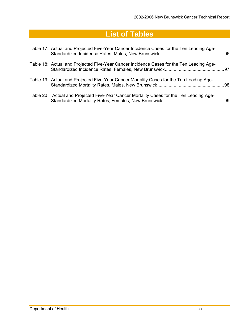# **List of Tables**

| Table 17: Actual and Projected Five-Year Cancer Incidence Cases for the Ten Leading Age- |  |
|------------------------------------------------------------------------------------------|--|
| Table 18: Actual and Projected Five-Year Cancer Incidence Cases for the Ten Leading Age- |  |
| Table 19: Actual and Projected Five-Year Cancer Mortality Cases for the Ten Leading Age- |  |
| Table 20: Actual and Projected Five-Year Cancer Mortality Cases for the Ten Leading Age- |  |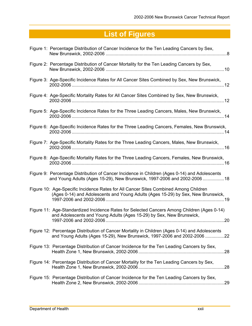| Figure 1: Percentage Distribution of Cancer Incidence for the Ten Leading Cancers by Sex,                                                                                  |
|----------------------------------------------------------------------------------------------------------------------------------------------------------------------------|
| Figure 2: Percentage Distribution of Cancer Mortality for the Ten Leading Cancers by Sex,                                                                                  |
| Figure 3: Age-Specific Incidence Rates for All Cancer Sites Combined by Sex, New Brunswick,                                                                                |
| Figure 4: Age-Specific Mortality Rates for All Cancer Sites Combined by Sex, New Brunswick,                                                                                |
| Figure 5: Age-Specific Incidence Rates for the Three Leading Cancers, Males, New Brunswick,                                                                                |
| Figure 6: Age-Specific Incidence Rates for the Three Leading Cancers, Females, New Brunswick,                                                                              |
| Figure 7: Age-Specific Mortality Rates for the Three Leading Cancers, Males, New Brunswick,                                                                                |
| Figure 8: Age-Specific Mortality Rates for the Three Leading Cancers, Females, New Brunswick,                                                                              |
| Figure 9: Percentage Distribution of Cancer Incidence in Children (Ages 0-14) and Adolescents<br>and Young Adults (Ages 15-29), New Brunswick, 1997-2006 and 2002-2006 18  |
| Figure 10: Age-Specific Incidence Rates for All Cancer Sites Combined Among Children<br>(Ages 0-14) and Adolescents and Young Adults (Ages 15-29) by Sex, New Brunswick,   |
| Figure 11: Age-Standardized Incidence Rates for Selected Cancers Among Children (Ages 0-14)<br>and Adolescents and Young Adults (Ages 15-29) by Sex, New Brunswick,        |
| Figure 12: Percentage Distribution of Cancer Mortality in Children (Ages 0-14) and Adolescents<br>and Young Adults (Ages 15-29), New Brunswick, 1997-2006 and 2002-2006 22 |
| Figure 13: Percentage Distribution of Cancer Incidence for the Ten Leading Cancers by Sex,<br>28                                                                           |
| Figure 14: Percentage Distribution of Cancer Mortality for the Ten Leading Cancers by Sex,                                                                                 |
| Figure 15: Percentage Distribution of Cancer Incidence for the Ten Leading Cancers by Sex,<br>.29                                                                          |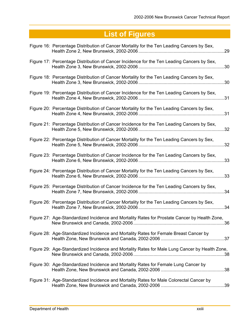| Figure 16: Percentage Distribution of Cancer Mortality for the Ten Leading Cancers by Sex,     | .29 |
|------------------------------------------------------------------------------------------------|-----|
| Figure 17: Percentage Distribution of Cancer Incidence for the Ten Leading Cancers by Sex,     | 30  |
| Figure 18: Percentage Distribution of Cancer Mortality for the Ten Leading Cancers by Sex,     | .30 |
| Figure 19: Percentage Distribution of Cancer Incidence for the Ten Leading Cancers by Sex,     | 31  |
| Figure 20: Percentage Distribution of Cancer Mortality for the Ten Leading Cancers by Sex,     | .31 |
| Figure 21: Percentage Distribution of Cancer Incidence for the Ten Leading Cancers by Sex,     | .32 |
| Figure 22: Percentage Distribution of Cancer Mortality for the Ten Leading Cancers by Sex,     | 32  |
| Figure 23: Percentage Distribution of Cancer Incidence for the Ten Leading Cancers by Sex,     | .33 |
| Figure 24: Percentage Distribution of Cancer Mortality for the Ten Leading Cancers by Sex,     | 33  |
| Figure 25: Percentage Distribution of Cancer Incidence for the Ten Leading Cancers by Sex,     | 34  |
| Figure 26: Percentage Distribution of Cancer Mortality for the Ten Leading Cancers by Sex,     | 34  |
| Figure 27: Age-Standardized Incidence and Mortality Rates for Prostate Cancer by Health Zone,  |     |
| Figure 28: Age-Standardized Incidence and Mortality Rates for Female Breast Cancer by          |     |
| Figure 29: Age-Standardized Incidence and Mortality Rates for Male Lung Cancer by Health Zone, |     |
| Figure 30: Age-Standardized Incidence and Mortality Rates for Female Lung Cancer by            |     |
| Figure 31: Age-Standardized Incidence and Mortality Rates for Male Colorectal Cancer by        |     |
|                                                                                                |     |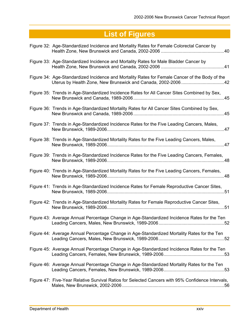| Figure 32: Age-Standardized Incidence and Mortality Rates for Female Colorectal Cancer by         |
|---------------------------------------------------------------------------------------------------|
| Figure 33: Age-Standardized Incidence and Mortality Rates for Male Bladder Cancer by              |
| Figure 34: Age-Standardized Incidence and Mortality Rates for Female Cancer of the Body of the    |
| Figure 35: Trends in Age-Standardized Incidence Rates for All Cancer Sites Combined by Sex,       |
| Figure 36: Trends in Age-Standardized Mortality Rates for All Cancer Sites Combined by Sex,       |
| Figure 37: Trends in Age-Standardized Incidence Rates for the Five Leading Cancers, Males,        |
| Figure 38: Trends in Age-Standardized Mortality Rates for the Five Leading Cancers, Males,        |
| Figure 39: Trends in Age-Standardized Incidence Rates for the Five Leading Cancers, Females,      |
| Figure 40: Trends in Age-Standardized Mortality Rates for the Five Leading Cancers, Females,      |
| Figure 41: Trends in Age-Standardized Incidence Rates for Female Reproductive Cancer Sites,       |
| Figure 42: Trends in Age-Standardized Mortality Rates for Female Reproductive Cancer Sites,       |
| Figure 43: Average Annual Percentage Change in Age-Standardized Incidence Rates for the Ten       |
| Figure 44: Average Annual Percentage Change in Age-Standardized Mortality Rates for the Ten       |
| Figure 45: Average Annual Percentage Change in Age-Standardized Incidence Rates for the Ten       |
| Figure 46: Average Annual Percentage Change in Age-Standardized Mortality Rates for the Ten       |
| Figure 47: Five-Year Relative Survival Ratios for Selected Cancers with 95% Confidence Intervals, |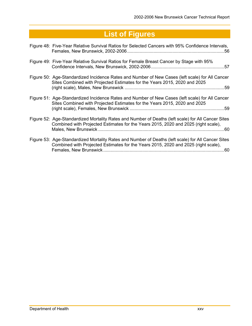| Figure 48: Five-Year Relative Survival Ratios for Selected Cancers with 95% Confidence Intervals,                                                                                               |
|-------------------------------------------------------------------------------------------------------------------------------------------------------------------------------------------------|
| Figure 49: Five-Year Relative Survival Ratios for Female Breast Cancer by Stage with 95%                                                                                                        |
| Figure 50: Age-Standardized Incidence Rates and Number of New Cases (left scale) for All Cancer<br>Sites Combined with Projected Estimates for the Years 2015, 2020 and 2025                    |
| Figure 51: Age-Standardized Incidence Rates and Number of New Cases (left scale) for All Cancer<br>Sites Combined with Projected Estimates for the Years 2015, 2020 and 2025                    |
| Figure 52: Age-Standardized Mortality Rates and Number of Deaths (left scale) for All Cancer Sites<br>Combined with Projected Estimates for the Years 2015, 2020 and 2025 (right scale),        |
| Figure 53: Age-Standardized Mortality Rates and Number of Deaths (left scale) for All Cancer Sites<br>Combined with Projected Estimates for the Years 2015, 2020 and 2025 (right scale),<br>.60 |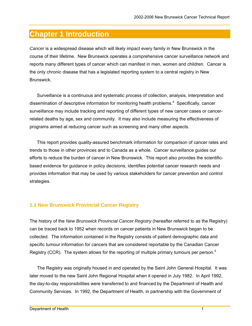## **Chapter 1 Introduction**

*Cancer* is a widespread disease which will likely impact every family in New Brunswick in the course of their lifetime. New Brunswick operates a comprehensive cancer surveillance network and reports many different types of cancer which can manifest in men, women and children. Cancer is the only chronic disease that has a legislated reporting system to a central registry in New Brunswick.

Surveillance is a continuous and systematic process of collection, analysis, interpretation and dissemination of descriptive information for monitoring health problems.<sup>4</sup> Specifically, cancer surveillance may include tracking and reporting of different types of new cancer cases or cancerrelated deaths by age, sex and community. It may also include measuring the effectiveness of programs aimed at reducing cancer such as screening and many other aspects.

This report provides quality-assured benchmark information for comparison of cancer rates and trends to those in other provinces and to Canada as a whole. Cancer surveillance guides our efforts to reduce the burden of cancer in New Brunswick. This report also provides the scientificbased evidence for guidance in policy decisions, identifies potential cancer research needs and provides information that may be used by various stakeholders for cancer prevention and control strategies.

#### **1.1 New Brunswick Provincial Cancer Registry**

The history of the *New Brunswick Provincial Cancer Registry* (hereafter referred to as the Registry) can be traced back to 1952 when records on cancer patients in New Brunswick began to be collected. The information contained in the Registry consists of patient demographic data and specific tumour information for cancers that are considered reportable by the Canadian Cancer Registry (CCR). The system allows for the reporting of multiple primary tumours per person.<sup>5</sup>

The Registry was originally housed in and operated by the Saint John General Hospital. It was later moved to the new Saint John Regional Hospital when it opened in July 1982. In April 1992, the day-to-day responsibilities were transferred to and financed by the Department of Health and Community Services. In 1992, the Department of Health, in partnership with the Government of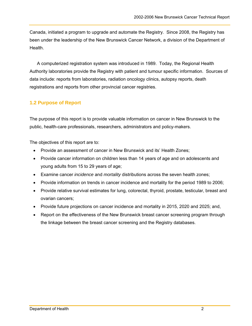Canada, initiated a program to upgrade and automate the Registry. Since 2008, the Registry has been under the leadership of the New Brunswick Cancer Network, a division of the Department of Health.

A computerized registration system was introduced in 1989. Today, the Regional Health Authority laboratories provide the Registry with patient and tumour specific information. Sources of data include: reports from laboratories, radiation oncology clinics, autopsy reports, death registrations and reports from other provincial cancer registries.

## **1.2 Purpose of Report**

The purpose of this report is to provide valuable information on cancer in New Brunswick to the public, health-care professionals, researchers, administrators and policy-makers.

The objectives of this report are to:

- Provide an assessment of cancer in New Brunswick and its' Health Zones;
- Provide cancer information on children less than 14 years of age and on adolescents and young adults from 15 to 29 years of age;
- Examine cancer *incidence* and *mortality* distributions across the seven health zones;
- Provide information on trends in cancer incidence and mortality for the period 1989 to 2006;
- Provide relative survival estimates for lung, colorectal, thyroid, prostate, testicular, breast and ovarian cancers;
- Provide future projections on cancer incidence and mortality in 2015, 2020 and 2025; and,
- Report on the effectiveness of the New Brunswick breast cancer screening program through the linkage between the breast cancer screening and the Registry databases.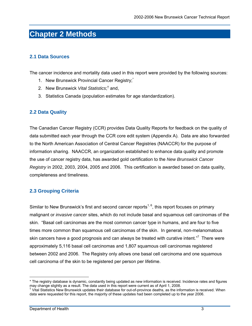## **Chapter 2 Methods**

### **2.1 Data Sources**

The cancer incidence and mortality data used in this report were provided by the following sources:

- 1. New Brunswick Provincial Cancer Registry;<sup>\*</sup>
- 2. New Brunswick Vital Statistics;<sup>†</sup> and,
- 3. Statistics Canada (population estimates for age standardization).

### **2.2 Data Quality**

The Canadian Cancer Registry (CCR) provides Data Quality Reports for feedback on the quality of data submitted each year through the CCR core edit system (Appendix A). Data are also forwarded to the North American Association of Central Cancer Registries (NAACCR) for the purpose of information sharing. NAACCR, an organization established to enhance data quality and promote the use of cancer registry data, has awarded gold certification to the *New Brunswick Cancer Registry* in 2002, 2003, 2004, 2005 and 2006. This certification is awarded based on data quality, completeness and timeliness.

### **2.3 Grouping Criteria**

Similar to New Brunswick's first and second cancer reports<sup>1, 6</sup>, this report focuses on primary malignant or *invasive cancer* sites, which do not include basal and squamous cell carcinomas of the skin. "Basal cell carcinomas are the most common cancer type in humans, and are four to five times more common than squamous cell carcinomas of the skin. In general, non-melanomatous skin cancers have a good prognosis and can always be treated with curative intent."<sup>7</sup> There were approximately 5,116 basal cell carcinomas and 1,807 squamous cell carcinomas registered between 2002 and 2006. The Registry only allows one basal cell carcinoma and one squamous cell carcinoma of the skin to be registered per person per lifetime.

 $\overline{a}$ \* The registry database is dynamic, constantly being updated as new information is received. Incidence rates and figures may change slightly as a result. The data used in this report were current as of April 1, 2008. †

 $\dagger$  Vital Statistics New Brunswick updates their database for out-of-province deaths, as the information is received. When data were requested for this report, the majority of these updates had been completed up to the year 2006.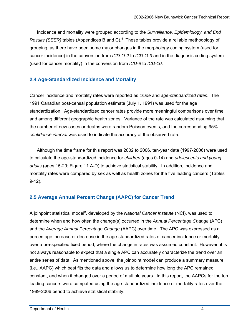Incidence and mortality were grouped according to the *Surveillance, Epidemiology, and End*  Results (SEER) tables (Appendices B and C).<sup>8</sup> These tables provide a reliable methodology of grouping, as there have been some major changes in the morphology coding system (used for cancer incidence) in the conversion from *ICD-O-2* to *ICD-O-3* and in the diagnosis coding system (used for cancer mortality) in the conversion from *ICD-9* to *ICD-10*.

### **2.4 Age-Standardized Incidence and Mortality**

Cancer incidence and mortality rates were reported as *crude* and *age-standardized rates*. The 1991 Canadian post-censal population estimate (July 1, 1991) was used for the age standardization. Age-standardized cancer rates provide more meaningful comparisons over time and among different geographic health zones. Variance of the rate was calculated assuming that the number of new cases or deaths were random Poisson events, and the corresponding 95% *confidence interval* was used to indicate the accuracy of the observed rate.

Although the time frame for this report was 2002 to 2006, ten-year data (1997-2006) were used to calculate the age-standardized incidence for *children* (ages 0-14) and *adolescents and young adults* (ages 15-29; Figure 11 A-D) to achieve statistical stability. In addition, incidence and mortality rates were compared by sex as well as health zones for the five leading cancers (Tables 9-12).

## **2.5 Average Annual Percent Change (AAPC) for Cancer Trend**

A joinpoint statistical model<sup>9</sup>, developed by the *National Cancer Institute* (NCI), was used to determine when and how often the change(s) occurred in the *Annual Percentage Change* (APC) and the *Average Annual Percentage Change* (AAPC) over time. The APC was expressed as a percentage increase or decrease in the age-standardized rates of cancer incidence or mortality over a pre-specified fixed period, where the change in rates was assumed constant. However, it is not always reasonable to expect that a single APC can accurately characterize the trend over an entire series of data. As mentioned above, the joinpoint model can produce a summary measure (i.e., AAPC) which best fits the data and allows us to determine how long the APC remained constant, and when it changed over a period of multiple years. In this report, the AAPCs for the ten leading cancers were computed using the age-standardized incidence or mortality rates over the 1989-2006 period to achieve statistical stability.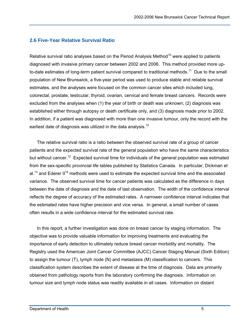### **2.6 Five-Year Relative Survival Ratio**

Relative survival ratio analyses based on the Period Analysis Method<sup>10</sup> were applied to patients diagnosed with invasive primary cancer between 2002 and 2006. This method provided more upto-date estimates of long-term patient survival compared to traditional methods.<sup>11</sup> Due to the small population of New Brunswick, a five-year period was used to produce stable and reliable survival estimates, and the analyses were focused on the common cancer sites which included lung, colorectal, prostate, testicular, thyroid, ovarian, cervical and female breast cancers. Records were excluded from the analyses when (1) the year of birth or death was unknown; (2) diagnosis was established either through autopsy or death certificate only, and (3) diagnosis made prior to 2002. In addition, if a patient was diagnosed with more than one invasive tumour, only the record with the earliest date of diagnosis was utilized in the data analysis.<sup>12</sup>

The relative survival ratio is a ratio between the observed survival rate of a group of cancer patients and the expected survival rate of the general population who have the same characteristics but without cancer.<sup>12</sup> Expected survival time for individuals of the general population was estimated from the sex-specific provincial life tables published by Statistics Canada. In particular, Dickman et al.<sup>13</sup> and Ederer II<sup>14</sup> methods were used to estimate the expected survival time and the associated variance. The observed survival time for cancer patients was calculated as the difference in days between the date of diagnosis and the date of last observation. The width of the confidence interval reflects the degree of accuracy of the estimated rates. A narrower confidence interval indicates that the estimated rates have higher precision and vice versa. In general, a small number of cases often results in a wide confidence interval for the estimated survival rate.

In this report, a further investigation was done on breast cancer by staging information. The objective was to provide valuable information for improving treatments and evaluating the importance of early detection to ultimately reduce breast cancer morbidity and mortality. The Registry used the American Joint Cancer Committee (AJCC) Cancer Staging Manual (Sixth Edition) to assign the tumour (T), lymph node (N) and metastasis (M) classification to cancers. This classification system describes the extent of disease at the time of diagnosis. Data are primarily obtained from pathology reports from the laboratory confirming the diagnosis. Information on tumour size and lymph node status was readily available in all cases. Information on distant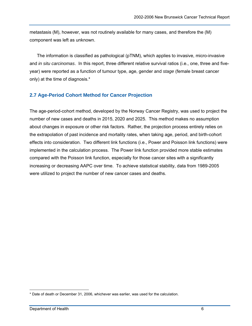metastasis (M), however, was not routinely available for many cases, and therefore the (M) component was left as unknown.

The information is classified as pathological (pTNM), which applies to invasive, micro-invasive and *in situ carcinomas*. In this report, three different relative survival ratios (i.e., one, three and fiveyear) were reported as a function of tumour type, age, gender and *stage* (female breast cancer only) at the time of diagnosis.\*

### **2.7 Age-Period Cohort Method for Cancer Projection**

The age-period-cohort method, developed by the Norway Cancer Registry, was used to project the number of new cases and deaths in 2015, 2020 and 2025. This method makes no assumption about changes in exposure or other risk factors. Rather, the projection process entirely relies on the extrapolation of past incidence and mortality rates, when taking age, period, and birth-cohort effects into consideration. Two different link functions (i.e., Power and Poisson link functions) were implemented in the calculation process. The Power link function provided more stable estimates compared with the Poisson link function, especially for those cancer sites with a significantly increasing or decreasing AAPC over time. To achieve statistical stability, data from 1989-2005 were utilized to project the number of new cancer cases and deaths.

 $\overline{a}$ \* Date of death or December 31, 2006, whichever was earlier, was used for the calculation.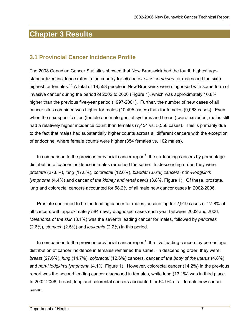## **Chapter 3 Results**

## **3.1 Provincial Cancer Incidence Profile**

The 2008 Canadian Cancer Statistics showed that New Brunswick had the fourth highest agestandardized incidence rates in the country for *all cancer sites combined* for males and the sixth highest for females.<sup>15</sup> A total of 19,558 people in New Brunswick were diagnosed with some form of invasive cancer during the period of 2002 to 2006 (Figure 1), which was approximately 10.8% higher than the previous five-year period (1997-2001). Further, the number of new cases of all cancer sites combined was higher for males (10,495 cases) than for females (9,063 cases). Even when the sex-specific sites (female and male genital systems and breast) were excluded, males still had a relatively higher incidence count than females (7,454 vs. 5,556 cases). This is primarily due to the fact that males had substantially higher counts across all different cancers with the exception of endocrine, where female counts were higher (354 females vs. 102 males).

In comparison to the previous provincial cancer report<sup>1</sup>, the six leading cancers by percentage distribution of cancer incidence in males remained the same. In descending order, they were: *prostate* (27.8%), *lung* (17.8%), *colorectal* (12.6%), *bladder* (6.6%) *cancers, non-Hodgkin's lymphoma* (4.4%) and cancer of *the kidney and renal pelvis* (3.8%, Figure 1). Of these, prostate, lung and colorectal cancers accounted for 58.2% of all male new cancer cases in 2002-2006.

Prostate continued to be the leading cancer for males, accounting for 2,919 cases or 27.8% of all cancers with approximately 584 newly diagnosed cases each year between 2002 and 2006. *Melanoma of the skin* (3.1%) was the seventh leading cancer for males, followed by *pancreas* (2.6%), *stomach* (2.5%) and *leukemia* (2.2%) in this period.

In comparison to the previous provincial cancer report<sup>1</sup>, the five leading cancers by percentage distribution of cancer incidence in females remained the same. In descending order, they were: *breast* (27.6%), *lung* (14.7%), *colorectal* (12.6%) cancers, cancer of *the body of the uterus* (4.8%) and *non-Hodgkin's lymphoma* (4.1%, Figure 1). However, colorectal cancer (14.2%) in the previous report was the second leading cancer diagnosed in females, while lung (13.1%) was in third place. In 2002-2006, breast, lung and colorectal cancers accounted for 54.9% of all female new cancer cases.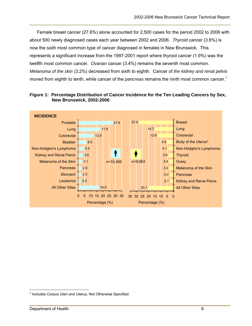Female breast cancer (27.6%) alone accounted for 2,500 cases for the period 2002 to 2006 with about 500 newly diagnosed cases each year between 2002 and 2006. *Thyroid* cancer (3.8%) is now the sixth most common type of cancer diagnosed in females in New Brunswick. This represents a significant increase from the 1997-2001 report where thyroid cancer (1.9%) was the twelfth most common cancer. *Ovarian* cancer (3.4%) remains the seventh most common. *Melanoma of the skin* (3.2%) decreased from sixth to eighth. Cancer of *the kidney and renal pelvis* moved from eighth to tenth, while cancer of the *pancreas* remains the ninth most common cancer.<sup>1</sup>



**Figure 1: Percentage Distribution of Cancer Incidence for the Ten Leading Cancers by Sex, New Brunswick, 2002-2006** 

 $\overline{a}$ \* Includes Corpus Uteri and Uterus, Not Otherwise Specified.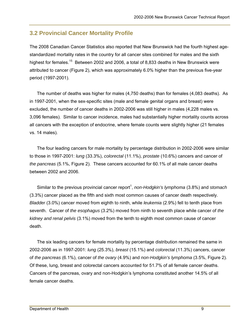## **3.2 Provincial Cancer Mortality Profile**

The 2008 Canadian Cancer Statistics also reported that New Brunswick had the fourth highest agestandardized mortality rates in the country for all cancer sites combined for males and the sixth highest for females.<sup>15</sup> Between 2002 and 2006, a total of 8,833 deaths in New Brunswick were attributed to cancer (Figure 2), which was approximately 6.0% higher than the previous five-year period (1997-2001).

The number of deaths was higher for males (4,750 deaths) than for females (4,083 deaths). As in 1997-2001, when the sex-specific sites (male and female genital organs and breast) were excluded, the number of cancer deaths in 2002-2006 was still higher in males (4,228 males vs. 3,096 females). Similar to cancer incidence, males had substantially higher mortality counts across all cancers with the exception of endocrine, where female counts were slightly higher (21 females vs. 14 males).

The four leading cancers for male mortality by percentage distribution in 2002-2006 were similar to those in 1997-2001: *lung* (33.3%), *colorectal* (11.1%), *prostate* (10.6%) cancers and cancer of *the pancreas* (5.1%, Figure 2). These cancers accounted for 60.1% of all male cancer deaths between 2002 and 2006.

Similar to the previous provincial cancer report<sup>1</sup>, *non-Hodgkin's lymphoma* (3.8%) and *stomach* (3.3%) cancer placed as the fifth and sixth most common causes of cancer death respectively. *Bladder* (3.0%) cancer moved from eighth to ninth, while *leukemia* (2.9%) fell to tenth place from seventh. Cancer of *the esophagus* (3.2%) moved from ninth to seventh place while cancer of *the kidney and renal pelvis* (3.1%) moved from the tenth to eighth most common cause of cancer death.

The six leading cancers for female mortality by percentage distribution remained the same in 2002-2006 as in 1997-2001: *lung* (25.3%), *breast* (15.1%) and *colorectal* (11.3%) cancers, cancer of *the pancreas* (6.1%), cancer of *the ovary* (4.9%) and *non-Hodgkin's lymphoma* (3.5%, Figure 2). Of these, lung, breast and colorectal cancers accounted for 51.7% of all female cancer deaths. Cancers of the pancreas, ovary and non-Hodgkin's lymphoma constituted another 14.5% of all female cancer deaths.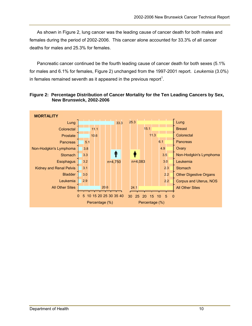As shown in Figure 2, lung cancer was the leading cause of cancer death for both males and females during the period of 2002-2006. This cancer alone accounted for 33.3% of all cancer deaths for males and 25.3% for females.

Pancreatic cancer continued be the fourth leading cause of cancer death for both sexes (5.1% for males and 6.1% for females, Figure 2) unchanged from the 1997-2001 report. *Leukemia* (3.0%) in females remained seventh as it appeared in the previous report<sup>1</sup>.



**Figure 2: Percentage Distribution of Cancer Mortality for the Ten Leading Cancers by Sex, New Brunswick, 2002-2006**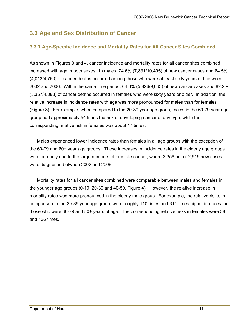# **3.3 Age and Sex Distribution of Cancer**

# **3.3.1 Age-Specific Incidence and Mortality Rates for All Cancer Sites Combined**

As shown in Figures 3 and 4, cancer incidence and mortality rates for all cancer sites combined increased with age in both sexes. In males, 74.6% (7,831/10,495) of new cancer cases and 84.5% (4,013/4,750) of cancer deaths occurred among those who were at least sixty years old between 2002 and 2006. Within the same time period, 64.3% (5,826/9,063) of new cancer cases and 82.2% (3,357/4,083) of cancer deaths occurred in females who were sixty years or older. In addition, the relative increase in incidence rates with age was more pronounced for males than for females (Figure 3). For example, when compared to the 20-39 year age group, males in the 60-79 year age group had approximately 54 times the risk of developing cancer of any type, while the corresponding relative risk in females was about 17 times.

Males experienced lower incidence rates than females in all age groups with the exception of the 60-79 and 80+ year age groups. These increases in incidence rates in the elderly age groups were primarily due to the large numbers of prostate cancer, where 2,356 out of 2,919 new cases were diagnosed between 2002 and 2006.

Mortality rates for all cancer sites combined were comparable between males and females in the younger age groups (0-19, 20-39 and 40-59, Figure 4). However, the relative increase in mortality rates was more pronounced in the elderly male group. For example, the relative risks, in comparison to the 20-39 year age group, were roughly 110 times and 311 times higher in males for those who were 60-79 and 80+ years of age. The corresponding relative risks in females were 58 and 136 times.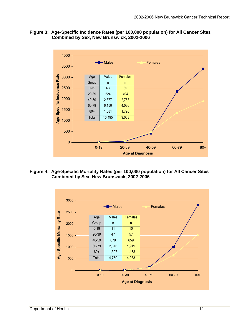#### **Figure 3: Age-Specific Incidence Rates (per 100,000 population) for All Cancer Sites Combined by Sex, New Brunswick, 2002-2006**



**Figure 4: Age-Specific Mortality Rates (per 100,000 population) for All Cancer Sites Combined by Sex, New Brunswick, 2002-2006** 

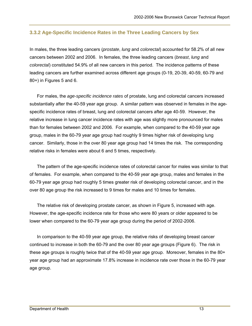#### **3.3.2 Age-Specific Incidence Rates in the Three Leading Cancers by Sex**

In males, the three leading cancers (*prostate*, *lung* and *colorectal*) accounted for 58.2% of all new cancers between 2002 and 2006. In females, the three leading cancers (*breast*, *lung* and *colorectal*) constituted 54.9% of all new cancers in this period. The incidence patterns of these leading cancers are further examined across different age groups (0-19, 20-39, 40-59, 60-79 and 80+) in Figures 5 and 6.

For males, the *age-specific incidence rates* of prostate, lung and colorectal cancers increased substantially after the 40-59 year age group. A similar pattern was observed in females in the agespecific incidence rates of breast, lung and colorectal cancers after age 40-59. However, the relative increase in lung cancer incidence rates with age was slightly more pronounced for males than for females between 2002 and 2006. For example, when compared to the 40-59 year age group, males in the 60-79 year age group had roughly 9 times higher risk of developing lung cancer. Similarly, those in the over 80 year age group had 14 times the risk. The corresponding relative risks in females were about 6 and 5 times, respectively.

The pattern of the age-specific incidence rates of colorectal cancer for males was similar to that of females. For example, when compared to the 40-59 year age group, males and females in the 60-79 year age group had roughly 5 times greater risk of developing colorectal cancer, and in the over 80 age group the risk increased to 9 times for males and 10 times for females.

The relative risk of developing prostate cancer, as shown in Figure 5, increased with age. However, the age-specific incidence rate for those who were 80 years or older appeared to be lower when compared to the 60-79 year age group during the period of 2002-2006.

In comparison to the 40-59 year age group, the relative risks of developing breast cancer continued to increase in both the 60-79 and the over 80 year age groups (Figure 6). The risk in these age groups is roughly twice that of the 40-59 year age group. Moreover, females in the 80+ year age group had an approximate 17.8% increase in incidence rate over those in the 60-79 year age group.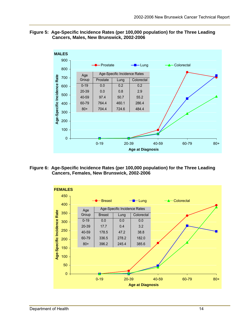#### **Figure 5: Age-Specific Incidence Rates (per 100,000 population) for the Three Leading Cancers, Males, New Brunswick, 2002-2006**



**Figure 6: Age-Specific Incidence Rates (per 100,000 population) for the Three Leading Cancers, Females, New Brunswick, 2002-2006** 

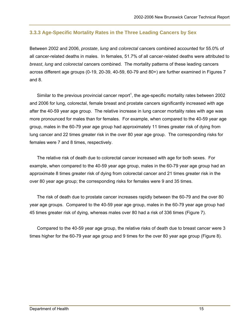## **3.3.3 Age-Specific Mortality Rates in the Three Leading Cancers by Sex**

Between 2002 and 2006, *prostate*, *lung* and *colorectal* cancers combined accounted for 55.0% of all cancer-related deaths in males. In females, 51.7% of all cancer-related deaths were attributed to *breast*, *lung* and *colorectal* cancers combined. The mortality patterns of these leading cancers across different age groups (0-19, 20-39, 40-59, 60-79 and 80+) are further examined in Figures 7 and 8.

Similar to the previous provincial cancer report<sup>1</sup>, the age-specific mortality rates between 2002 and 2006 for lung, colorectal, female breast and prostate cancers significantly increased with age after the 40-59 year age group. The relative increase in lung cancer mortality rates with age was more pronounced for males than for females. For example, when compared to the 40-59 year age group, males in the 60-79 year age group had approximately 11 times greater risk of dying from lung cancer and 22 times greater risk in the over 80 year age group. The corresponding risks for females were 7 and 8 times, respectively.

The relative risk of death due to colorectal cancer increased with age for both sexes. For example, when compared to the 40-59 year age group, males in the 60-79 year age group had an approximate 8 times greater risk of dying from colorectal cancer and 21 times greater risk in the over 80 year age group; the corresponding risks for females were 9 and 35 times.

The risk of death due to prostate cancer increases rapidly between the 60-79 and the over 80 year age groups. Compared to the 40-59 year age group, males in the 60-79 year age group had 45 times greater risk of dying, whereas males over 80 had a risk of 336 times (Figure 7).

Compared to the 40-59 year age group, the relative risks of death due to breast cancer were 3 times higher for the 60-79 year age group and 9 times for the over 80 year age group (Figure 8).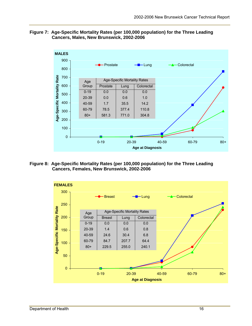#### **Figure 7: Age-Specific Mortality Rates (per 100,000 population) for the Three Leading Cancers, Males, New Brunswick, 2002-2006**



**Figure 8: Age-Specific Mortality Rates (per 100,000 population) for the Three Leading Cancers, Females, New Brunswick, 2002-2006** 

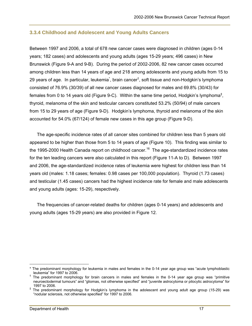## **3.3.4 Childhood and Adolescent and Young Adults Cancers**

Between 1997 and 2006, a total of 678 new cancer cases were diagnosed in children (ages 0-14 years; 182 cases) and adolescents and young adults (ages 15-29 years; 496 cases) in New Brunswick (Figure 9-A and 9-B). During the period of 2002-2006, 82 new cancer cases occurred among children less than 14 years of age and 218 among adolescents and young adults from 15 to 29 years of age. In particular, leukemia<sup>\*</sup>, brain cancer<sup>†</sup>, soft tissue and non-Hodgkin's lymphoma consisted of 76.9% (30/39) of all new cancer cases diagnosed for males and 69.8% (30/43) for females from 0 to 14 years old (Figure 9-C). Within the same time period, Hodgkin's lymphoma<sup>‡</sup>, thyroid, melanoma of the skin and testicular cancers constituted 53.2% (50/94) of male cancers from 15 to 29 years of age (Figure 9-D). Hodgkin's lymphoma, thyroid and melanoma of the skin accounted for 54.0% (67/124) of female new cases in this age group (Figure 9-D).

The age-specific incidence rates of all cancer sites combined for children less than 5 years old appeared to be higher than those from 5 to 14 years of age (Figure 10). This finding was similar to the 1995-2000 Health Canada report on childhood cancer.<sup>16</sup> The age-standardized incidence rates for the ten leading cancers were also calculated in this report (Figure 11-A to D). Between 1997 and 2006, the age-standardized incidence rates of leukemia were highest for children less than 14 years old (males: 1.18 cases; females: 0.98 cases per 100,000 population). Thyroid (1.73 cases) and testicular (1.45 cases) cancers had the highest incidence rate for female and male adolescents and young adults (ages: 15-29), respectively.

The frequencies of cancer-related deaths for children (ages 0-14 years) and adolescents and young adults (ages 15-29 years) are also provided in Figure 12.

 $\overline{a}$ \* The predominant morphology for leukemia in males and females in the 0-14 year age group was "acute lymphoblastic leukemia" for 1997 to 2006.

<sup>&</sup>lt;sup>†</sup> The predominant morphology for brain cancers in males and females in the 0-14 year age group was "primitive neuroectodermal tumours" and "gliomas, not otherwise specified" and "juvenile astrocytoma or pilocytic astrocytoma" for 1997 to 2006.

<sup>‡</sup> The predominant morphology for Hodgkin's lymphoma in the adolescent and young adult age group (15-29) was "nodular sclerosis, not otherwise specified" for 1997 to 2006.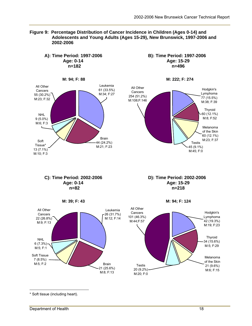



\* Soft tissue (including heart).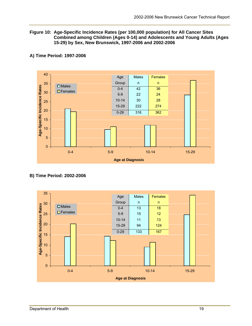#### **Figure 10: Age-Specific Incidence Rates (per 100,000 population) for All Cancer Sites Combined among Children (Ages 0-14) and Adolescents and Young Adults (Ages 15-29) by Sex, New Brunswick, 1997-2006 and 2002-2006**



#### **A) Time Period: 1997-2006**

#### **B) Time Period: 2002-2006**

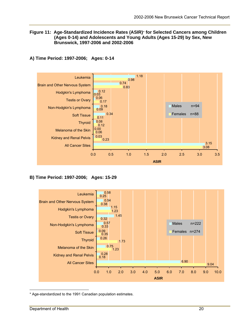#### **Figure 11: Age-Standardized Incidence Rates (ASIR)**\* **for Selected Cancers among Children (Ages 0-14) and Adolescents and Young Adults (Ages 15-29) by Sex, New Brunswick, 1997-2006 and 2002-2006**

#### **A) Time Period: 1997-2006; Ages: 0-14**



#### **B) Time Period: 1997-2006; Ages: 15-29**



 $\overline{a}$ \* Age-standardized to the 1991 Canadian population estimates.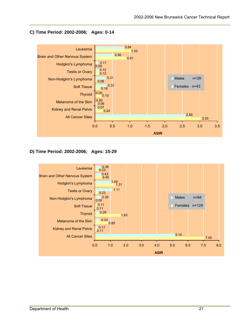

#### **C) Time Period: 2002-2006; Ages: 0-14**

## **D) Time Period: 2002-2006; Ages: 15-29**

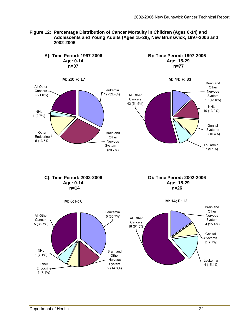

**Figure 12: Percentage Distribution of Cancer Mortality in Children (Ages 0-14) and Adolescents and Young Adults (Ages 15-29), New Brunswick, 1997-2006 and 2002-2006**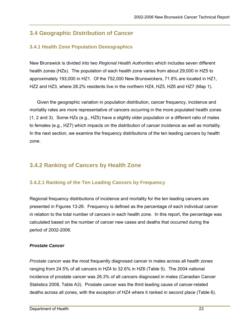# **3.4 Geographic Distribution of Cancer**

# **3.4.1 Health Zone Population Demographics**

New Brunswick is divided into two *Regional Health Authorities* which includes seven different health zones (HZs). The population of each health zone varies from about 29,000 in HZ5 to approximately 193,000 in HZ1. Of the 752,000 New Brunswickers, 71.8% are located in HZ1, HZ2 and HZ3, where 28.2% residents live in the northern HZ4, HZ5, HZ6 and HZ7 (Map 1).

Given the geographic variation in population distribution, cancer frequency, incidence and mortality rates are more representative of cancers occurring in the more populated health zones (1, 2 and 3). Some HZs (e.g., HZ5) have a slightly older population or a different ratio of males to females (e.g., HZ7) which impacts on the distribution of cancer incidence as well as mortality. In the next section, we examine the frequency distributions of the ten leading cancers by health zone.

# **3.4.2 Ranking of Cancers by Health Zone**

## **3.4.2.1 Ranking of the Ten Leading Cancers by Frequency**

Regional frequency distributions of incidence and mortality for the ten leading cancers are presented in Figures 13-26. Frequency is defined as the percentage of each individual cancer in relation to the total number of cancers in each health zone. In this report, the percentage was calculated based on the number of cancer new cases and deaths that occurred during the period of 2002-2006.

## *Prostate Cancer*

*Prostate cancer* was the most frequently diagnosed cancer in males across all health zones ranging from 24.5% of all cancers in HZ4 to 32.6% in HZ6 (Table 5). The 2004 national incidence of prostate cancer was 26.3% of all cancers diagnosed in males (Canadian Cancer Statistics 2008, Table A3). Prostate cancer was the third leading cause of cancer-related deaths across all zones, with the exception of HZ4 where it ranked in second place (Table 6).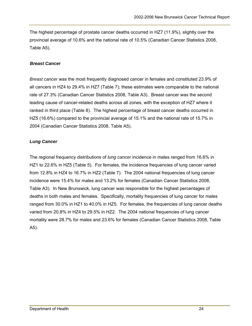The highest percentage of prostate cancer deaths occurred in HZ7 (11.9%), slightly over the provincial average of 10.6% and the national rate of 10.5% (Canadian Cancer Statistics 2008, Table A5).

#### *Breast Cancer*

*Breast cancer* was the most frequently diagnosed cancer in females and constituted 23.9% of all cancers in HZ4 to 29.4% in HZ7 (Table 7); these estimates were comparable to the national rate of 27.3% (Canadian Cancer Statistics 2008, Table A3). Breast cancer was the second leading cause of cancer-related deaths across all zones, with the exception of HZ7 where it ranked in third place (Table 8). The highest percentage of breast cancer deaths occurred in HZ5 (16.6%) compared to the provincial average of 15.1% and the national rate of 15.7% in 2004 (Canadian Cancer Statistics 2008, Table A5).

## *Lung Cancer*

The regional frequency distributions of *lung cancer* incidence in males ranged from 16.6% in HZ1 to 22.6% in HZ5 (Table 5). For females, the incidence frequencies of lung cancer varied from 12.8% in HZ4 to 16.7% in HZ2 (Table 7). The 2004 national frequencies of lung cancer incidence were 15.4% for males and 13.2% for females (Canadian Cancer Statistics 2008, Table A3). In New Brunswick, lung cancer was responsible for the highest percentages of deaths in both males and females. Specifically, mortality frequencies of lung cancer for males ranged from 30.0% in HZ1 to 40.0% in HZ5. For females, the frequencies of lung cancer deaths varied from 20.8% in HZ4 to 29.5% in HZ2. The 2004 national frequencies of lung cancer mortality were 28.7% for males and 23.6% for females (Canadian Cancer Statistics 2008, Table A5).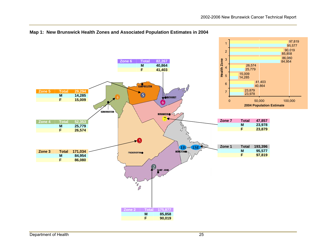

#### **Map 1: New Brunswick Health Zones and Associated Population Estimates in 2004**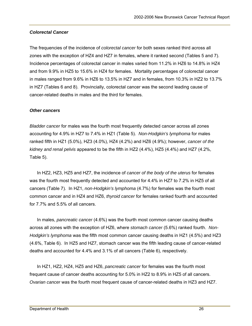#### *Colorectal Cancer*

The frequencies of the incidence of *colorectal cancer* for both sexes ranked third across all zones with the exception of HZ4 and HZ7 in females, where it ranked second (Tables 5 and 7). Incidence percentages of colorectal cancer in males varied from 11.2% in HZ6 to 14.8% in HZ4 and from 9.9% in HZ5 to 15.6% in HZ4 for females. Mortality percentages of colorectal cancer in males ranged from 9.6% in HZ6 to 13.5% in HZ7 and in females, from 10.3% in HZ2 to 13.7% in HZ7 (Tables 6 and 8). Provincially, colorectal cancer was the second leading cause of cancer-related deaths in males and the third for females.

#### *Other cancers*

*Bladder cancer* for males was the fourth most frequently detected cancer across all zones accounting for 4.9% in HZ7 to 7.4% in HZ1 (Table 5). *Non-Hodgkin's lymphoma* for males ranked fifth in HZ1 (5.0%), HZ3 (4.0%), HZ4 (4.2%) and HZ6 (4.9%); however, *cancer of the kidney and renal pelvis* appeared to be the fifth in HZ2 (4.4%), HZ5 (4.4%) and HZ7 (4.2%, Table 5).

In HZ2, HZ3, HZ5 and HZ7, the incidence of *cancer of the body of the uterus* for females was the fourth most frequently detected and accounted for 4.4% in HZ7 to 7.2% in HZ5 of all cancers (Table 7). In HZ1, *non-Hodgkin's lymphoma* (4.7%) for females was the fourth most common cancer and in HZ4 and HZ6, *thyroid cancer* for females ranked fourth and accounted for 7.7% and 5.5% of all cancers.

In males, *pancreatic cancer* (4.6%) was the fourth most common cancer causing deaths across all zones with the exception of HZ6, where *stomach cancer* (5.6%) ranked fourth. *Non-Hodgkin's lymphoma* was the fifth most common cancer causing deaths in HZ1 (4.5%) and HZ3 (4.6%, Table 6). In HZ5 and HZ7, stomach cancer was the fifth leading cause of cancer-related deaths and accounted for 4.4% and 3.1% of all cancers (Table 6), respectively.

In HZ1, HZ2, HZ4, HZ5 and HZ6, *pancreatic cancer* for females was the fourth most frequent cause of cancer deaths accounting for 5.0% in HZ2 to 8.9% in HZ5 of all cancers. *Ovarian cancer* was the fourth most frequent cause of cancer-related deaths in HZ3 and HZ7.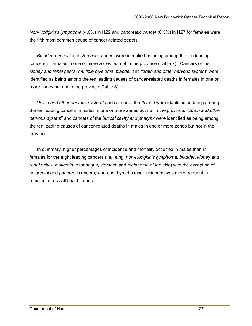*Non-Hodgkin's lymphoma* (4.0%) in HZ2 and *pancreatic cancer* (6.3%) in HZ7 for females were the fifth most common cause of cancer-related deaths.

*Bladder*, *cervical* and *stomach* cancers were identified as being among the ten leading cancers in females in one or more zones but not in the province (Table 7). Cancers of the *kidney and renal pelvis*, *multiple myeloma*, *bladder* and *"brain and other nervous system"* were identified as being among the ten leading causes of cancer-related deaths in females in one or more zones but not in the province (Table 8).

"*Brain and other nervous system*" and cancer of the *thyroid* were identified as being among the ten leading cancers in males in one or more zones but not in the province. "*Brain and other nervous system*" and cancers of the *buccal cavity and pharynx* were identified as being among the ten leading causes of cancer-related deaths in males in one or more zones but not in the province.

In summary, higher percentages of incidence and mortality occurred in males than in females for the eight leading cancers (i.e., *lung*, *non-Hodgkin's lymphoma*, *bladder*, *kidney and renal pelvis*, *leukemia*, *esophagus*, *stomach* and *melanoma of the skin*) with the exception of *colorectal* and *pancreas* cancers; whereas thyroid cancer incidence was more frequent in females across all health zones.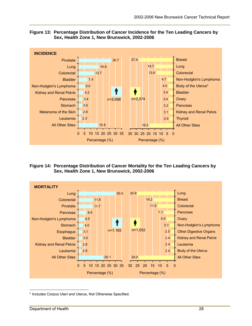



**Figure 14: Percentage Distribution of Cancer Mortality for the Ten Leading Cancers by Sex, Health Zone 1, New Brunswick, 2002-2006** 



<sup>1</sup> \* Includes Corpus Uteri and Uterus, Not Otherwise Specified.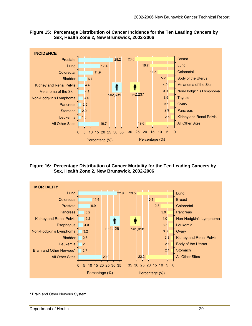

#### **Figure 15: Percentage Distribution of Cancer Incidence for the Ten Leading Cancers by Sex, Health Zone 2, New Brunswick, 2002-2006**

**Figure 16: Percentage Distribution of Cancer Mortality for the Ten Leading Cancers by Sex, Health Zone 2, New Brunswick, 2002-2006** 



 $\overline{a}$ \* Brain and Other Nervous System.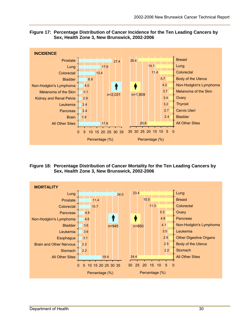

20.8

35 30 25 20 15 10 5 0

Percentage (%)

2.4

All Other Sites

**Bladder** 

#### **Figure 17: Percentage Distribution of Cancer Incidence for the Ten Leading Cancers by Sex, Health Zone 3, New Brunswick, 2002-2006**

**Figure 18: Percentage Distribution of Cancer Mortality for the Ten Leading Cancers by Sex, Health Zone 3, New Brunswick, 2002-2006** 

17.8

0 5 10 15 20 25 30 35

Percentage (%)

1.8

All Other Sites

Brain

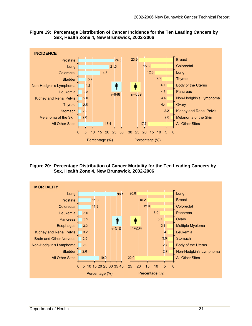



**Figure 20: Percentage Distribution of Cancer Mortality for the Ten Leading Cancers by Sex, Health Zone 4, New Brunswick, 2002-2006** 

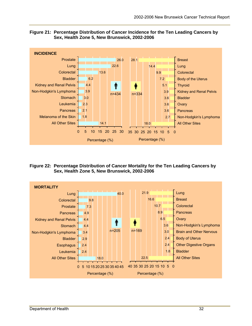

#### **Figure 21: Percentage Distribution of Cancer Incidence for the Ten Leading Cancers by Sex, Health Zone 5, New Brunswick, 2002-2006**

**Figure 22: Percentage Distribution of Cancer Mortality for the Ten Leading Cancers by Sex, Health Zone 5, New Brunswick, 2002-2006** 

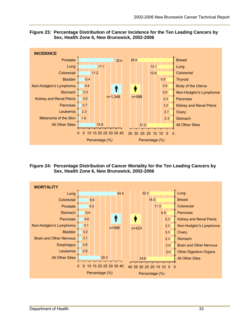



**Figure 24: Percentage Distribution of Cancer Mortality for the Ten Leading Cancers by Sex, Health Zone 6, New Brunswick, 2002-2006** 

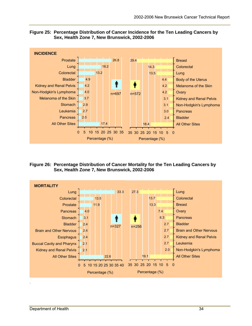

#### **Figure 25: Percentage Distribution of Cancer Incidence for the Ten Leading Cancers by Sex, Health Zone 7, New Brunswick, 2002-2006**

**Figure 26: Percentage Distribution of Cancer Mortality for the Ten Leading Cancers by Sex, Health Zone 7, New Brunswick, 2002-2006** 

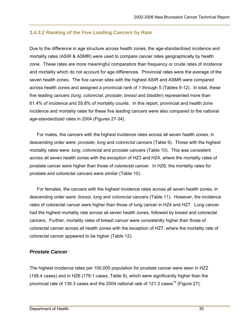#### **3.4.3.2 Ranking of the Five Leading Cancers by Rate**

Due to the difference in age structure across health zones, the age-standardized incidence and mortality rates (ASIR & ASMR) were used to compare cancer rates geographically by health zone. These rates are more meaningful comparators than frequency or crude rates of incidence and mortality which do not account for age differences. Provincial rates were the average of the seven health zones. The five cancer sites with the highest ASIR and ASMR were compared across health zones and assigned a provincial rank of 1 through 5 (Tables 9-12). In total, these five leading cancers (*lung*, *colorectal*, *prostate*, *breast* and *bladder*) represented more than 61.4% of incidence and 55.8% of mortality counts. In this report, provincial and health zone incidence and mortality rates for these five leading cancers were also compared to the national age-standardized rates in 2004 (Figures 27-34).

For males, the cancers with the highest incidence rates across all seven health zones, in descending order were: *prostate*, *lung* and *colorectal* cancers (Table 9). Those with the highest mortality rates were: *lung*, *colorectal* and *prostate* cancers (Table 10). This was consistent across all seven health zones with the exception of HZ3 and HZ4, where the mortality rates of prostate cancer were higher than those of colorectal cancer. In HZ6, the mortality rates for prostate and colorectal cancers were similar (Table 10).

For females, the cancers with the highest incidence rates across all seven health zones, in descending order were: *breast*, *lung* and *colorectal* cancers (Table 11). However, the incidence rates of colorectal cancer were higher than those of lung cancer in HZ4 and HZ7. Lung cancer had the highest mortality rate across all seven health zones, followed by breast and colorectal cancers. Further, mortality rates of breast cancer were consistently higher than those of colorectal cancer across all health zones with the exception of HZ7, where the mortality rate of colorectal cancer appeared to be higher (Table 12).

#### *Prostate Cancer*

The highest incidence rates per 100,000 population for prostate cancer were seen in HZ2 (158.4 cases) and in HZ6 (178.1 cases, Table 9), which were significantly higher than the provincial rate of 139.3 cases and the 2004 national rate of 121.3 cases<sup>15</sup> (Figure 27).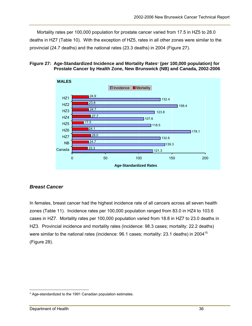Mortality rates per 100,000 population for prostate cancer varied from 17.5 in HZ5 to 28.0 deaths in HZ7 (Table 10). With the exception of HZ5, rates in all other zones were similar to the provincial (24.7 deaths) and the national rates (23.3 deaths) in 2004 (Figure 27).





## *Breast Cancer*

In females, breast cancer had the highest incidence rate of all cancers across all seven health zones (Table 11). Incidence rates per 100,000 population ranged from 83.0 in HZ4 to 103.6 cases in HZ7. Mortality rates per 100,000 population varied from 18.8 in HZ7 to 23.0 deaths in HZ3. Provincial incidence and mortality rates (incidence: 98.3 cases; mortality: 22.2 deaths) were similar to the national rates (incidence: 96.1 cases; mortality: 23.1 deaths) in 2004<sup>15</sup> (Figure 28).

 $\overline{a}$ \* Age-standardized to the 1991 Canadian population estimates.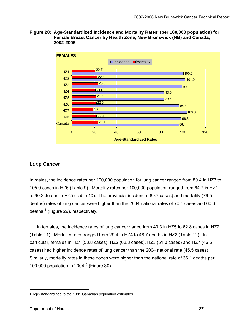**Figure 28: Age-Standardized Incidence and Mortality Rates (per 100,000 population) for Female Breast Cancer by Health Zone, New Brunswick (NB) and Canada, 2002-2006** 



#### *Lung Cancer*

In males, the incidence rates per 100,000 population for lung cancer ranged from 80.4 in HZ3 to 105.9 cases in HZ5 (Table 9). Mortality rates per 100,000 population ranged from 64.7 in HZ1 to 90.2 deaths in HZ5 (Table 10). The provincial incidence (89.7 cases) and mortality (76.5 deaths) rates of lung cancer were higher than the 2004 national rates of 70.4 cases and 60.6 deaths $^{15}$  (Figure 29), respectively.

In females, the incidence rates of lung cancer varied from 40.3 in HZ5 to 62.8 cases in HZ2 (Table 11). Mortality rates ranged from 29.4 in HZ4 to 48.7 deaths in HZ2 (Table 12). In particular, females in HZ1 (53.8 cases), HZ2 (62.8 cases), HZ3 (51.0 cases) and HZ7 (46.5 cases) had higher incidence rates of lung cancer than the 2004 national rate (45.5 cases). Similarly, mortality rates in these zones were higher than the national rate of 36.1 deaths per 100,000 population in  $2004^{15}$  (Figure 30).

 $\overline{a}$ 

Age-standardized to the 1991 Canadian population estimates.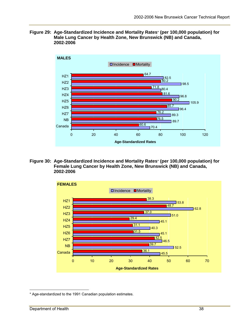**Figure 29: Age-Standardized Incidence and Mortality Rates**\* **(per 100,000 population) for Male Lung Cancer by Health Zone, New Brunswick (NB) and Canada, 2002-2006** 



**Figure 30: Age-Standardized Incidence and Mortality Rates**\* **(per 100,000 population) for Female Lung Cancer by Health Zone, New Brunswick (NB) and Canada, 2002-2006** 



 $\overline{a}$ \* Age-standardized to the 1991 Canadian population estimates.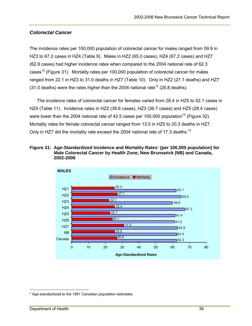## *Colorectal Cancer*

The incidence rates per 100,000 population of colorectal cancer for males ranged from 59.9 in HZ3 to 67.2 cases in HZ4 (Table 9). Males in HZ2 (65.0 cases), HZ4 (67.2 cases) and HZ7 (62.9 cases) had higher incidence rates when compared to the 2004 national rate of 62.3 cases<sup>15</sup> (Figure 31). Mortality rates per 100,000 population of colorectal cancer for males ranged from 22.1 in HZ3 to 31.0 deaths in HZ7 (Table 10). Only in HZ2 (27.1 deaths) and HZ7 (31.0 deaths) were the rates higher than the 2004 national rate<sup>15</sup> (26.8 deaths).

The incidence rates of colorectal cancer for females varied from 28.4 in HZ5 to 52.1 cases in HZ4 (Table 11). Incidence rates in HZ2 (39.6 cases), HZ3 (36.7 cases) and HZ5 (28.4 cases) were lower than the 2004 national rate of 42.5 cases per 100,000 population<sup>15</sup> (Figure 32). Mortality rates for female colorectal cancer ranged from 13.5 in HZ5 to 20.3 deaths in HZ7. Only in HZ7 did the mortality rate exceed the 2004 national rate of 17.3 deaths.<sup>15</sup>





 $\overline{a}$ \* Age-standardized to the 1991 Canadian population estimates.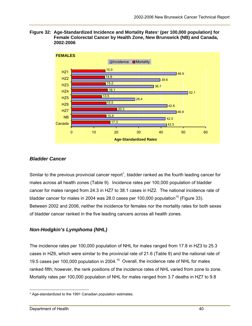



## *Bladder Cancer*

Similar to the previous provincial cancer report<sup>1</sup>, bladder ranked as the fourth leading cancer for males across all health zones (Table 9). Incidence rates per 100,000 population of bladder cancer for males ranged from 24.3 in HZ7 to 38.1 cases in HZ2. The national incidence rate of bladder cancer for males in 2004 was 28.0 cases per 100,000 population<sup>15</sup> (Figure 33). Between 2002 and 2006, neither the incidence for females nor the mortality rates for both sexes of bladder cancer ranked in the five leading cancers across all health zones.

## *Non-Hodgkin's Lymphoma (NHL)*

The incidence rates per 100,000 population of NHL for males ranged from 17.8 in HZ3 to 25.3 cases in HZ6, which were similar to the provincial rate of 21.6 (Table 9) and the national rate of 19.5 cases per 100,000 population in 2004.<sup>15</sup> Overall, the incidence rate of NHL for males ranked fifth; however, the rank positions of the incidence rates of NHL varied from zone to zone. Mortality rates per 100,000 population of NHL for males ranged from 3.7 deaths in HZ7 to 9.8

 $\overline{a}$ \* Age-standardized to the 1991 Canadian population estimates.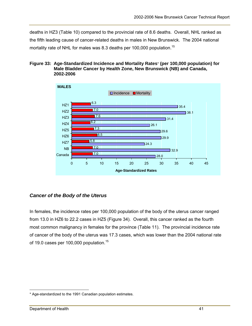deaths in HZ3 (Table 10) compared to the provincial rate of 8.6 deaths. Overall, NHL ranked as the fifth leading cause of cancer-related deaths in males in New Brunswick. The 2004 national mortality rate of NHL for males was 8.3 deaths per 100,000 population.<sup>15</sup>

#### **Figure 33: Age-Standardized Incidence and Mortality Rates**\* **(per 100,000 population) for Male Bladder Cancer by Health Zone, New Brunswick (NB) and Canada, 2002-2006**



## *Cancer of the Body of the Uterus*

In females, the incidence rates per 100,000 population of the body of the uterus cancer ranged from 13.0 in HZ6 to 22.2 cases in HZ5 (Figure 34). Overall, this cancer ranked as the fourth most common malignancy in females for the province (Table 11). The provincial incidence rate of cancer of the body of the uterus was 17.3 cases, which was lower than the 2004 national rate of 19.0 cases per 100,000 population.<sup>15</sup>

 $\overline{a}$ \* Age-standardized to the 1991 Canadian population estimates.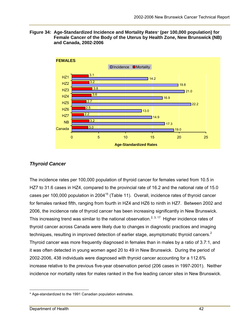**Figure 34: Age-Standardized Incidence and Mortality Rates**\* **(per 100,000 population) for Female Cancer of the Body of the Uterus by Health Zone, New Brunswick (NB) and Canada, 2002-2006** 



## *Thyroid Cancer*

The incidence rates per 100,000 population of thyroid cancer for females varied from 10.5 in HZ7 to 31.6 cases in HZ4, compared to the provincial rate of 16.2 and the national rate of 15.0 cases per 100,000 population in 2004<sup>15</sup> (Table 11). Overall, incidence rates of thyroid cancer for females ranked fifth, ranging from fourth in HZ4 and HZ6 to ninth in HZ7. Between 2002 and 2006, the incidence rate of thyroid cancer has been increasing significantly in New Brunswick. This increasing trend was similar to the national observation.<sup>2, 3, 17</sup> Higher incidence rates of thyroid cancer across Canada were likely due to changes in diagnostic practices and imaging techniques, resulting in improved detection of earlier stage, asymptomatic thyroid cancers.<sup>2</sup> Thyroid cancer was more frequently diagnosed in females than in males by a ratio of 3.7:1, and it was often detected in young women aged 20 to 49 in New Brunswick. During the period of 2002-2006, 438 individuals were diagnosed with thyroid cancer accounting for a 112.6% increase relative to the previous five-year observation period (206 cases in 1997-2001). Neither incidence nor mortality rates for males ranked in the five leading cancer sites in New Brunswick.

 $\overline{a}$ \* Age-standardized to the 1991 Canadian population estimates.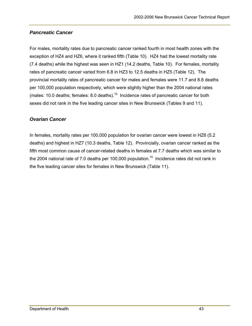## *Pancreatic Cancer*

For males, mortality rates due to pancreatic cancer ranked fourth in most health zones with the exception of HZ4 and HZ6, where it ranked fifth (Table 10). HZ4 had the lowest mortality rate (7.4 deaths) while the highest was seen in HZ1 (14.2 deaths, Table 10). For females, mortality rates of pancreatic cancer varied from 6.8 in HZ3 to 12.5 deaths in HZ5 (Table 12). The provincial mortality rates of pancreatic cancer for males and females were 11.7 and 8.8 deaths per 100,000 population respectively, which were slightly higher than the 2004 national rates (males: 10.0 deaths; females: 8.0 deaths).<sup>15</sup> Incidence rates of pancreatic cancer for both sexes did not rank in the five leading cancer sites in New Brunswick (Tables 9 and 11).

# *Ovarian Cancer*

In females, mortality rates per 100,000 population for ovarian cancer were lowest in HZ6 (5.2 deaths) and highest in HZ7 (10.3 deaths, Table 12). Provincially, ovarian cancer ranked as the fifth most common cause of cancer-related deaths in females at 7.7 deaths which was similar to the 2004 national rate of 7.0 deaths per 100,000 population.<sup>15</sup> Incidence rates did not rank in the five leading cancer sites for females in New Brunswick (Table 11).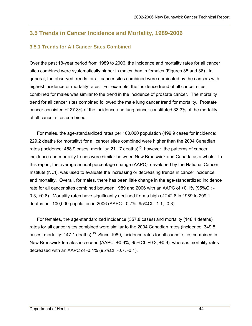# **3.5 Trends in Cancer Incidence and Mortality, 1989-2006**

## **3.5.1 Trends for All Cancer Sites Combined**

Over the past 18-year period from 1989 to 2006, the incidence and mortality rates for all cancer sites combined were systematically higher in males than in females (Figures 35 and 36). In general, the observed trends for all cancer sites combined were dominated by the cancers with highest incidence or mortality rates. For example, the incidence trend of all cancer sites combined for males was similar to the trend in the incidence of prostate cancer. The mortality trend for all cancer sites combined followed the male lung cancer trend for mortality. Prostate cancer consisted of 27.8% of the incidence and lung cancer constituted 33.3% of the mortality of all cancer sites combined.

For males, the age-standardized rates per 100,000 population (499.9 cases for incidence; 229.2 deaths for mortality) for all cancer sites combined were higher than the 2004 Canadian rates (incidence: 458.9 cases; mortality: 211.7 deaths)<sup>15</sup>, however, the patterns of cancer incidence and mortality trends were similar between New Brunswick and Canada as a whole. In this report, the average annual percentage change (AAPC), developed by the National Cancer Institute (NCI), was used to evaluate the increasing or decreasing trends in cancer incidence and mortality. Overall, for males, there has been little change in the age-standardized incidence rate for all cancer sites combined between 1989 and 2006 with an AAPC of +0.1% (95%CI: - 0.3, +0.6). Mortality rates have significantly declined from a high of 242.8 in 1989 to 209.1 deaths per 100,000 population in 2006 (AAPC: -0.7%, 95%CI: -1.1, -0.3).

For females, the age-standardized incidence (357.8 cases) and mortality (148.4 deaths) rates for all cancer sites combined were similar to the 2004 Canadian rates (incidence: 349.5 cases; mortality: 147.1 deaths).<sup>15</sup> Since 1989, incidence rates for all cancer sites combined in New Brunswick females increased (AAPC: +0.6%, 95%CI: +0.3, +0.9), whereas mortality rates decreased with an AAPC of -0.4% (95%CI: -0.7, -0.1).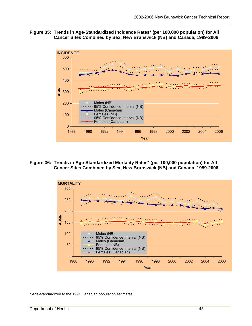#### **Figure 35: Trends in Age-Standardized Incidence Rates\* (per 100,000 population) for All Cancer Sites Combined by Sex, New Brunswick (NB) and Canada, 1989-2006**



**Figure 36: Trends in Age-Standardized Mortality Rates\* (per 100,000 population) for All Cancer Sites Combined by Sex, New Brunswick (NB) and Canada, 1989-2006** 



 $\overline{a}$ \* Age-standardized to the 1991 Canadian population estimates.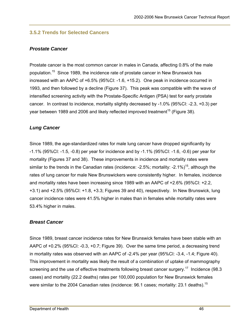## **3.5.2 Trends for Selected Cancers**

#### *Prostate Cancer*

Prostate cancer is the most common cancer in males in Canada, affecting 0.8% of the male population.15 Since 1989, the incidence rate of prostate cancer in New Brunswick has increased with an AAPC of +6.5% (95%CI: -1.6, +15.2). One peak in incidence occurred in 1993, and then followed by a decline (Figure 37). This peak was compatible with the wave of intensified screening activity with the Prostate-Specific Antigen (PSA) test for early prostate cancer. In contrast to incidence, mortality slightly decreased by -1.0% (95%CI: -2.3, +0.3) per year between 1989 and 2006 and likely reflected improved treatment<sup>15</sup> (Figure 38).

#### *Lung Cancer*

Since 1989, the age-standardized rates for male lung cancer have dropped significantly by -1.1% (95%CI: -1.5, -0.8) per year for incidence and by -1.1% (95%CI: -1.6, -0.6) per year for mortality (Figures 37 and 38). These improvements in incidence and mortality rates were similar to the trends in the Canadian rates (incidence:  $-2.5\%$ ; mortality:  $-2.1\%$ )<sup>15</sup>, although the rates of lung cancer for male New Brunswickers were consistently higher. In females, incidence and mortality rates have been increasing since 1989 with an AAPC of +2.6% (95%CI: +2.2, +3.1) and +2.5% (95%CI: +1.8, +3.3; Figures 39 and 40), respectively. In New Brunswick, lung cancer incidence rates were 41.5% higher in males than in females while mortality rates were 53.4% higher in males.

## *Breast Cancer*

Since 1989, breast cancer incidence rates for New Brunswick females have been stable with an AAPC of +0.2% (95%CI: -0.3, +0.7; Figure 39). Over the same time period, a decreasing trend in mortality rates was observed with an AAPC of -2.4% per year (95%CI: -3.4, -1.4; Figure 40). This improvement in mortality was likely the result of a combination of uptake of mammography screening and the use of effective treatments following breast cancer surgery.<sup>17</sup> Incidence (98.3) cases) and mortality (22.2 deaths) rates per 100,000 population for New Brunswick females were similar to the 2004 Canadian rates (incidence: 96.1 cases; mortality: 23.1 deaths).<sup>15</sup>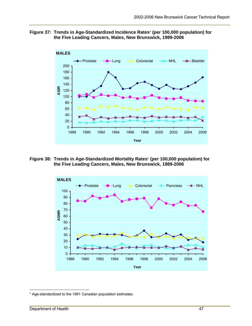



**Figure 38: Trends in Age-Standardized Mortality Rates**\* **(per 100,000 population) for the Five Leading Cancers, Males, New Brunswick, 1989-2006** 



 $\overline{a}$ \* Age-standardized to the 1991 Canadian population estimates.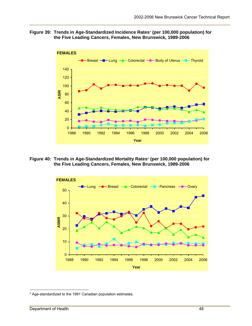#### **Figure 39: Trends in Age-Standardized Incidence Rates**\* **(per 100,000 population) for the Five Leading Cancers, Females, New Brunswick, 1989-2006**



**Figure 40: Trends in Age-Standardized Mortality Rates**\* **(per 100,000 population) for the Five Leading Cancers, Females, New Brunswick, 1989-2006** 



 $\overline{a}$ \* Age-standardized to the 1991 Canadian population estimates.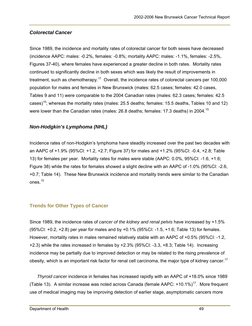#### *Colorectal Cancer*

Since 1989, the incidence and mortality rates of colorectal cancer for both sexes have decreased (incidence AAPC: males: -0.2%, females: -0.8%; mortality AAPC: males: -1.1%, females: -2.5%, Figures 37-40), where females have experienced a greater decline in both rates. Mortality rates continued to significantly decline in both sexes which was likely the result of improvements in treatment, such as chemotherapy.<sup>17</sup> Overall, the incidence rates of colorectal cancers per 100,000 population for males and females in New Brunswick (males: 62.5 cases; females: 42.0 cases, Tables 9 and 11) were comparable to the 2004 Canadian rates (males: 62.3 cases; females: 42.5 cases)<sup>15</sup>; whereas the mortality rates (males: 25.5 deaths; females: 15.5 deaths, Tables 10 and 12) were lower than the Canadian rates (males: 26.8 deaths; females: 17.3 deaths) in 2004.<sup>15</sup>

#### *Non-Hodgkin's Lymphoma (NHL)*

Incidence rates of non-Hodgkin's lymphoma have steadily increased over the past two decades with an AAPC of +1.9% (95%CI: +1.2, +2.7; Figure 37) for males and +1.2% (95%CI: -0.4, +2.8; Table 13) for females per year. Mortality rates for males were stable (AAPC: 0.0%, 95%CI: -1.6, +1.6; Figure 38) while the rates for females showed a slight decline with an AAPC of -1.0% (95%CI: -2.6, +0.7; Table 14). These New Brunswick incidence and mortality trends were similar to the Canadian ones.<sup>15</sup>

#### **Trends for Other Types of Cancer**

Since 1989, the incidence rates of *cancer of the kidney and renal pelvis* have increased by +1.5% (95%CI: +0.2, +2.8) per year for males and by +0.1% (95%CI: -1.5, +1.6; Table 13) for females. However, mortality rates in males remained relatively stable with an AAPC of +0.5% (95%CI: -1.2, +2.3) while the rates increased in females by +2.3% (95%CI: -3.3, +8.3; Table 14). Increasing incidence may be partially due to improved detection or may be related to the rising prevalence of obesity, which is an important risk factor for renal cell carcinoma, the major type of kidney cancer.<sup>17</sup>

*Thyroid cancer* incidence in females has increased rapidly with an AAPC of +18.0% since 1989 (Table 13). A similar increase was noted across Canada (female AAPC:  $+10.1\%$ )<sup>17</sup>. More frequent use of medical imaging may be improving detection of earlier stage, asymptomatic cancers more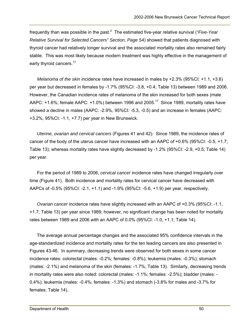frequently than was possible in the past.<sup>2</sup> The estimated five-year relative survival ("Five-Year *Relative Survival for Selected Cancers" Section, Page 54*) showed that patients diagnosed with thyroid cancer had relatively longer survival and the associated mortality rates also remained fairly stable. This was most likely because modern treatment was highly effective in the management of early thyroid cancers.<sup>17</sup>

*Melanoma of the skin* incidence rates have increased in males by +2.3% (95%CI: +1.1, +3.6) per year but decreased in females by -1.7% (95%CI: -3.8, +0.4; Table 13) between 1989 and 2006. However, the Canadian incidence rates of melanoma of the skin increased for both sexes (male AAPC:  $+1.6\%$ ; female AAPC:  $+1.0\%$ ) between 1996 and 2005.<sup>17</sup> Since 1989, mortality rates have showed a decline in males (AAPC: -2.9%, 95%CI: -5.3, -0.5) and an increase in females (AAPC: +3.2%, 95%CI: -1.1, +7.7) per year in New Brunswick.

*Uterine, ovarian and cervical cancers* (Figures 41 and 42)*:* Since 1989, the incidence rates of cancer of the body of the uterus cancer have increased with an AAPC of +0.6% (95%CI: -0.5, +1.7; Table 13); whereas mortality rates have slightly decreased by -1.2% (95%CI: -2.9, +0.5; Table 14) per year.

For the period of 1989 to 2006, *cervical cancer* incidence rates have changed irregularly over time (Figure 41). Both incidence and mortality rates for cervical cancer have decreased with AAPCs of -0.5% (95%CI: -2.1, +1.1) and -1.9% (95%CI: -5.6, +1.9) per year, respectively.

*Ovarian cancer* incidence rates have slightly increased with an AAPC of +0.3% (95%CI: -1.1, +1.7; Table 13) per year since 1989; however, no significant change has been noted for mortality rates between 1989 and 2006 with an AAPC of 0.0% (95%CI: -1.0, +1.1; Table 14).

The average annual percentage changes and the associated 95% confidence intervals in the age-standardized incidence and mortality rates for the ten leading cancers are also presented in Figures 43-46. In summary, decreasing trends were observed for both sexes in some cancer incidence rates: colorectal (males: -0.2%; females: -0.8%); leukemia (males: -0.3%); stomach (males: -2.1%) and melanoma of the skin (females: -1.7%; Table 13). Similarly, decreasing trends in mortality rates were also noted: colorectal (males: -1.1%; females: -2.5%); bladder (males: - 0.4%); leukemia (males: -0.4%; females: -1.3%) and stomach (-3.8% for males and -3.7% for females; Table 14).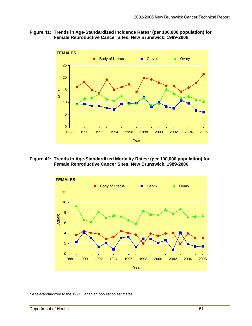#### **Figure 41: Trends in Age-Standardized Incidence Rates**\* **(per 100,000 population) for Female Reproductive Cancer Sites, New Brunswick, 1989-2006**



**Figure 42: Trends in Age-Standardized Mortality Rates**\* **(per 100,000 population) for Female Reproductive Cancer Sites, New Brunswick, 1989-2006** 



 $\overline{a}$ \* Age-standardized to the 1991 Canadian population estimates.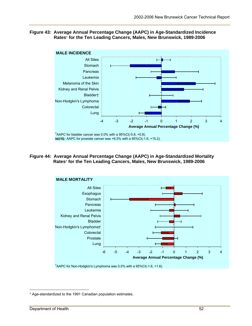#### **Figure 43: Average Annual Percentage Change (AAPC) in Age-Standardized Incidence Rates**\* **for the Ten Leading Cancers, Males, New Brunswick, 1989-2006**



**Figure 44: Average Annual Percentage Change (AAPC) in Age-Standardized Mortality Rates**\* **for the Ten Leading Cancers, Males, New Brunswick, 1989-2006**



<sup>†</sup> AAPC for Non-Hodgkin's Lymphoma was 0.0% with a 95%CI(-1.6, +1.6).

 $\overline{a}$ \* Age-standardized to the 1991 Canadian population estimates.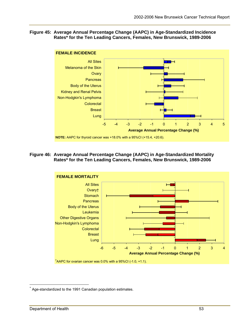#### **Figure 45: Average Annual Percentage Change (AAPC) in Age-Standardized Incidence Rates\* for the Ten Leading Cancers, Females, New Brunswick, 1989-2006**



**Figure 46: Average Annual Percentage Change (AAPC) in Age-Standardized Mortality Rates\* for the Ten Leading Cancers, Females, New Brunswick, 1989-2006** 



 $\overline{a}$ 

Age-standardized to the 1991 Canadian population estimates.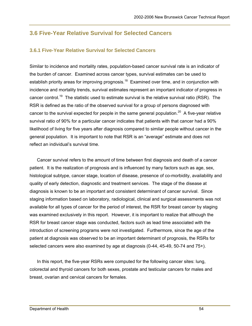### **3.6 Five-Year Relative Survival for Selected Cancers**

#### **3.6.1 Five-Year Relative Survival for Selected Cancers**

Similar to incidence and mortality rates, population-based cancer survival rate is an indicator of the burden of cancer. Examined across cancer types, survival estimates can be used to establish priority areas for improving prognosis.<sup>18</sup> Examined over time, and in conjunction with incidence and mortality trends, survival estimates represent an important indicator of progress in cancer control.<sup>19</sup> The statistic used to estimate survival is the relative survival ratio (RSR). The RSR is defined as the ratio of the observed survival for a group of persons diagnosed with cancer to the survival expected for people in the same general population.<sup>20</sup> A five-year relative survival ratio of 90% for a particular cancer indicates that patients with that cancer had a 90% likelihood of living for five years after diagnosis compared to similar people without cancer in the general population. It is important to note that RSR is an "average" estimate and does not reflect an individual's survival time.

Cancer survival refers to the amount of time between first diagnosis and death of a cancer patient. It is the realization of prognosis and is influenced by many factors such as age, sex, histological subtype, cancer stage, location of disease, presence of co-morbidity, availability and quality of early detection, diagnostic and treatment services. The stage of the disease at diagnosis is known to be an important and consistent determinant of cancer survival. Since staging information based on laboratory, radiological, clinical and surgical assessments was not available for all types of cancer for the period of interest, the RSR for breast cancer by staging was examined exclusively in this report. However, it is important to realize that although the RSR for breast cancer stage was conducted, factors such as lead time associated with the introduction of screening programs were not investigated. Furthermore, since the age of the patient at diagnosis was observed to be an important determinant of prognosis, the RSRs for selected cancers were also examined by age at diagnosis (0-44, 45-49, 50-74 and 75+).

In this report, the five-year RSRs were computed for the following cancer sites: lung, colorectal and thyroid cancers for both sexes, prostate and testicular cancers for males and breast, ovarian and cervical cancers for females.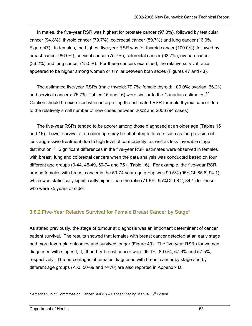In males, the five-year RSR was highest for prostate cancer (97.3%), followed by testicular cancer (94.8%), thyroid cancer (79.7%), colorectal cancer (59.7%) and lung cancer (16.0%, Figure 47). In females, the highest five-year RSR was for thyroid cancer (100.0%), followed by breast cancer (86.0%), cervical cancer (75.7%), colorectal cancer (63.7%), ovarian cancer (36.2%) and lung cancer (15.5%). For these cancers examined, the relative survival ratios appeared to be higher among women or similar between both sexes (Figures 47 and 48).

The estimated five-year RSRs (male thyroid: 79.7%; female thyroid: 100.0%; ovarian: 36.2% and cervical cancers: 75.7%; Tables 15 and 16) were similar to the Canadian estimates.<sup>17</sup> Caution should be exercised when interpreting the estimated RSR for male thyroid cancer due to the relatively small number of new cases between 2002 and 2006 (94 cases).

The five-year RSRs tended to be poorer among those diagnosed at an older age (Tables 15 and 16). Lower survival at an older age may be attributed to factors such as the provision of less aggressive treatment due to high level of co-morbidity, as well as less favorable stage distribution.<sup>21</sup> Significant differences in the five-year RSR estimates were observed in females with breast, lung and colorectal cancers when the data analysis was conducted based on four different age groups (0-44, 45-49, 50-74 and 75+; Table 16). For example, the five-year RSR among females with breast cancer in the 50-74 year age group was 90.5% (95%CI: 85.8, 94.1), which was statistically significantly higher than the ratio (71.6%, 95%CI: 58.2, 84.1) for those who were 75 years or older.

#### **3.6.2 Five-Year Relative Survival for Female Breast Cancer by Stage**\*

As stated previously, the stage of tumour at diagnosis was an important determinant of cancer patient survival. The results showed that females with breast cancer detected at an early stage had more favorable outcomes and survived longer (Figure 49). The five-year RSRs for women diagnosed with stages I, II, III and IV breast cancer were 96.1%, 89.0%, 67.6% and 57.5%, respectively. The percentages of females diagnosed with breast cancer by stage and by different age groups (<50; 50-69 and >=70) are also reported in Appendix D.

 $\overline{a}$ \* American Joint Committee on Cancer (AJCC) – Cancer Staging Manual: 6<sup>th</sup> Edition.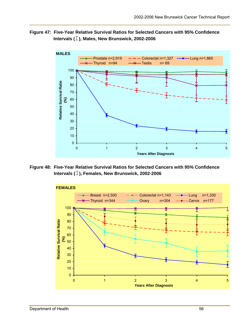



**Figure 48: Five-Year Relative Survival Ratios for Selected Cancers with 95% Confidence Intervals (**І**), Females, New Brunswick, 2002-2006** 

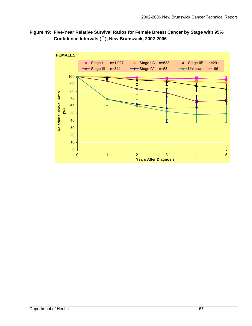#### **Figure 49: Five-Year Relative Survival Ratios for Female Breast Cancer by Stage with 95% Confidence Intervals (**І**), New Brunswick, 2002-2006**

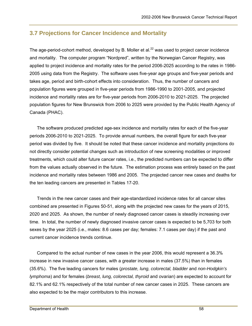### **3.7 Projections for Cancer Incidence and Mortality**

The age-period-cohort method, developed by B. Moller et al. $^{22}$  was used to project cancer incidence and mortality. The computer program "Nordpred", written by the Norwegian Cancer Registry, was applied to project incidence and mortality rates for the period 2006-2025 according to the rates in 1986- 2005 using data from the Registry. The software uses five-year age groups and five-year periods and takes age, period and birth-cohort effects into consideration. Thus, the number of cancers and population figures were grouped in five-year periods from 1986-1990 to 2001-2005, and projected incidence and mortality rates are for five-year periods from 2006-2010 to 2021-2025. The projected population figures for New Brunswick from 2006 to 2025 were provided by the Public Health Agency of Canada (PHAC).

The software produced predicted age-sex incidence and mortality rates for each of the five-year periods 2006-2010 to 2021-2025. To provide annual numbers, the overall figure for each five-year period was divided by five. It should be noted that these cancer incidence and mortality projections do not directly consider potential changes such as introduction of new screening modalities or improved treatments, which could alter future cancer rates, i.e., the predicted numbers can be expected to differ from the values actually observed in the future. The estimation process was entirely based on the past incidence and mortality rates between 1986 and 2005. The projected cancer new cases and deaths for the ten leading cancers are presented in Tables 17-20.

Trends in the new cancer cases and their age-standardized incidence rates for all cancer sites combined are presented in Figures 50-51, along with the projected new cases for the years of 2015, 2020 and 2025. As shown, the number of newly diagnosed cancer cases is steadily increasing over time. In total, the number of newly diagnosed invasive cancer cases is expected to be 5,703 for both sexes by the year 2025 (i.e., males: 8.6 cases per day; females: 7.1 cases per day) if the past and current cancer incidence trends continue.

Compared to the actual number of new cases in the year 2006, this would represent a 36.3% increase in new invasive cancer cases, with a greater increase in males (37.5%) than in females (35.6%). The five leading cancers for males (*prostate, lung, colorectal, bladder* and *non-Hodgkin's lymphoma*) and for females (*breast, lung, colorectal, thyroid* and *ovarian*) are expected to account for 82.1% and 62.1% respectively of the total number of new cancer cases in 2025. These cancers are also expected to be the major contributors to this increase.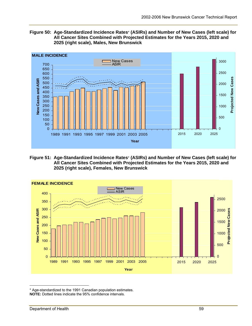



**Figure 51: Age-Standardized Incidence Rates**\* **(ASIRs) and Number of New Cases (left scale) for All Cancer Sites Combined with Projected Estimates for the Years 2015, 2020 and 2025 (right scale), Females, New Brunswick**



<sup>\*</sup> Age-standardized to the 1991 Canadian population estimates. **NOTE:** Dotted lines indicate the 95% confidence intervals.

 $\overline{a}$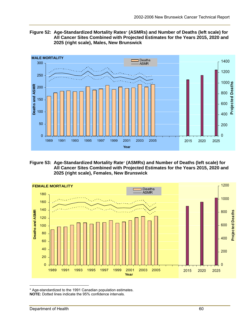



**Figure 53: Age-Standardized Mortality Rate**\* **(ASMRs) and Number of Deaths (left scale) for All Cancer Sites Combined with Projected Estimates for the Years 2015, 2020 and 2025 (right scale), Females, New Brunswick** 



<sup>\*</sup> Age-standardized to the 1991 Canadian population estimates. **NOTE:** Dotted lines indicate the 95% confidence intervals.

 $\overline{a}$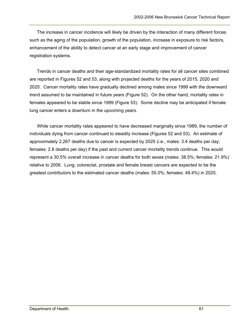The increase in cancer incidence will likely be driven by the interaction of many different forces such as the aging of the population, growth of the population, increase in exposure to risk factors, enhancement of the ability to detect cancer at an early stage and improvement of cancer registration systems.

Trends in cancer deaths and their age-standardized mortality rates for all cancer sites combined are reported in Figures 52 and 53, along with projected deaths for the years of 2015, 2020 and 2025. Cancer mortality rates have gradually declined among males since 1999 with the downward trend assumed to be maintained in future years (Figure 52). On the other hand, mortality rates in females appeared to be stable since 1999 (Figure 53). Some decline may be anticipated if female lung cancer enters a downturn in the upcoming years.

While cancer mortality rates appeared to have decreased marginally since 1989, the number of individuals dying from cancer continued to steadily increase (Figures 52 and 53). An estimate of approximately 2,267 deaths due to cancer is expected by 2025 (i.e., males: 3.4 deaths per day; females: 2.8 deaths per day) if the past and current cancer mortality trends continue. This would represent a 30.5% overall increase in cancer deaths for both sexes (males: 38.5%; females: 21.9%) relative to 2006. Lung, colorectal, prostate and female breast cancers are expected to be the greatest contributors to the estimated cancer deaths (males: 55.0%; females: 49.4%) in 2025.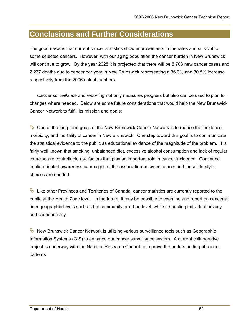### **Conclusions and Further Considerations**

The good news is that current cancer statistics show improvements in the rates and survival for some selected cancers. However, with our aging population the cancer burden in New Brunswick will continue to grow. By the year 2025 it is projected that there will be 5,703 new cancer cases and 2,267 deaths due to cancer per year in New Brunswick representing a 36.3% and 30.5% increase respectively from the 2006 actual numbers.

*Cancer surveillance* and *reporting* not only measures progress but also can be used to plan for changes where needed. Below are some future considerations that would help the New Brunswick Cancer Network to fulfill its mission and goals:

 $\heartsuit$  One of the long-term goals of the New Brunswick Cancer Network is to reduce the incidence, morbidity, and mortality of cancer in New Brunswick. One step toward this goal is to communicate the statistical evidence to the public as educational evidence of the magnitude of the problem. It is fairly well known that smoking, unbalanced diet, excessive alcohol consumption and lack of regular exercise are controllable risk factors that play an important role in cancer incidence. Continued public-oriented awareness campaigns of the association between cancer and these life-style choices are needed.

 $\rightarrow$  Like other Provinces and Territories of Canada, cancer statistics are currently reported to the public at the Health Zone level. In the future, it may be possible to examine and report on cancer at finer geographic levels such as the community or urban level, while respecting individual privacy and confidentiality.

 $\mathbb{R}$  New Brunswick Cancer Network is utilizing various surveillance tools such as Geographic Information Systems (GIS) to enhance our cancer surveillance system. A current collaborative project is underway with the National Research Council to improve the understanding of cancer patterns.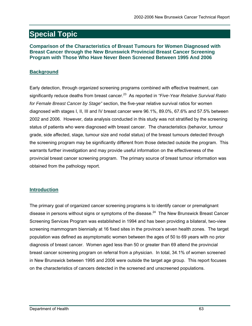### **Special Topic**

#### **Comparison of the Characteristics of Breast Tumours for Women Diagnosed with Breast Cancer through the New Brunswick Provincial Breast Cancer Screening Program with Those Who Have Never Been Screened Between 1995 And 2006**

#### **Background**

Early detection, through organized screening programs combined with effective treatment, can significantly reduce deaths from breast cancer.23 As reported in *"Five-Year Relative Survival Ratio for Female Breast Cancer by Stage"* section, the five-year relative survival ratios for women diagnosed with stages I, II, III and IV breast cancer were 96.1%, 89.0%, 67.6% and 57.5% between 2002 and 2006. However, data analysis conducted in this study was not stratified by the screening status of patients who were diagnosed with breast cancer. The characteristics (behavior, tumour grade, side affected, stage, tumour size and nodal status) of the breast tumours detected through the screening program may be significantly different from those detected outside the program. This warrants further investigation and may provide useful information on the effectiveness of the provincial breast cancer screening program. The primary source of breast tumour information was obtained from the pathology report.

#### **Introduction**

The primary goal of organized cancer screening programs is to identify cancer or premalignant disease in persons without signs or symptoms of the disease. $^{24}$  The New Brunswick Breast Cancer Screening Services Program was established in 1994 and has been providing a bilateral, two-view screening mammogram biennially at 16 fixed sites in the province's seven health zones. The target population was defined as asymptomatic women between the ages of 50 to 69 years with no prior diagnosis of breast cancer. Women aged less than 50 or greater than 69 attend the provincial breast cancer screening program on referral from a physician. In total, 34.1% of women screened in New Brunswick between 1995 and 2006 were outside the target age group. This report focuses on the characteristics of cancers detected in the screened and unscreened populations.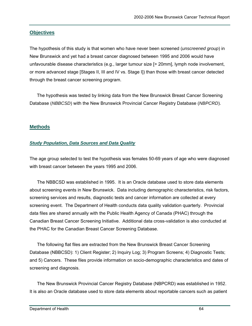#### **Objectives**

The hypothesis of this study is that women who have never been screened (*unscreened group*) in New Brunswick and yet had a breast cancer diagnosed between 1995 and 2006 would have unfavourable disease characteristics (e.g., larger tumour size [> 20mm], lymph node involvement, or more advanced stage [Stages II, III and IV vs. Stage I]) than those with breast cancer detected through the breast cancer screening program.

The hypothesis was tested by linking data from the New Brunswick Breast Cancer Screening Database (*NBBCSD*) with the New Brunswick Provincial Cancer Registry Database (*NBPCRD*).

#### **Methods**

#### *Study Population, Data Sources and Data Quality*

The age group selected to test the hypothesis was females 50-69 years of age who were diagnosed with breast cancer between the years 1995 and 2006.

The NBBCSD was established in 1995. It is an Oracle database used to store data elements about screening events in New Brunswick. Data including demographic characteristics, risk factors, screening services and results, diagnostic tests and cancer information are collected at every screening event. The Department of Health conducts data quality validation quarterly. Provincial data files are shared annually with the Public Health Agency of Canada (PHAC) through the Canadian Breast Cancer Screening Initiative. Additional data cross-validation is also conducted at the PHAC for the Canadian Breast Cancer Screening Database.

The following flat files are extracted from the New Brunswick Breast Cancer Screening Database (NBBCSD): 1) Client Register; 2) Inquiry Log; 3) Program Screens; 4) Diagnostic Tests; and 5) Cancers. These files provide information on socio-demographic characteristics and dates of screening and diagnosis.

The New Brunswick Provincial Cancer Registry Database (NBPCRD) was established in 1952. It is also an Oracle database used to store data elements about reportable cancers such as patient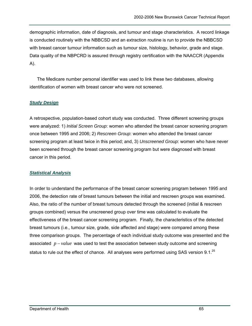demographic information, date of diagnosis, and tumour and stage characteristics. A record linkage is conducted routinely with the NBBCSD and an extraction routine is run to provide the NBBCSD with breast cancer tumour information such as tumour size, histology, behavior, grade and stage. Data quality of the NBPCRD is assured through registry certification with the NAACCR (Appendix A).

The Medicare number personal identifier was used to link these two databases, allowing identification of women with breast cancer who were not screened.

#### *Study Design*

A retrospective, population-based cohort study was conducted. Three different screening groups were analyzed: 1) *Initial Screen Group*: women who attended the breast cancer screening program once between 1995 and 2006; 2) *Rescreen Group*: women who attended the breast cancer screening program at least twice in this period; and, 3) *Unscreened Group*: women who have never been screened through the breast cancer screening program but were diagnosed with breast cancer in this period.

#### *Statistical Analysis*

In order to understand the performance of the breast cancer screening program between 1995 and 2006, the detection rate of breast tumours between the initial and rescreen groups was examined. Also, the ratio of the number of breast tumours detected through the screened (initial & rescreen groups combined) versus the unscreened group over time was calculated to evaluate the effectiveness of the breast cancer screening program. Finally, the characteristics of the detected breast tumours (i.e., tumour size, grade, side affected and stage) were compared among these three comparison groups. The percentage of each individual study outcome was presented and the associated  $p-value$  was used to test the association between study outcome and screening status to rule out the effect of chance. All analyses were performed using SAS version 9.1.<sup>25</sup>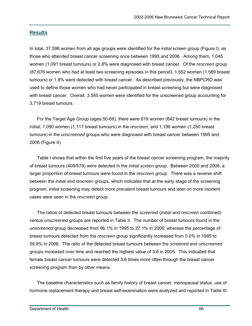#### **Results**

In total, 37,598 women from all age groups were identified for the *initial* screen group (Figure I), as those who attended breast cancer screening once between 1995 and 2006. Among them, 1,045 women (1,091 breast tumours) or 2.8% were diagnosed with breast cancer. Of the *rescreen* group (87,676 women who had at least two screening episodes in this period), 1,552 women (1,589 breast tumours) or 1.8% were detected with breast cancer. As described previously, the NBPCRD was used to define those women who had never participated in breast screening but were diagnosed with breast cancer. Overall, 3,585 women were identified for the unscreened group accounting for 3,719 breast tumours.

For the Target Age Group (ages:50-69), there were 619 women (642 breast tumours) in the *initial*, 1,090 women (1,117 breast tumours) in the *rescreen*, and 1,196 women (1,250 breast tumours) in the *unscreened* groups who were diagnosed with breast cancer between 1995 and 2006 (Figure II).

Table I shows that within the first five years of the breast cancer screening program, the majority of breast tumours (409/579) were detected in the *initial screen* group. Between 2000 and 2006, a larger proportion of breast tumours were found in the *rescreen* group. There was a reverse shift between the *initial* and *rescreen* groups, which indicates that at the early stage of the screening program, *initial* screening may detect more prevalent breast tumours and later on more incident cases were seen in the *rescreen* group.

The ratios of detected breast tumours between the *screened* (*initial* and *rescreen* combined) versus *unscreened* groups are reported in Table II. The number of breast tumours found in the *unscreened* group decreased from 96.1% in 1995 to 27.1% in 2006; whereas the percentage of breast tumours detected from the *rescreen* group significantly increased from 0.0% in 1995 to 59.9% in 2006. The ratio of the detected breast tumours between the *screened* and *unscreened* groups increased over time and reached the highest value of 3.6 in 2005. This indicated that female breast cancer tumours were detected 3.6 times more often through the breast cancer screening program than by other means.

The baseline characteristics such as family history of breast cancer, menopausal status, use of hormone replacement therapy and breast self-examination were analyzed and reported in Table III.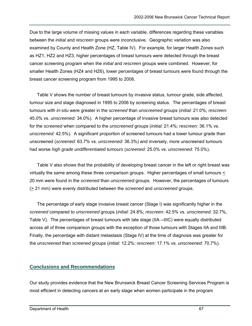Due to the large volume of missing values in each variable, differences regarding these variables between the *initial* and *rescreen* groups were inconclusive. Geographic variation was also examined by County and Health Zone (HZ, Table IV). For example, for larger Health Zones such as HZ1, HZ2 and HZ3, higher percentages of breast tumours were detected through the breast cancer screening program when the *initial* and *rescreen* groups were combined. However, for smaller Health Zones (HZ4 and HZ6), lower percentages of breast tumours were found through the breast cancer screening program from 1995 to 2006.

Table V shows the number of breast tumours by invasive status, tumour grade, side affected, tumour size and stage diagnosed in 1995 to 2006 by screening status. The percentages of breast tumours with *in-situ* were greater in the *screened* than *unscreened* groups (*initial:* 21.0%; *rescreen:* 45.0% vs. *unscreened:* 34.0%). A higher percentage of invasive breast tumours was also detected for the *screened* when compared to the *unscreened* groups (*initial:* 21.4%; *rescreen:* 36.1% vs. *unscreened:* 42.5%). A significant proportion of screened tumours had a lower tumour grade than unscreened (*screened:* 63.7% vs. *unscreened:* 36.3%) and inversely, more unscreened tumours had worse *high grade undifferentiated tumours* (*screened:* 25.0% vs. *unscreened:* 75.0%).

Table V also shows that the probability of developing breast cancer in the left or right breast was virtually the same among these three comparison groups. Higher percentages of small tumours < 20 mm were found in the *screened* than *unscreened* groups. However, the percentages of tumours (> 21 mm) were evenly distributed between the *screened* and *unscreened* groups.

The percentage of early stage invasive breast cancer (Stage I) was significantly higher in the *screened* compared to *unscreened* groups (*initial:* 24.8%; *rescreen:* 42.5% vs. *unscreened:* 32.7%, Table V). The percentages of breast tumours with late stage (IIA→IIIC) were equally distributed across all of three comparison groups with the exception of those tumours with Stages IIA and IIIB. Finally, the percentage with distant metastasis (Stage IV) at the time of diagnosis was greater for the *unscreened* than *screened* groups (*initial:* 12.2%; *rescreen:* 17.1% vs. *unscreened*: 70.7%).

#### **Conclusions and Recommendations**

Our study provides evidence that the New Brunswick Breast Cancer Screening Services Program is most efficient in detecting cancers at an early stage when women participate in the program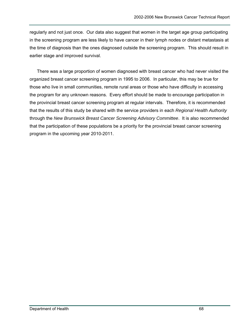regularly and not just once. Our data also suggest that women in the target age group participating in the screening program are less likely to have cancer in their lymph nodes or distant metastasis at the time of diagnosis than the ones diagnosed outside the screening program. This should result in earlier stage and improved survival.

There was a large proportion of women diagnosed with breast cancer who had never visited the organized breast cancer screening program in 1995 to 2006. In particular, this may be true for those who live in small communities, remote rural areas or those who have difficulty in accessing the program for any unknown reasons. Every effort should be made to encourage participation in the provincial breast cancer screening program at regular intervals. Therefore, it is recommended that the results of this study be shared with the service providers in each *Regional Health Authority* through the *New Brunswick Breast Cancer Screening Advisory Committee*. It is also recommended that the participation of these populations be a priority for the provincial breast cancer screening program in the upcoming year 2010-2011.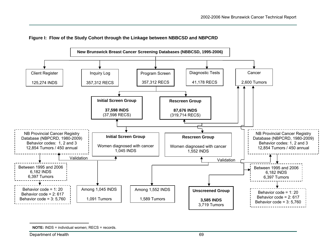

#### **Figure I: Flow of the Study Cohort through the Linkage between NBBCSD and NBPCRD**

**NOTE:** INDS = individual women: RECS = records.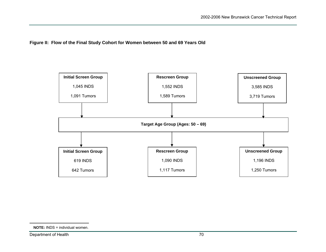**Figure II: Flow of the Final Study Cohort for Women between 50 and 69 Years Old** 



Department of Health 70

**NOTE:** INDS = individual women.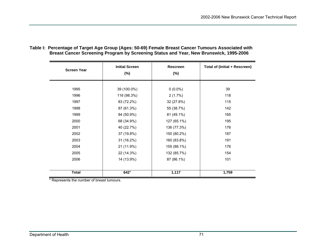| <b>Screen Year</b> | <b>Initial Screen</b><br>$(\%)$ | Rescreen<br>$(\%)$ | Total of (Initial + Rescreen) |
|--------------------|---------------------------------|--------------------|-------------------------------|
| 1995               | 39 (100.0%)                     | $0(0.0\%)$         | 39                            |
| 1996               | 116 (98.3%)                     | $2(1.7\%)$         | 118                           |
| 1997               | 83 (72.2%)                      | 32 (27.8%)         | 115                           |
| 1998               | 87 (61.3%)                      | 55 (38.7%)         | 142                           |
| 1999               | 84 (50.9%)                      | 81 (49.1%)         | 165                           |
| 2000               | 68 (34.9%)                      | 127 (65.1%)        | 195                           |
| 2001               | 40 (22.7%)                      | 136 (77.3%)        | 176                           |
| 2002               | 37 (19.8%)                      | 150 (80.2%)        | 187                           |
| 2003               | 31 (16.2%)                      | 160 (83.8%)        | 191                           |
| 2004               | 21 (11.9%)                      | 155 (88.1%)        | 176                           |
| 2005               | 22 (14.3%)                      | 132 (85.7%)        | 154                           |
| 2006               | 14 (13.9%)                      | 87 (86.1%)         | 101                           |
| <b>Total</b>       | 642*                            | 1,117              | 1,759                         |

**Table I: Percentage of Target Age Group (Ages: 50-69) Female Breast Cancer Tumours Associated with Breast Cancer Screening Program by Screening Status and Year, New Brunswick, 1995-2006** 

\* Represents the number of breast tumours.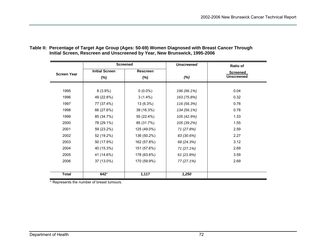|                    | <b>Screened</b>       |             | <b>Unscreened</b> | <b>Ratio of</b>   |
|--------------------|-----------------------|-------------|-------------------|-------------------|
| <b>Screen Year</b> | <b>Initial Screen</b> | Rescreen    |                   | Screened          |
|                    | $(\%)$                | $(\%)$      | $(\%)$            | <b>Unscreened</b> |
|                    |                       |             |                   |                   |
| 1995               | $8(3.9\%)$            | $0(0.0\%)$  | 196 (96.1%)       | 0.04              |
| 1996               | 49 (22.8%)            | $3(1.4\%)$  | 163 (75.8%)       | 0.32              |
| 1997               | 77 (37.4%)            | 13 (6.3%)   | 116 (56.3%)       | 0.78              |
| 1998               | 66 (27.6%)            | 39 (16.3%)  | 134 (56.1%)       | 0.78              |
| 1999               | 85 (34.7%)            | 55 (22.4%)  | 105 (42.9%)       | 1.33              |
| 2000               | 78 (29.1%)            | 85 (31.7%)  | 105 (39.2%)       | 1.55              |
| 2001               | 59 (23.2%)            | 125 (49.0%) | 71 (27.8%)        | 2.59              |
| 2002               | 52 (19.2%)            | 136 (50.2%) | 83 (30.6%)        | 2.27              |
| 2003               | 50 (17.9%)            | 162 (57.8%) | 68 (24.3%)        | 3.12              |
| 2004               | 40 (15.3%)            | 151 (57.6%) | 71 (27.1%)        | 2.69              |
| 2005               | 41 (14.6%)            | 178 (63.6%) | 61 (21.8%)        | 3.59              |
| 2006               | 37 (13.0%)            | 170 (59.9%) | 77 (27.1%)        | 2.69              |
|                    |                       |             |                   |                   |
| <b>Total</b>       | 642*                  | 1,117       | 1,250             |                   |

**Table II: Percentage of Target Age Group (Ages: 50-69) Women Diagnosed with Breast Cancer Through Initial Screen, Rescreen and Unscreened by Year, New Brunswick, 1995-2006** 

\* Represents the number of breast tumours.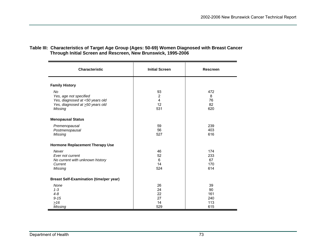#### **Table III: Characteristics of Target Age Group (Ages: 50-69) Women Diagnosed with Breast Cancer Through Initial Screen and Rescreen, New Brunswick, 1995-2006**

| <b>Characteristic</b>                                                                                                | <b>Initial Screen</b>                  | <b>Rescreen</b>                      |
|----------------------------------------------------------------------------------------------------------------------|----------------------------------------|--------------------------------------|
| <b>Family History</b>                                                                                                |                                        |                                      |
| <b>No</b><br>Yes, age not specified<br>Yes, diagnosed at <50 years old<br>Yes, diagnosed at >50 years old<br>Missing | 93<br>$\overline{2}$<br>4<br>12<br>531 | 472<br>8<br>76<br>82<br>620          |
| <b>Menopausal Status</b>                                                                                             |                                        |                                      |
| Premenopausal<br>Postmenopausal<br>Missing                                                                           | 59<br>56<br>527                        | 239<br>403<br>616                    |
| <b>Hormone Replacement Therapy Use</b>                                                                               |                                        |                                      |
| Never<br>Ever not current<br>No current with unknown history<br>Current<br>Missing                                   | 46<br>52<br>6<br>14<br>524             | 174<br>233<br>67<br>170<br>614       |
| <b>Breast Self-Examination (time/per year)</b>                                                                       |                                        |                                      |
| None<br>$1 - 3$<br>$4 - 8$<br>$9 - 15$<br>$\geq 16$<br>Missing                                                       | 26<br>24<br>22<br>27<br>14<br>529      | 39<br>90<br>161<br>240<br>113<br>615 |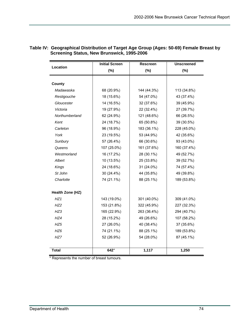|                  | <b>Initial Screen</b> | <b>Rescreen</b> | <b>Unscreened</b> |
|------------------|-----------------------|-----------------|-------------------|
| Location         | $(\%)$                | (%)             | (%)               |
|                  |                       |                 |                   |
| County           |                       |                 |                   |
| Madawaska        | 68 (20.9%)            | 144 (44.3%)     | 113 (34.8%)       |
| Restigouche      | 18 (15.6%)            | 54 (47.0%)      | 43 (37.4%)        |
| Gloucester       | 14 (16.5%)            | 32 (37.6%)      | 39 (45.9%)        |
| Victoria         | 19 (27.9%)            | 22 (32.4%)      | 27 (39.7%)        |
| Northumberland   | 62 (24.9%)            | 121 (48.6%)     | 66 (26.5%)        |
| Kent             | 24 (18.7%)            | 65 (50.8%)      | 39 (30.5%)        |
| Carleton         | 96 (18.9%)            | 183 (36.1%)     | 228 (45.0%)       |
| York             | 23 (19.5%)            | 53 (44.9%)      | 42 (35.6%)        |
| Sunbury          | 57 (26.4%)            | 66 (30.6%)      | 93 (43.0%)        |
| Queens           | 107 (25.0%)           | 161 (37.6%)     | 160 (37.4%)       |
| Westmorland      | 16 (17.2%)            | 28 (30.1%)      | 49 (52.7%)        |
| Albert           | 10 (13.5%)            | 25 (33.8%)      | 39 (52.7%)        |
| <b>Kings</b>     | 24 (18.6%)            | 31 (24.0%)      | 74 (57.4%)        |
| St John          | 30 (24.4%)            | 44 (35.8%)      | 49 (39.8%)        |
| Charlotte        | 74 (21.1%)            | 88 (25.1%)      | 189 (53.8%)       |
| Health Zone (HZ) |                       |                 |                   |
| HZ1              | 143 (19.0%)           | 301 (40.0%)     | 309 (41.0%)       |
| HZ2              | 153 (21.8%)           | 322 (45.9%)     | 227 (32.3%)       |
| HZ3              | 165 (22.9%)           | 263 (36.4%)     | 294 (40.7%)       |
| HZ4              | 28 (15.2%)            | 49 (26.6%)      | 107 (58.2%)       |
| HZ5              | 27 (26.0%)            | 40 (38.4%)      | 37 (35.6%)        |
| HZ6              | 74 (21.1%)            | 88 (25.1%)      | 189 (53.8%)       |
| HZ7              | 52 (26.9%)            | 54 (28.0%)      | 87 (45.1%)        |
| <b>Total</b>     | 642*                  | 1,117           | 1,250             |

#### **Table IV: Geographical Distribution of Target Age Group (Ages: 50-69) Female Breast by Screening Status, New Brunswick, 1995-2006**

\* Represents the number of breast tumours.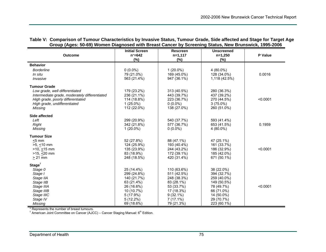| Table V: Comparison of Tumour Characteristics by Invasive Status, Tumour Grade, Side affected and Stage for Target Age |  |  |  |
|------------------------------------------------------------------------------------------------------------------------|--|--|--|
| Group (Ages: 50-69) Women Diagnosed with Breast Cancer by Screening Status, New Brunswick, 1995-2006                   |  |  |  |

| <b>Outcome</b>                                | <b>Initial Screen</b><br>$n^* = 642$ | <b>Rescreen</b><br>$n=1,117$ | <b>Unscreened</b><br>$n=1,250$ | P Value  |
|-----------------------------------------------|--------------------------------------|------------------------------|--------------------------------|----------|
|                                               | (%)                                  | (%)                          | (%)                            |          |
| <b>Behavior</b>                               |                                      |                              |                                |          |
| <b>Borderline</b>                             | $0(0.0\%)$                           | $1(20.0\%)$                  | $4(80.0\%)$                    |          |
| In situ                                       | 79 (21.0%)                           | 169 (45.0%)                  | 128 (34.0%)                    | 0.0016   |
| Invasive                                      | 563 (21.4%)                          | 947 (36.1%)                  | 1,118 (42.5%)                  |          |
| <b>Tumour Grade</b>                           |                                      |                              |                                |          |
| Low grade, well differentiated                | 179 (23.2%)                          | 313 (40.5%)                  | 280 (36.3%)                    |          |
| Intermediate grade, moderately differentiated | 236 (21.1%)                          | 443 (39.7%)                  | 437 (39.2%)                    |          |
| High grade, poorly differentiated             | 114 (18.8%)                          | 223 (36.7%)                  | 270 (44.5%)                    | < 0.0001 |
| High grade, undifferentiated                  | $1(25.0\%)$                          | $0(0.0\%)$                   | $3(75.0\%)$                    |          |
| Missing                                       | 112 (22.0%)                          | 138 (27.0%)                  | 260 (51.0%)                    |          |
| <b>Side affected</b>                          |                                      |                              |                                |          |
| Left                                          | 299 (20.9%)                          | 540 (37.7%)                  | 593 (41.4%)                    |          |
| <b>Right</b>                                  | 342 (21.8%)                          | 577 (36.7%)                  | 653 (41.5%)                    | 0.1959   |
| Missing                                       | $1(20.0\%)$                          | $0(0.0\%)$                   | 4 (80.0%)                      |          |
| <b>Tumour Size</b>                            |                                      |                              |                                |          |
| $< 5$ mm                                      | 52 (27.8%)                           | 88 (47.1%)                   | 47 (25.1%)                     |          |
| $>5$ , <10 mm                                 | 124 (25.9%)                          | 193 (40.4%)                  | 161 (33.7%)                    |          |
| $>10, \le 15$ mm                              | 135 (23.9%)                          | 244 (43.2%)                  | 186 (32.9%)                    | < 0.0001 |
| $>15, < 20$ mm                                | 83 (18.9%)                           | 172 (39.1%)                  | 185 (42.0%)                    |          |
| $> 21$ mm                                     | 248 (18.5%)                          | 420 (31.4%)                  | 671 (50.1%)                    |          |
| Stage <sup>†</sup>                            |                                      |                              |                                |          |
| Stage 0                                       | 25 (14.4%)                           | 110 (63.6%)                  | 38 (22.0%)                     |          |
| Stage I                                       | 299 (24.8%)                          | 511 (42.5%)                  | 394 (32.7%)                    |          |
| Stage IIA                                     | 140 (21.7%)                          | 248 (38.3%)                  | 259 (40.0%)                    |          |
| Stage IIB                                     | 63 (21.4%)                           | 83 (28.1%)                   | 149 (50.5%)                    |          |
| Stage IIIA                                    | 26 (16.6%)                           | 53 (33.7%)                   | 78 (49.7%)                     | < 0.0001 |
| Stage IIIB                                    | 10 (10.7%)                           | 17 (18.3%)                   | 66 (71.0%)                     |          |
| Stage IIIC                                    | 5 (17.9%)                            | $9(32.1\%)$                  | 14 (50.0%)                     |          |
| Stage IV                                      | $5(12.2\%)$                          | $7(17.1\%)$                  | 29 (70.7%)                     |          |
| Missing                                       | 69 (18.6%)                           | 79 (21.3%)                   | 223 (60.1%)                    |          |

\* Represents the number of breast tumours.<br><sup>†</sup> American Joint Committee on Cancer (AJCC) – Cancer Staging Manual: 6<sup>th</sup> Edition.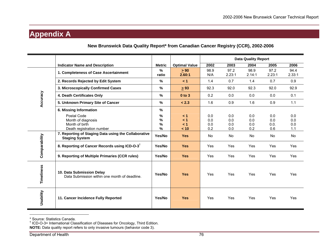### **Appendix A**

|               |                                                                                  |                                    |                           | <b>Data Quality Report</b> |                          |                          |                           |                          |
|---------------|----------------------------------------------------------------------------------|------------------------------------|---------------------------|----------------------------|--------------------------|--------------------------|---------------------------|--------------------------|
|               | <b>Indicator Name and Description</b>                                            | <b>Metric</b>                      | <b>Optimal Value</b>      | 2002                       | 2003                     | 2004                     | 2005                      | 2006                     |
|               | 1. Completeness of Case Ascertainment                                            | $\%$<br>ratio                      | $\geq 90$<br>2.60:1       | 98.9<br>N/A                | 97.2<br>2.23:1           | 98.9<br>2.14:1           | 97.2<br>2.23:1            | 94.4<br>2.33:1           |
|               | 2. Records Rejected by Edit System                                               | $\frac{9}{6}$                      | < 1                       | 1.4                        | 0.7                      | 1.4                      | 0.7                       | 0.9                      |
|               | 3. Microscopically Confirmed Cases                                               | $\frac{9}{6}$                      | $\geq 93$                 | 92.3                       | 92.0                     | 92.3                     | 92.0                      | 92.9                     |
| Accuracy      | 4. Death Certificates Only                                                       | $\%$                               | $0$ to $3$                | 0.2                        | 0.0                      | 0.0                      | 0.0                       | 0.1                      |
|               | 5. Unknown Primary Site of Cancer                                                | %                                  | < 2.3                     | 1.6                        | 0.9                      | 1.6                      | 0.9                       | 1.1                      |
|               | 6. Missing Information                                                           | $\%$                               |                           |                            |                          |                          |                           |                          |
|               | Postal Code<br>Month of diagnosis<br>Month of birth<br>Death registration number | %<br>$\frac{9}{6}$<br>$\%$<br>$\%$ | < 1<br>< 1<br>< 1<br>< 10 | 0.0<br>0.0<br>0.0<br>0.2   | 0.0<br>0.0<br>0.0<br>0.0 | 0.0<br>0.0<br>0.0<br>0.2 | 0.0<br>0.0<br>0.0.<br>0.6 | 0.0<br>0.0<br>0.0<br>1.1 |
|               | 7. Reporting of Staging Data using the Collaborative<br><b>Staging System</b>    | Yes/No                             | <b>Yes</b>                | <b>No</b>                  | <b>No</b>                | <b>No</b>                | <b>No</b>                 | No                       |
| Comparability | 8. Reporting of Cancer Records using ICD-O-3 <sup>†</sup>                        | Yes/No                             | <b>Yes</b>                | Yes                        | Yes                      | Yes                      | Yes                       | Yes                      |
|               | 9. Reporting of Multiple Primaries (CCR rules)                                   | Yes/No                             | <b>Yes</b>                | Yes                        | Yes                      | Yes                      | <b>Yes</b>                | Yes                      |
| Timeliness    | 10. Data Submission Delay<br>Data Submission within one month of deadline.       | Yes/No                             | <b>Yes</b>                | Yes                        | Yes                      | Yes                      | Yes                       | Yes                      |
| Usability     | 11. Cancer Incidence Fully Reported                                              | Yes/No                             | <b>Yes</b>                | Yes                        | Yes                      | Yes                      | Yes                       | Yes                      |

**New Brunswick Data Quality Report\* from Canadian Cancer Registry (CCR), 2002-2006** 

<sup>\*</sup> Source: Statistics Canada.

<sup>&</sup>lt;sup>†</sup> ICD-O-3= International Classification of Diseases for Oncology, Third Edition. **NOTE:** Data quality report refers to only invasive tumours (behavior code 3).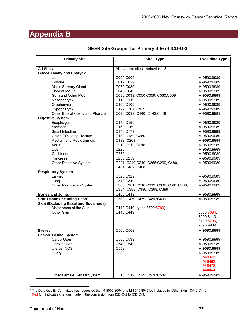### **Appendix B**

| <b>Primary Site</b>                                                 | Site / Type                              | <b>Excluding Type</b>    |
|---------------------------------------------------------------------|------------------------------------------|--------------------------|
| <b>All Sites</b>                                                    | All invasive sites $-$ behavior = 3      |                          |
| <b>Buccal Cavity and Pharynx</b>                                    |                                          |                          |
| Lip                                                                 | C000:C009                                | M-9590:9989              |
| Tongue                                                              | C019:C029                                | M-9590:9989              |
| Major Salivary Gland                                                | C079:C089                                | M-9590:9989              |
| Floor of Mouth                                                      | C040:C049                                | M-9590:9989              |
| Gum and Other Mouth                                                 | C030:C039, C050:C059, C060:C069          | M-9590:9989              |
| Nasopharynx                                                         | C110:C119                                | M-9590:9989              |
| Oropharynx                                                          | C100:C109                                | M-9590:9989              |
| Hypopharynx                                                         | C129, C130:C139                          | M-9590:9989              |
| Other Buccal Cavity and Pharynx                                     | C090:C099, C140, C142:C148               | M-9590:9989              |
| <b>Digestive System</b>                                             |                                          |                          |
| Esophagus                                                           | C150:C159                                | M-9590:9989              |
| Stomach                                                             | C160:C169                                | M-9590:9989              |
| Small Intestine                                                     | C170:C179                                | M-9590:9989              |
| Colon Excluding Rectum                                              | C180:C189, C260                          | M-9590:9989              |
| Rectum and Rectosigmoid                                             | C199, C209                               | M-9590:9989              |
| Anus                                                                | C210:C212, C218                          | M-9590:9989              |
| Liver                                                               | C220                                     | M-9590:9989              |
| Gallbladder                                                         | C239                                     | M-9590:9989              |
| Pancreas                                                            | C250:C259                                | M-9590:9989              |
| Other Digestive System                                              | C221, C240:C249, C268:C269, C480,        | M-9590:9989              |
|                                                                     | C481:C482, C488                          |                          |
| <b>Respiratory System</b>                                           |                                          |                          |
| Larynx                                                              | C320:C329                                | M-9590:9989              |
| Lung                                                                | C340:C349                                | M-9590:9989              |
| Other Respiratory System                                            | C300:C301, C310:C319, C339, C381:C383,   | M-9590:9989              |
|                                                                     | C384, C388, C390, C398, C399             |                          |
| <b>Bones and Joints</b>                                             | C400:C419                                | M-9590:9989              |
| <b>Soft Tissue (Including Heart)</b>                                | C380, C470:C479, C490:C499               | M-9590:9989              |
| <b>Skin (Excluding Basal and Squamous)</b><br>Melanomas of the Skin |                                          |                          |
|                                                                     | C440:C449 (types 8720:8790)<br>C440:C449 |                          |
| Other Skin                                                          |                                          | 8050:8084,<br>8090:8110, |
|                                                                     |                                          | 8720:8790                |
|                                                                     |                                          | 9590:9989                |
| <b>Breast</b>                                                       | C500:C509                                | M-9590:9989              |
| <b>Female Genital System</b>                                        |                                          |                          |
| Cervix Uteri                                                        | C530:C539                                | M-9590:9989              |
| Corpus Uteri                                                        | C540:C549                                | M-9590:9989              |
| Uterus, NOS                                                         | C559                                     | M-9590:9989              |
| Ovary                                                               | C569                                     | M-9590:9989              |
|                                                                     |                                          | M-8442,                  |
|                                                                     |                                          | M-8462.                  |
|                                                                     |                                          | M-8472,                  |
|                                                                     |                                          | M-8473                   |
| Other Female Genital System                                         | C510:C519, C529, C570:C589               | M-9590:9989              |

#### **SEER Site Groups**\* **for Primary Site of ICD-O-3**

 $\overline{a}$ \* The Data Quality Committee has requested that M-8000:8004 and M-8010:8045 be included in 'Other Skin' (C440:C449). Red font indicates changes made in the conversion from ICD-O-2 to ICD-O-3.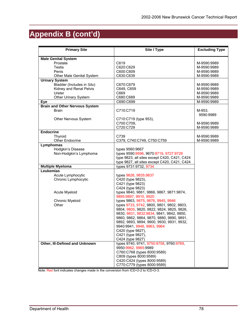# **Appendix B (cont'd)**

| <b>Primary Site</b>                   | Site / Type                                                 | <b>Excluding Type</b> |
|---------------------------------------|-------------------------------------------------------------|-----------------------|
| <b>Male Genital System</b>            |                                                             |                       |
| Prostate                              | C619                                                        | M-9590:9989           |
| Testis                                | C620:C629                                                   | M-9590:9989           |
| Penis                                 | C600:C609                                                   | M-9590:9989           |
| Other Male Genital System             | C630:C639                                                   | M-9590:9989           |
| <b>Urinary System</b>                 |                                                             |                       |
| Bladder (Includes in Situ)            | C670:C679                                                   | M-9590:9989           |
| Kidney and Renal Pelvis               | C649, C659                                                  | M-9590:9989           |
| Ureter                                | C669                                                        | M-9590:9989           |
| Other Urinary System                  | C680:C689                                                   | M-9590:9989           |
| <b>Eye</b>                            | C690:C699                                                   | M-9590:9989           |
| <b>Brain and Other Nervous System</b> |                                                             |                       |
| <b>Brain</b>                          | C710:C719                                                   | M-953,<br>9590:9989   |
| Other Nervous System                  | C710:C719 (type 953),                                       |                       |
|                                       | C700:C709,                                                  | M-9590:9989           |
|                                       | C720:C729                                                   | M-9590:9989           |
| <b>Endocrine</b>                      |                                                             |                       |
| Thyroid                               | C739                                                        | M-9590:9989           |
| Other Endocrine                       | C379, C740:C749, C750:C759                                  | M-9590:9989           |
| Lymphomas                             |                                                             |                       |
| Hodgkin's Disease                     | types 9560:9667                                             |                       |
| Non-Hodgkin's Lymphoma                | types 9590:9596, 9670:9719, 9727:9729                       |                       |
|                                       | type 9823, all sites except C420, C421, C424                |                       |
|                                       | type 9827, all sites except C420, C421, C424                |                       |
| <b>Multiple Myeloma</b>               | types 9731:9732, 9734                                       |                       |
| Leukemias                             |                                                             |                       |
| Acute Lymphocytic                     | types 9826, 9835:9837                                       |                       |
| Chronic Lymphocytic                   | C420 (type 9823),                                           |                       |
|                                       | C421 (type 9823)                                            |                       |
|                                       | C424 (type 9823)                                            |                       |
| Acute Myeloid                         | types 9840, 9861, 9866, 9867, 9871:9874,                    |                       |
|                                       | 9895:9897, 9910, 9920<br>types 9863, 9875, 9876, 9945, 9946 |                       |
| Chronic Myeloid<br>Other              | types 9733, 9742, 9800, 9801, 9802, 9803,                   |                       |
|                                       | 9804, 9805, 9820, 9822, 9824, 9825, 9826,                   |                       |
|                                       | 9830, 9831, 9832:9834, 9841, 9842, 9850,                    |                       |
|                                       | 9860, 9862, 9864, 9870, 9880, 9890, 9891,                   |                       |
|                                       | 9892, 9893, 9894, 9900, 9930, 9931, 9932,                   |                       |
|                                       | 9940:9941, 9948, 9963, 9964                                 |                       |
|                                       | C420 (type 9827),                                           |                       |
|                                       | C421 (type 9827),                                           |                       |
|                                       | C424 (type 9827)                                            |                       |
| Other, III-Defined and Unknown        | types 9740, 9741, 9750:9758, 9760:9769,                     |                       |
|                                       | 9950:9962, 9965:9989                                        |                       |
|                                       | C760:C768 (types 8000:9589)                                 |                       |
|                                       | C809 (types 8000:9589)                                      |                       |
|                                       | C420:C424 (types 8000:9589)                                 |                       |
|                                       | C770:C779 (types 8000:9589)                                 |                       |

Note: Red font indicates changes made in the conversion from ICD-O-2 to ICD-O-3.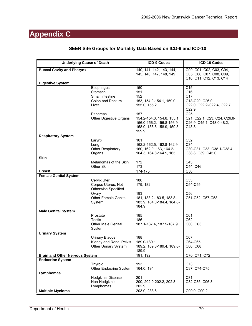# **Appendix C**

| <b>Underlying Cause of Death</b>      |                                                                                                                    | <b>ICD-9 Codes</b>                                                                                                                                                    | ICD-10 Codes                                                                                                                                                                                |
|---------------------------------------|--------------------------------------------------------------------------------------------------------------------|-----------------------------------------------------------------------------------------------------------------------------------------------------------------------|---------------------------------------------------------------------------------------------------------------------------------------------------------------------------------------------|
| <b>Buccal Cavity and Pharynx</b>      |                                                                                                                    | 140, 141, 142, 143, 144,<br>145, 146, 147, 148, 149                                                                                                                   | C00, C01, C02, C03, C04,<br>C05, C06, C07, C08, C09,<br>C10, C11, C12, C13, C14                                                                                                             |
| <b>Digestive System</b>               |                                                                                                                    |                                                                                                                                                                       |                                                                                                                                                                                             |
|                                       | Esophagus<br>Stomach<br>Small Intestine<br>Colon and Rectum<br>Liver<br>Pancreas<br>Other Digestive Organs         | 150<br>151<br>152<br>153, 154.0-154.1, 159.0<br>155.0, 155.2<br>157<br>154.2-154.3, 154.8, 155.1,<br>156.0-156.2, 156.8-156.9,<br>158.0, 158.8-158.9, 159.8-<br>159.9 | C <sub>15</sub><br>C16<br>C <sub>17</sub><br>C18-C20, C26.0<br>C22.0, C22.2-C22.4, C22.7,<br>C22.9<br>C <sub>25</sub><br>C21, C22.1. C23, C24, C26.8-<br>C26.9, C45.1, C48.0-48.2,<br>C48.8 |
| <b>Respiratory System</b>             | Larynx<br>Lung<br>Other Respiratory<br>Organs                                                                      | 161<br>162.2-162.5, 162.8-162.9<br>160, 162.0, 163, 164.2-<br>164.3, 164.8-164.9, 165                                                                                 | C32<br>C34<br>C30-C31, C33, C38.1-C38.4,<br>C38.8, C39, C45.0                                                                                                                               |
| <b>Skin</b>                           | Melanomas of the Skin<br>Other Skin                                                                                | 172<br>173                                                                                                                                                            | C43<br>C44, C46                                                                                                                                                                             |
| <b>Breast</b>                         |                                                                                                                    | 174-175                                                                                                                                                               | C <sub>50</sub>                                                                                                                                                                             |
| <b>Female Genital System</b>          |                                                                                                                    |                                                                                                                                                                       |                                                                                                                                                                                             |
|                                       | Cervix Uteri<br>Corpus Uterus, Not<br><b>Otherwise Specified</b><br>Ovary<br><b>Other Female Genital</b><br>System | 180<br>179, 182<br>183<br>181, 183.2-183.5, 183.8-<br>183.9, 184.0-184.4, 184.8-<br>184.9                                                                             | C <sub>53</sub><br>C54-C55<br>C <sub>56</sub><br>C51-C52, C57-C58                                                                                                                           |
| <b>Male Genital System</b>            | Prostate<br><b>Testis</b><br><b>Other Male Genital</b>                                                             | 185<br>186<br>187.1-187.4, 187.5-187.9                                                                                                                                | C61<br>C62<br>C60, C63                                                                                                                                                                      |
|                                       | System                                                                                                             |                                                                                                                                                                       |                                                                                                                                                                                             |
| <b>Urinary System</b>                 | <b>Urinary Bladder</b><br>Kidney and Renal Pelvis<br>Other Urinary System                                          | 188<br>189.0-189.1<br>189.2, 189.3-189.4, 189.8-<br>189.9                                                                                                             | C67<br>C64-C65<br>C66, C68                                                                                                                                                                  |
| <b>Brain and Other Nervous System</b> |                                                                                                                    | 191, 192                                                                                                                                                              | C70, C71, C72                                                                                                                                                                               |
| <b>Endocrine System</b>               | Thyroid<br>Other Endocrine System                                                                                  | 193<br>164.0, 194                                                                                                                                                     | C73<br>C37, C74-C75                                                                                                                                                                         |
| Lymphomas<br><b>Multiple Myeloma</b>  | Hodgkin's Disease<br>Non-Hodgkin's<br>Lymphomas                                                                    | 201<br>200, 202.0-202.2, 202.8-<br>202.9<br>203.0, 238.6                                                                                                              | C81<br>C82-C85, C96.3<br>C90.0, C90.2                                                                                                                                                       |

#### **SEER Site Groups for Mortality Data Based on ICD-9 and ICD-10**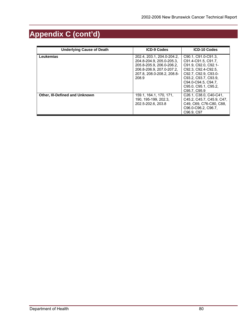# **Appendix C (cont'd)**

| <b>Underlying Cause of Death</b>      | <b>ICD-9 Codes</b>                                                                                                                                       | <b>ICD-10 Codes</b>                                                                                                                                                                                      |
|---------------------------------------|----------------------------------------------------------------------------------------------------------------------------------------------------------|----------------------------------------------------------------------------------------------------------------------------------------------------------------------------------------------------------|
| Leukemias                             | 202.4, 203.1, 204.0-204.2,<br>204.8-204.9. 205.0-205.3.<br>205.8-205.9. 206.0-206.2.<br>206.8-206.9. 207.0-207.2.<br>207.8. 208.0-208.2. 208.8-<br>208.9 | C90.1, C91.0-C91.3,<br>C91.4-C91.5, C91.7.<br>C91.9, C92.0, C92.1-<br>C92.3. C92.4-C92.5.<br>C92.7. C92.9. C93.0-<br>C93.2. C93.7. C93.9.<br>C94.0-C94.5, C94.7.<br>C95.0. C95.1. C95.2.<br>C95.7, C95.9 |
| <b>Other, III-Defined and Unknown</b> | 159.1, 164.1, 170, 171,<br>190, 195-199, 202.3,<br>202.5-202.6, 203.8                                                                                    | C <sub>26</sub> .1. C <sub>38</sub> .0. C <sub>40</sub> -C <sub>41</sub> .<br>C45.2, C45.7, C45.9, C47,<br>C49, C69, C76-C80, C88.<br>C96.0-C96.2, C96.7.<br>C96.9, C97                                  |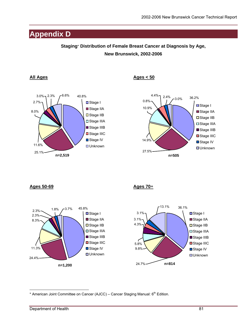### **Appendix D**

#### **Staging**\* **Distribution of Female Breast Cancer at Diagnosis by Age, New Brunswick, 2002-2006**



All Ages **Ages** Ages **Ages** Ages **Ages** Ages **Ages** Ages **Ages** Ages **Ages** Ages **Ages** Ages **Ages** Ages **Ages** Ages **Ages** Ages **Ages Ages Ages Ages Ages Ages Ages Ages Ages Ages Ages Ages Ages A** 



**Ages 50-69 Ages 70**+





 $\overline{a}$ \* American Joint Committee on Cancer (AJCC) – Cancer Staging Manual: 6<sup>th</sup> Edition.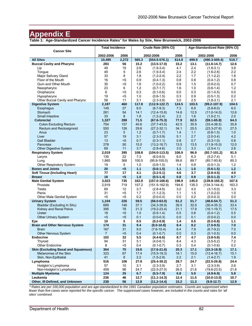### **Appendix E**

**Table 1: Age-Standardized Cancer Incidence Rates**\* **for Males by Site, New Brunswick, 2002-2006** 

|                                            | <b>Total Incidence</b> |                | Crude Rate (95% CI) |                   | Age-Standardized Rate (95% CI) |       |                   |       |
|--------------------------------------------|------------------------|----------------|---------------------|-------------------|--------------------------------|-------|-------------------|-------|
| <b>Cancer Site</b>                         | 2002-2006              | 2006           |                     | 2002-2006         | 2006                           |       | 2002-2006         | 2006  |
| <b>All Sites</b>                           | 10,495                 | 2,272          | 565.3               | $(554.5 - 576.1)$ | 614.9                          | 499.9 | $(490.3 - 509.4)$ | 519.7 |
| <b>Buccal Cavity and Pharynx</b>           | 283                    | 56             | 15.2                | $(13.5 - 17.0)$   | 15.2                           | 13.1  | $(11.6 - 14.7)$   | 12.6  |
|                                            | 49                     | 15             | 2.6                 |                   | 4.1                            | 2.4   |                   | 3.6   |
| Lip                                        |                        |                |                     | $(1.9-3.4)$       |                                |       | $(1.8-3.1)$       |       |
| Tongue                                     | 49                     | 9              | 2.6                 | $(1.9-3.4)$       | 2.4                            | 2.2   | $(1.6-2.8)$       | 2.2   |
| Major Salivary Gland                       | 33                     | 8              | 1.8                 | $(1.2 - 2.4)$     | 2.2                            | 1.7   | $(1.1 - 2.2)$     | 1.8   |
| Floor of the Mouth                         | 16                     | $5$            | 0.9                 | $(0.4-1.3)$       | 0.8                            | 0.8   | $(0.4-1.2)$       | 0.8   |
| Gum and Other Mouth                        | 30                     | $5$            | 1.6                 | $(1.0-2.2)$       | 0.8                            | 1.5   | $(0.9-2.0)$       | 0.7   |
| Nasopharynx                                | 23                     | 6              | 1.2                 | $(0.7 - 1.7)$     | 1.6                            | 1.0   | $(0.6-1.4)$       | 1.2   |
| Oropharynx                                 | 6                      | $5$            | 0.3                 | $(0.1 - 0.6)$     | 0.0                            | 0.3   | $(0.1 - 0.5)$     | 0.0   |
| Hypopharynx                                | 19                     | <5             | 1.0                 | $(0.6-1.5)$       | 0.3                            | 0.9   | $(0.5-1.3)$       | 0.2   |
| Other Buccal Cavity and Pharynx            | 58                     | 11             | 3.1                 | $(2.3-3.9)$       | 3.0                            | 2.5   | $(1.8-3.1)$       | 2.1   |
| <b>Digestive System</b>                    | 2,187                  | 460            | 117.8               | $(112.9 - 122.7)$ | 124.5                          | 103.5 | $(99.2 - 107.9)$  | 104.5 |
| Esophagus                                  | 149                    | 27             | 8.0                 | $(6.7-9.3)$       | 7.3                            | 6.9   | $(5.8 - 8.0)$     | 6.0   |
| Stomach                                    | 261                    | 54             | 14.1                | $(12.4 - 15.8)$   | 14.6                           | 12.5  | $(11.0 - 14.0)$   | 12.6  |
| Small Intestine                            | 33                     | 8              | 1.8                 | $(1.2 - 2.4)$     | 2.2                            | 1.6   | $(1.0 - 2.1)$     | 2.0   |
| <b>Colorectal</b>                          | 1,327                  | 288            | 71.5                | $(67.6 - 75.3)$   | 77.9                           | 62.5  | $(59.1 - 65.8)$   | 64.3  |
| <b>Colon Excluding Rectum</b>              | 754                    | 157            | 40.6                | $(37.7 - 43.5)$   | 42.5                           | 35.9  | $(33.4 - 38.5)$   | 35.8  |
| <b>Rectum and Rectosigmoid</b>             | 550                    | 126            | 29.6                | $(27.2 - 32.1)$   | 34.1                           | 25.5  | $(23.3 - 27.6)$   | 27.5  |
| Anus                                       | 23                     | $\overline{5}$ | 1.2                 | $(0.7 - 1.7)$     | 1.4                            | 1.1   | $(0.6-1.5)$       | 1.0   |
| Liver                                      | 57                     | 19             | 3.1                 | $(2.3 - 3.9)$     | 5.1                            | 2.7   | $(2.0-3.4)$       | 4.2   |
| <b>Gall Bladder</b>                        | 13                     | $5$            | 0.7                 | $(0.3 - 1.1)$     | 0.8                            | 0.7   | $(0.3 - 1.0)$     | 0.8   |
| Pancreas                                   | 278                    | 50             | 15.0                | $(13.2 - 16.7)$   | 13.5                           | 13.5  | $(11.9 - 15.0)$   | 12.0  |
| Other Digestive System                     | 69                     | 11             | 3.7                 | $(2.8-4.6)$       | 3.0                            | 3.3   | $(2.5 - 4.1)$     | 2.6   |
| <b>Respiratory System</b>                  | 2,019                  | 395            | 108.8               | $(104.0 - 113.5)$ | 106.9                          | 96.9  | $(92.7 - 101.2)$  | 91.5  |
|                                            | 135                    | 22             | 7.3                 | $(6.0 - 8.5)$     | 6.0                            | 6.3   | $(5.2 - 7.4)$     | 5.1   |
| Larynx                                     | 1,865                  |                | 100.5               | $(95.9 - 105.0)$  |                                |       |                   |       |
| Lung                                       |                        | 368            |                     |                   | 99.6                           | 89.7  | $(85.7 - 93.8)$   | 85.3  |
| Other Respiratory System                   | 19                     | 5              | 1.0                 | $(0.6-1.5)$       | 1.4                            | 0.9   | $(0.5-1.3)$       | $1.2$ |
| <b>Bones and Joints</b>                    | 20                     | $5$            | 1.1                 | $(0.6 - 1.5)$     | 1.1                            | 1.0   | $(0.6 - 1.5)$     | 1.2   |
| <b>Soft Tissue (Including Heart)</b>       | 77                     | 17             | 4.1                 | $(3.2 - 5.1)$     | 4.6                            | 3.7   | $(2.8 - 4.5)$     | 4.0   |
| <b>Breast</b>                              | 18                     | $5$            | 1.0                 | $(0.5-1.4)$       | 0.8                            | 0.9   | $(0.5-1.3)$       | 0.7   |
| <b>Male Genital System</b>                 | 3,023                  | 735            | 162.8               | $(157.0 - 168.6)$ | 198.9                          | 145.0 | $(139.8 - 150.2)$ | 167.6 |
| Prostate                                   | 2,919                  | 719            | 157.2               | $(151.5 - 162.9)$ | 194.6                          | 139.3 | $(134.3 - 144.4)$ | 163.3 |
| <b>Testis</b>                              | 69                     | 12             | 3.7                 | $(2.8-4.6)$       | 3.2                            | 4.0   | $(3.1 - 5.0)$     | 3.3   |
| Penis                                      | 31                     | <5             | 1.7                 | $(1.1 - 2.3)$     | 1.1                            | 1.5   | $(1.0-2.0)$       | 1.0   |
| Other Male Genital System                  | $5$                    | <5             | 0.2                 | $(0.0 - 0.4)$     | 0.0                            | 0.2   | $(0.0 - 0.3)$     | 0.0   |
| <b>Urinary System</b>                      | 1,104                  | 226            | 59.5                | $(56.0 - 63.0)$   | 61.2                           | 51.7  | $(48.6 - 54.7)$   | 51.3  |
| Bladder (Excluding In Situ)                | 689                    | 146            | 37.1                | $(34.3 - 39.9)$   | 39.5                           | 32.9  | $(30.4 - 35.3)$   | 33.4  |
| Kidney and Renal Pelvis                    | 395                    | 78             | 21.3                | $(19.2 - 23.4)$   | 21.1                           | 17.9  | $(16.1 - 19.7)$   | 17.5  |
| Ureter                                     | 18                     | <5             | 1.0                 | $(0.5 - 1.4)$     | 0.5                            | 0.8   | $(0.4-1.2)$       | 0.5   |
| Other Urinary System                       | < 5                    | $5$            | 0.1                 | $(0.0 - 0.3)$     | 0.0                            | 0.1   | $(0.0 - 0.2)$     | 0.0   |
| Eye                                        | 10                     | 5              | 0.5                 | $(0.2 - 0.9)$     | 1.4                            | 0.5   | $(0.2 - 0.8)$     | 1.1   |
| <b>Brain and Other Nervous System</b>      | 174                    | 31             | 9.4                 | $(8.0 - 10.8)$    | 8.4                            | 8.2   | $(7.0 - 9.5)$     | 7.0   |
| Brain                                      | 167                    | 31             | 9.0                 | $(7.6-10.4)$      | 8.4                            | 7.9   | $(6.7-9.2)$       | 7.0   |
| <b>Other Nervous System</b>                | $\overline{7}$         | $5$            | 0.4                 | $(0.1 - 0.7)$     | 0.0                            | 0.3   | $(0.1 - 0.5)$     | 0.0   |
| <b>Endocrine</b>                           | 102                    | 32             | 5.5                 | $(4.4 - 6.6)$     | 8.7                            | 4.7   | $(3.8 - 5.6)$     | 7.4   |
| Thyroid                                    | 94                     | 31             | 5.1                 | $(4.0 - 6.1)$     | 8.4                            | 4.3   | $(3.5 - 5.2)$     | 7.2   |
| Other Endocrine                            | 8                      | $5$            | 0.4                 | $(0.1 - 0.7)$     | 0.3                            | 0.4   | $(0.1 - 0.6)$     | 0.2   |
| <b>Skin (Excluding Basal and Squamous)</b> | 364                    | 75             | 19.6                | $(17.6 - 21.6)$   | 20.3                           | 17.1  | $(15.3 - 18.9)$   | 17.1  |
| Melanomas of the Skin                      | 323                    | 67             | 17.4                | $(15.5 - 19.3)$   | 18.1                           | 15.0  | $(13.4 - 16.7)$   | 15.1  |
| Skin, Non-Epithelial                       | 41                     | 8              | 2.2                 | $(1.5-2.9)$       | 2.2                            | 2.1   | $(1.4 - 2.7)$     | 1.9   |
| Lymphoma                                   | 516                    | 106            | 27.8                | $(25.4 - 30.2)$   | 28.7                           | 24.7  | $(22.5 - 26.8)$   | 24.4  |
| Hodgkin's Lymphoma                         | 57                     | 10             | 3.1                 | $(2.3 - 3.9)$     | 2.7                            | 3.1   | $(2.3 - 3.9)$     | 2.6   |
| Non-Hodgkin's Lymphoma                     | 459                    | 96             | 24.7                | $(22.5 - 27.0)$   | 26.0                           | 21.6  | $(19.6 - 23.5)$   | 21.8  |
| <b>Multiple Myeloma</b>                    | 124                    | 25             | 6.7                 | $(5.5 - 7.9)$     | 6.8                            | 5.9   | $(4.9 - 6.9)$     | 5.8   |
| Leukemia                                   | 236                    | 46             | 12.7                | $(11.1 - 14.3)$   | 12.4                           | 11.5  | $(10.0 - 13.0)$   | 10.7  |
| Other, III-Defined, and Unknown            | 238                    | 56             | 12.8                | $(11.2 - 14.4)$   | 15.2                           | 11.3  | $(9.8 - 12.7)$    | 12.9  |

*\* Rates are per 100,000 population and are age-standardized to the 1991 Canadian population estimates. Counts are suppressed when fewer than five cases were reported for the specific cancer. The suppressed cases however, are included in the counts and rates for 'all sites' combined.*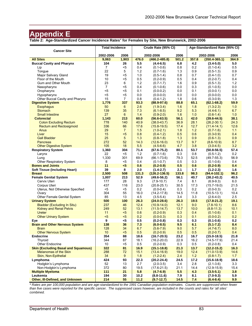**Table 2: Age-Standardized Cancer Incidence Rates**\* **for Females by Site, New Brunswick, 2002-2006**

|                                            | <b>Total Incidence</b> |                |             | Crude Rate (95% CI)              |             |             | Age-Standardized Rate (95% CI)   |             |
|--------------------------------------------|------------------------|----------------|-------------|----------------------------------|-------------|-------------|----------------------------------|-------------|
| <b>Cancer Site</b>                         | 2002-2006              | 2006           |             | 2002-2006                        | 2006        |             | 2002-2006                        | 2006        |
| <b>All Sites</b>                           | 9,063                  | 1,903          | 476.0       | $(466.2 - 485.8)$                | 501.2       | 357.8       | $(350.4 - 365.1)$                | 364.9       |
| <b>Buccal Cavity and Pharynx</b>           | 104                    | 26             | 5.5         | $(4.4 - 6.5)$                    | 6.8         | 4.2         | $(3.4 - 5.0)$                    | 5.0         |
| Lip                                        | $\overline{7}$         | $5$            | 0.4         | $(0.1 - 0.6)$                    | 0.8         | 0.2         | $(0.1 - 0.4)$                    | 0.5         |
| Tongue                                     | 22                     | 5              | 1.2         | $(0.7-1.6)$                      | 1.3         | 0.9         | $(0.5-1.3)$                      | 0.9         |
| Major Salivary Gland                       | 19                     | <5             | 1.0         | $(0.5-1.4)$                      | 0.8         | 0.7         | $(0.4-1.0)$                      | 0.7         |
| Floor of the Mouth                         | 10                     | $5$            | 0.5         | $(0.2 - 0.9)$                    | 0.5         | 0.4         | $(0.2 - 0.7)$                    | 0.4         |
| Gum and Other Mouth                        | 23                     | 6              | 1.2         | $(0.7 - 1.7)$                    | 1.6         | 0.9         | $(0.5-1.3)$                      | 1.2         |
| Nasopharynx                                | $\overline{7}$         | <5             | 0.4         | $(0.1 - 0.6)$                    | 0.0         | 0.3         | $(0.1 - 0.5)$                    | 0.0         |
| Oropharynx                                 | $5$                    | $5$            | 0.1         | $(0.0 - 0.2)$                    | 0.0         | 0.1         | $(0.0 - 0.1)$                    | 0.0         |
| Hypopharynx                                | $5$                    | $5$            | 0.0         | $(0.0 - 0.0)$                    | 0.0         | 0.0         | $(0.0 - 0.0)$                    | 0.0         |
| Other Buccal Cavity and Pharynx            | 15                     | $\overline{7}$ | 0.8         | $(0.4-1.2)$                      | 1.8         | 0.6         | $(0.3 - 0.9)$                    | 1.3         |
| <b>Digestive System</b>                    | 1,776                  | 337            | 93.3        | $(88.9 - 97.6)$                  | 88.8        | 65.1        | $(62.1 - 68.2)$                  | 59.9        |
| <b>Esophagus</b>                           | 50                     | 6              | 2.6         | $(1.9 - 3.4)$                    | 1.6         | 1.8         | $(1.3 - 2.3)$                    | 1.0         |
| <b>Stomach</b>                             | 139                    | 35             | 7.3         | $(6.1 - 8.5)$                    | 9.2         | 5.3         | $(4.4-6.1)$                      | 6.7         |
| <b>Small Intestine</b>                     | 27                     | 6              | 1.4         | $(0.9-2.0)$                      | 1.6         | 1.0         | $(0.6 - 1.4)$                    | 1.0         |
| <b>Colorectal</b>                          | 1,143                  | 213            | 60.0        | $(56.6 - 63.5)$                  | 56.1        | 42.0        | $(39.6 - 44.5)$                  | 38.1        |
| <b>Colon Excluding Rectum</b>              | 778                    | 140            | 40.9        | $(38.0 - 43.7)$                  | 36.9        | 28.1        | $(26.2 - 30.1)$                  | 24.3        |
| <b>Rectum and Rectosigmoid</b>             | 336                    | 66             | 17.6        | $(15.8 - 19.5)$                  | 17.4        | 12.7        | $(11.4 - 14.1)$                  | 12.6        |
| Anus                                       | 29                     | $\overline{7}$ | 1.5         | $(1.0 - 2.1)$                    | 1.8         | 1.2         | $(0.7-1.6)$                      | 1.1         |
| Liver                                      | 15                     | $5$            | 0.8         | $(0.4-1.2)$                      | 0.5         | 0.6         | $(0.3 - 0.9)$                    | 0.4         |
| <b>Gall Bladder</b>                        | 25                     | 5 <sup>5</sup> | 1.3         | $(0.8-1.8)$                      | 1.3         | 0.9         | $(0.6 - 1.3)$                    | 0.9         |
| <b>Pancreas</b>                            | 272                    | 52             | 14.3        | $(12.6 - 16.0)$                  | 13.7        | 9.7         | $(8.6 - 10.9)$                   | 8.7         |
| <b>Other Digestive System</b>              | 105                    | 18             | 5.5         | $(4.5-6.6)$                      | 4.7         | 3.8         | $(3.0 - 4.5)$                    | 3.2         |
| <b>Respiratory System</b>                  | 1,360                  | 304            | 71.4        | $(67.6 - 75.2)$                  | 80.1        | 53.7        | $(50.8 - 56.5)$                  | 57.4        |
| Larynx                                     | 22                     | $<$ 5          | 1.2         | $(0.7-1.6)$                      | 0.3         | 0.8         | $(0.5-1.2)$                      | 0.2         |
| Lung                                       | 1,330                  | 301            | 69.9        | $(66.1 - 73.6)$                  | 79.3        | 52.5        | $(49.7 - 55.3)$                  | 56.9        |
| Other Respiratory System                   | 8                      | <5             | 0.4         | $(0.1 - 0.7)$                    | 0.5         | 0.3         | $(0.1 - 0.6)$                    | 0.4         |
| <b>Bones and Joints</b>                    | 11                     | $5$            | 0.6         | $(0.2 - 0.9)$                    | 0.5         | 0.6         | $(0.2 - 0.9)$                    | 0.4         |
| <b>Soft Tissue (Including Heart)</b>       | 39                     | 8              | 2.0         | $(1.4 - 2.7)$                    | 2.1         | 1.7         | $(1.2 - 2.3)$                    | 1.6         |
| <b>Breast</b>                              | 2,500                  | 508            | 131.3       | $(126.2 - 136.5)$                | 133.8       | 98.3        | $(94.4 - 102.1)$                 | 96.2        |
| <b>Female Genital System</b>               | 1,007                  | 213            | 52.9        | $(49.6 - 56.2)$                  | 56.1        | 40.7        | $(38.2 - 43.2)$                  | 40.5        |
| Cervix Uteri                               | 177                    | 28             | 9.3         | $(7.9-10.7)$                     | 7.4         | 8.1         | $(6.9-9.3)$                      | 6.0         |
| Corpus Uteri                               | 437                    | 116            | 23.0        | $(20.8 - 25.1)$                  | 30.5        | 17.3        | $(15.7 - 19.0)$                  | 21.5        |
| Uterus, Not Otherwise Specified            | $5$<br>304             | <5             | 0.2<br>16.0 | $(0.0 - 0.4)$                    | 0.3         | 0.2         | $(0.0 - 0.3)$                    | 0.2<br>10.4 |
| Ovary<br>Other Female Genital System       | 85                     | 55<br>13       | 4.5         | $(14.2 - 17.8)$                  | 14.5<br>3.4 | 11.8<br>3.3 | $(10.5 - 13.1)$                  | 2.5         |
| <b>Urinary System</b>                      | 500                    | 100            | 26.3        | $(3.5 - 5.4)$<br>$(24.0 - 28.6)$ | 26.3        | 19.5        | $(2.6 - 4.0)$<br>$(17.8 - 21.2)$ | 19.1        |
| <b>Bladder (Excluding In Situ)</b>         | 237                    | 46             | 12.4        | $(10.9 - 14.0)$                  | 12.1        | 9.0         | $(7.8 - 10.1)$                   | 8.6         |
| <b>Kidney and Renal Pelvis</b>             | 249                    | 52             | 13.1        | $(11.5-14.7)$                    | 13.7        | 10.0        | $(8.8 - 11.3)$                   | 10.1        |
| <b>Ureter</b>                              | 11                     | $5$            | 0.6         | $(0.2 - 0.9)$                    | 0.3         | 0.4         | $(0.1 - 0.6)$                    | 0.1         |
| <b>Other Urinary System</b>                | $5$                    | $5$            | 0.2         | $(0.0 - 0.3)$                    | 0.3         | 0.1         | $(0.0 - 0.2)$                    | 0.2         |
| Eye                                        | 9                      | <5             | 0.5         | $(0.2 - 0.8)$                    | 0.3         | 0.3         | $(0.1 - 0.6)$                    | 0.2         |
| <b>Brain and Other Nervous System</b>      | 138                    | 36             | 7.3         | $(6.0 - 8.5)$                    | 9.5         | 6.1         | $(5.1 - 7.2)$                    | 8.4         |
| <b>Brain</b>                               | 128                    | 34             | 6.7         | $(5.6 - 7.9)$                    | 9.0         | 5.7         | $(4.7 - 6.7)$                    | 8.0         |
| <b>Other Nervous System</b>                | 10                     | $5$            | 0.5         | $(0.2 - 0.9)$                    | 0.5         | 0.5         | $(0.2 - 0.7)$                    | 0.4         |
| <b>Endocrine</b>                           | 354                    | 88             | 18.6        | $(16.7 - 20.5)$                  | 23.2        | 16.7        | $(15.0 - 18.5)$                  | 21.8        |
| Thyroid                                    | 344                    | 87             | 18.1        | $(16.2 - 20.0)$                  | 22.9        | 16.2        | $(14.5 - 17.9)$                  | 21.4        |
| Other Endocrine                            | 10                     | <5             | 0.5         | $(0.2 - 0.9)$                    | 0.3         | 0.5         | $(0.2 - 0.8)$                    | 0.4         |
| <b>Skin (Excluding Basal and Squamous)</b> | 322                    | 81             | 16.9        | $(15.1 - 18.8)$                  | 21.3        | 13.7        | $(12.2 - 15.2)$                  | 16.3        |
| Melanomas of the Skin                      | 288                    | 72             | 15.1        | $(13.4 - 16.9)$                  | 19.0        | 12.4        | $(11.0 - 13.9)$                  | 14.6        |
| Skin, Non-Epithelial                       | 34                     | 9              | 1.8         | $(1.2 - 2.4)$                    | 2.4         | $1.2$       | $(0.8-1.7)$                      | 1.7         |
| Lymphoma                                   | 424                    | 93             | 22.3        | $(20.2 - 24.4)$                  | 24.5        | 17.2        | $(15.6 - 18.9)$                  | 18.6        |
| Hodgkin's Lymphoma                         | 52                     | 13             | 2.7         | $(2.0-3.5)$                      | 3.4         | 2.8         | $(2.1 - 3.6)$                    | 3.3         |
| Non-Hodgkin's Lymphoma                     | 372                    | 80             | 19.5        | $(17.6 - 21.5)$                  | 21.1        | 14.4        | $(12.9 - 15.9)$                  | 15.4        |
| <b>Multiple Myeloma</b>                    | 111                    | 21             | 5.8         | $(4.7 - 6.9)$                    | 5.5         | 4.3         | $(3.5 - 5.1)$                    | 3.8         |
| Leukemia                                   | 194                    | 30             | 10.2        | $(8.8 - 11.6)$                   | 7.9         | 8.1         | $(7.0-9.3)$                      | 5.9         |
| Other, III-Defined, and Unknown            | 214                    | 55             | 11.2        | $(9.7 - 12.7)$                   | 14.5        | 7.4         | $(6.4 - 8.4)$                    | 9.9         |

*\* Rates are per 100,000 population and are age-standardized to the 1991 Canadian population estimates. Counts are suppressed when fewer than five cases were reported for the specific cancer. The suppressed cases however, are included in the counts and rates for 'all sites' combined.*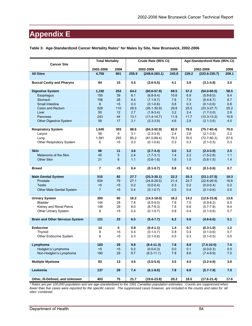|  |  |  |  |  | Table 3: Age-Standardized Cancer Mortality Rates* for Males by Site, New Brunswick, 2002-2006 |
|--|--|--|--|--|-----------------------------------------------------------------------------------------------|
|--|--|--|--|--|-----------------------------------------------------------------------------------------------|

| <b>Cancer Site</b>                    | <b>Total Mortality</b><br>2002-2006<br>2006 |     |       | Crude Rate (95% CI) |       |       | Age-Standardized Rate (95% CI) |       |
|---------------------------------------|---------------------------------------------|-----|-------|---------------------|-------|-------|--------------------------------|-------|
|                                       |                                             |     |       | 2002-2006           | 2006  |       | 2002-2006                      | 2006  |
| <b>All Sites</b>                      | 4,750                                       | 901 | 255.9 | $(248.6 - 263.1)$   | 243.8 | 229.2 | $(222.6 - 235.7)$              | 209.1 |
| <b>Buccal Cavity and Pharynx</b>      | 84                                          | 15  | 4.5   | $(3.6 - 5.5)$       | 4.1   | 3.9   | $(3.1 - 4.8)$                  | 3.5   |
| <b>Digestive System</b>               | 1,192                                       | 253 | 64.2  | $(60.6 - 67.9)$     | 68.5  | 57.2  | $(54.0 - 60.5)$                | 58.5  |
| Esophagus                             | 150                                         | 39  | 8.1   | $(6.8-9.4)$         | 10.6  | 6.9   | $(5.8 - 8.0)$                  | 8.4   |
| Stomach                               | 156                                         | 28  | 8.4   | $(7.1 - 9.7)$       | 7.6   | 7.5   | $(6.4 - 8.7)$                  | 6.7   |
| Small Intestine                       | $6\phantom{1}$                              | $5$ | 0.3   | $(0.1 - 0.6)$       | 0.8   | 0.3   | $(0.1 - 0.6)$                  | 0.8   |
| Colon and Rectum                      | 529                                         | 110 | 28.5  | $(26.1 - 30.9)$     | 29.8  | 25.5  | $(23.3 - 27.7)$                | 25.2  |
| Liver                                 | 50                                          | 12  | 2.7   | $(1.9-3.4)$         | 3.2   | 2.4   | $(1.7-3.0)$                    | 2.8   |
| Pancreas                              | 243                                         | 44  | 13.1  | $(11.4-14.7)$       | 11.9  | 11.7  | $(10.3 - 13.2)$                | 10.6  |
| Other Digestive System                | 58                                          | 17  | 3.1   | $(2.3 - 3.9)$       | 4.6   | 2.8   | $(2.1 - 3.6)$                  | 4.0   |
| <b>Respiratory System</b>             | 1,645                                       | 303 | 88.6  | $(84.3 - 92.9)$     | 82.0  | 79.6  | $(75.7 - 83.4)$                | 70.0  |
| Larynx                                | 58                                          | 9   | 3.1   | $(2.3-3.9)$         | 2.4   | 2.8   | $(2.1 - 3.5)$                  | 2.2   |
| Lung                                  | 1,581                                       | 293 | 85.2  | $(81.0 - 89.4)$     | 79.3  | 76.5  | $(72.7 - 80.3)$                | 67.6  |
| Other Respiratory System              | 6                                           | <5  | 0.3   | $(0.1 - 0.6)$       | 0.3   | 0.3   | $(0.1 - 0.5)$                  | 0.3   |
|                                       |                                             |     |       |                     |       |       |                                |       |
| <b>Skin</b>                           | 66                                          | 11  | 3.6   | $(2.7-4.4)$         | 3.0   | 3.2   | $(2.4 - 3.9)$                  | 2.5   |
| Melanoma of the Skin                  | 45                                          | 5   | 2.4   | $(1.7 - 3.1)$       | $1.4$ | 2.2   | $(1.5-2.8)$                    | 1.1   |
| Other Skin                            | 21                                          | 6   | 1.1   | $(0.6 - 1.6)$       | 1.6   | 1.0   | $(0.6 - 1.5)$                  | 1.4   |
|                                       |                                             |     |       |                     |       |       |                                |       |
| <b>Breast</b>                         | $\overline{7}$                              | $5$ | 0.4   | $(0.1 - 0.7)$       | 0.8   | 0.3   | $(0.1 - 0.6)$                  | 0.7   |
| <b>Male Genital System</b>            | 515                                         | 82  | 27.7  | $(25.3 - 30.1)$     | 22.2  | 25.3  | $(23.1 - 27.5)$                | 19.3  |
| Prostate                              | 504                                         | 79  | 27.1  | $(24.8 - 29.5)$     | 21.4  | 24.7  | $(22.6 - 26.9)$                | 18.6  |
| <b>Testis</b>                         | $5$                                         | $5$ | 0.2   | $(0.0 - 0.4)$       | 0.3   | 0.2   | $(0.0 - 0.4)$                  | 0.2   |
| Other Male Genital System             | $\overline{7}$                              | $5$ | 0.4   | $(0.1 - 0.7)$       | 0.5   | 0.4   | $(0.1 - 0.6)$                  | 0.5   |
|                                       |                                             |     |       |                     |       |       |                                |       |
| <b>Urinary System</b>                 | 300                                         | 60  | 16.2  | $(14.3 - 18.0)$     | 16.2  | 14.2  | $(12.6 - 15.8)$                | 13.6  |
| <b>Bladder</b>                        | 144                                         | 28  | 7.8   | $(6.5-9.0)$         | 7.6   | 7.0   | $(5.9 - 8.2)$                  | 6.5   |
| Kidney and Renal Pelvis               | 148                                         | 29  | 8.0   | $(6.7-9.3)$         | 7.8   | 6.8   | $(5.7 - 7.9)$                  | 6.4   |
| Other Urinary System                  | 8                                           | <5  | 0.4   | $(0.1 - 0.7)$       | 0.8   | 0.4   | $(0.1 - 0.6)$                  | 0.7   |
| <b>Brain and Other Nervous System</b> | 121                                         | 23  | 6.5   | $(5.4 - 7.7)$       | 6.2   | 5.6   | $(4.6-6.6)$                    | 5.1   |
|                                       |                                             |     |       |                     |       |       |                                |       |
| <b>Endocrine</b>                      | 14                                          | 5   | 0.8   | $(0.4 - 1.1)$       | 1.4   | 0.7   | $(0.3-1.0)$                    | 1.2   |
| Thyroid                               | 8                                           | <5  | 0.4   | $(0.1 - 0.7)$       | 0.8   | 0.4   | $(0.1 - 0.6)$                  | 0.7   |
| Other Endocrine System                | 6                                           | <5  | 0.3   | $(0.1 - 0.6)$       | 0.5   | 0.3   | $(0.1 - 0.5)$                  | 0.5   |
| Lymphoma                              | 183                                         | 29  | 9.9   | $(8.4 - 11.3)$      | 7.8   | 8.8   | $(7.5-10.0)$                   | 7.0   |
| Hodgkin's Lymphoma                    | $5$                                         | $5$ | 0.2   | $(0.0 - 0.3)$       | 0.0   | 0.1   | $(0.0 - 0.3)$                  | 0.0   |
| Non-Hodgkin's Lymphoma                | 180                                         | 29  | 9.7   | $(8.3 - 11.1)$      | 7.8   | 8.6   | $(7.4-9.9)$                    | 7.0   |
|                                       |                                             |     |       |                     |       |       |                                |       |
| <b>Multiple Myeloma</b>               | 83                                          | 13  | 4.5   | $(3.5 - 5.4)$       | 3.5   | 4.0   | $(3.2 - 4.9)$                  | 3.0   |
| Leukemia                              | 137                                         | 29  | 7.4   | $(6.1 - 8.6)$       | 7.8   | 6.8   | $(5.7 - 7.9)$                  | 7.0   |
| Other, III-Defined, and Unknown       | 403                                         | 75  | 21.7  | $(19.6 - 23.8)$     | 20.3  | 19.5  | $(17.6 - 21.4)$                | 17.6  |

*\* Rates are per 100,000 population and are age-standardized to the 1991 Canadian population estimates. Counts are suppressed when*  fewer than five cases were reported for the specific cancer. The suppressed cases however, are included in the counts and rates for 'all *sites' combined.*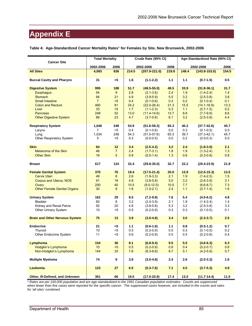| Table 4: Age-Standardized Cancer Mortality Rates* for Females by Site, New Brunswick, 2002-2006 |  |  |  |
|-------------------------------------------------------------------------------------------------|--|--|--|
|-------------------------------------------------------------------------------------------------|--|--|--|

| <b>Cancer Site</b>                    | <b>Total Mortality</b> |                |             | Crude Rate (95% CI) |             |            | Age-Standardized Rate (95% CI) |       |
|---------------------------------------|------------------------|----------------|-------------|---------------------|-------------|------------|--------------------------------|-------|
|                                       | 2002-2006              | 2006           |             | 2002-2006           | 2006        |            | 2002-2006                      | 2006  |
| <b>All Sites</b>                      | 4,083                  | 836            | 214.5       | $(207.9 - 221.0)$   | 219.8       | 148.4      | $(143.9 - 153.0)$              | 154.5 |
| <b>Buccal Cavity and Pharynx</b>      | 31                     | <5             | 1.6         | $(1.1 - 2.2)$       | 1.1         | 1.1        | $(0.7-1.5)$                    | 0.5   |
| <b>Digestive System</b>               | 995                    | 188            | 51.7        | $(48.5 - 55.0)$     | 49.5        | 33.9       | $(31.8 - 36.1)$                | 31.7  |
| <b>Esophagus</b>                      | 54                     | 9              | 2.8         | $(2.1 - 3.6)$       | 2.4         | 1.9        | $(1.4 - 2.4)$                  | 1.4   |
| <b>Stomach</b>                        | 94                     | 21             | 4.9         | $(3.9 - 5.9)$       | 5.5         | 3.2        | $(2.5 - 3.8)$                  | 3.8   |
| <b>Small Intestine</b>                | $\overline{7}$         | $5$            | 0.4         | $(0.1 - 0.6)$       | 0.3         | 0.2        | $(0.1 - 0.4)$                  | 0.1   |
| <b>Colon and Rectum</b>               | 460                    | 81             | 24.2        | $(22.0 - 26.4)$     | 21.3        | 15.5       | $(14.1 - 16.9)$                | 13.3  |
| Liver                                 | 33                     | $5$            | 1.7         | $(1.1 - 2.3)$       | 0.3         | 1.1        | $(0.7 - 1.5)$                  | 0.2   |
| <b>Pancreas</b>                       | 248<br>89              | 52<br>23       | 13.0<br>4.7 | $(11.4 - 14.6)$     | 13.7<br>6.1 | 8.8<br>3.2 | $(7.7-9.9)$                    | 8.6   |
| <b>Other Digestive System</b>         |                        |                |             | $(3.7 - 5.6)$       |             |            | $(2.5 - 3.8)$                  | 4.4   |
| <b>Respiratory System</b>             | 1,046                  | 248            | 54.9        | $(51.6 - 58.3)$     | 65.3        | 40.2       | $(37.7 - 42.6)$                | 45.7  |
| Larynx                                | $\overline{7}$         | $5$            | 0.4         | $(0.1 - 0.6)$       | 0.0         | 0.3        | $(0.1 - 0.5)$                  | 0.0   |
| Lung                                  | 1,034                  | 248            | 54.3        | $(51.0 - 57.6)$     | 65.3        | 39.7       | $(37.3 - 42.1)$                | 45.7  |
| Other Respiratory System              | 5                      | $5$            | 0.3         | $(0.0 - 0.5)$       | 0.0         | 0.2        | $(0.0 - 0.3)$                  | 0.0   |
| <b>Skin</b>                           | 64                     | 12             | 3.4         | $(2.5 - 4.2)$       | 3.2         | 2.4        | $(1.8 - 3.0)$                  | 2.1   |
| Melanoma of the Skin                  | 46                     | $\overline{7}$ | 2.4         | $(1.7 - 3.1)$       | 1.8         | 1.9        | $(1.3 - 2.4)$                  | 1.3   |
| <b>Other Skin</b>                     | 18                     | $\overline{5}$ | 0.9         | $(0.5-1.4)$         | 1.3         | 0.6        | $(0.3 - 0.8)$                  | 0.8   |
|                                       |                        |                |             |                     |             |            |                                |       |
| <b>Breast</b>                         | 617                    | 124            | 32.4        | $(29.8 - 35.0)$     | 32.7        | 22.2       | $(20.4 - 23.9)$                | 21.9  |
| <b>Female Genital System</b>          | 370                    | 76             | 19.4        | $(17.5 - 21.4)$     | 20.0        | 13.9       | $(12.5 - 15.3)$                | 13.5  |
| <b>Cervix Uteri</b>                   | 49                     | 8              | 2.6         | $(1.9-3.3)$         | 2.1         | 1.9        | $(1.4 - 2.5)$                  | 1.5   |
| <b>Corpus and Uterus, NOS</b>         | 91                     | 19             | 4.8         | $(3.8-5.8)$         | 5.0         | 3.2        | $(2.6 - 3.9)$                  | 3.1   |
| Ovary                                 | 200                    | 40             | 10.5        | $(9.0 - 12.0)$      | 10.5        | 7.7        | $(6.6 - 8.7)$                  | 7.3   |
| <b>Other Female Genital Organs</b>    | 30                     | 9              | 1.6         | $(1.0-2.1)$         | 2.4         | $1.1$      | $(0.7 - 1.4)$                  | 1.6   |
| <b>Urinary System</b>                 | 162                    | 29             | 8.5         | $(7.2 - 9.8)$       | 7.6         | 5.4        | $(4.5 - 6.2)$                  | 4.8   |
| <b>Bladder</b>                        | 60                     | 8              | 3.2         | $(2.4 - 3.9)$       | 2.1         | 1.9        | $(1.4 - 2.4)$                  | 1.4   |
| Kidney and Renal Pelvis               | 92                     | 20             | 4.8         | $(3.8 - 5.8)$       | 5.3         | 3.2        | $(2.5-3.8)$                    | 3.3   |
| Other Urinary System                  | 10                     | <5             | 0.5         | $(0.2 - 0.9)$       | 0.3         | 0.3        | $(0.1 - 0.5)$                  | 0.1   |
|                                       |                        |                |             |                     |             |            |                                |       |
| <b>Brain and Other Nervous System</b> | 75                     | 13             | 3.9         | $(3.0 - 4.8)$       | 3.4         | 3.0        | $(2.3 - 3.7)$                  | 2.5   |
| <b>Endocrine</b>                      | 21                     | <5             | 1.1         | $(0.6-1.6)$         | 1.1         | 0.8        | $(0.5-1.2)$                    | 0.7   |
| Thyroid                               | 10                     | <5             | 0.5         | $(0.2 - 0.9)$       | 0.5         | 0.3        | $(0.1 - 0.5)$                  | 0.2   |
| Other Endocrine System                | 11                     | <5             | 0.6         | $(0.2 - 0.9)$       | 0.5         | 0.5        | $(0.2 - 0.8)$                  | 0.4   |
|                                       |                        |                |             |                     |             |            |                                |       |
| Lymphoma                              | 154                    | 36             | 8.1         | $(6.8-9.4)$         | 9.5         | 5.5        | $(4.6 - 6.3)$                  | 6.3   |
| Hodgkin's Lymphoma                    | 10                     | 5<             | 0.5         | $(0.2 - 0.9)$       | 0.8         | 0.4        | $(0.2 - 0.7)$                  | 0.6   |
| Non-Hodgkin's Lymphoma                | 144                    | 33             | 7.6         | $(6.3 - 8.8)$       | 8.7         | 5.1        | $(4.2 - 5.9)$                  | 5.7   |
| <b>Multiple Myeloma</b>               | 74                     | 9              | 3.9         | $(3.0-4.8)$         | 2.4         | 2.6        | $(2.0-3.3)$                    | 1.6   |
| Leukemia                              | 123                    | ${\bf 27}$     | 6.5         | $(5.3 - 7.6)$       | 7.1         | 4.5        | $(3.7 - 5.3)$                  | 4.9   |
|                                       |                        |                |             |                     |             |            |                                |       |
| Other, III-Defined, and Unknown       | 361                    | 66             | 19.0        | $(17.0 - 20.9)$     | 17.4        | 13.0       | $(11.7 - 14.4)$                | 11.0  |

*\* Rates are per 100,000 population and are age-standardized to the 1991 Canadian population estimates. Counts are suppressed when fewer than five cases were reported for the specific cancer. The suppressed cases however, are included in the counts and rates for 'all sites' combined.*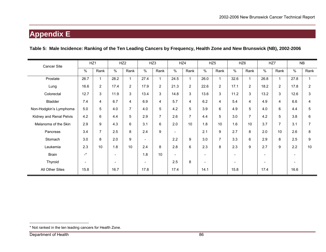### **Table 5: Male Incidence: Ranking of the Ten Leading Cancers by Frequency, Health Zone and New Brunswick (NB), 2002-2006**

| Cancer Site             | HZ1          |                |                          | HZ <sub>2</sub> |                          | HZ3            | HZ4                      |                |                          | HZ <sub>5</sub> |                | HZ <sub>6</sub> | HZ7                      |                | <b>NB</b> |                |
|-------------------------|--------------|----------------|--------------------------|-----------------|--------------------------|----------------|--------------------------|----------------|--------------------------|-----------------|----------------|-----------------|--------------------------|----------------|-----------|----------------|
|                         | $\%$         | Rank           | %                        | Rank            | $\%$                     | Rank           | $\%$                     | Rank           | $\%$                     | Rank            | $\%$           | Rank            | %                        | Rank           | $\%$      | Rank           |
| Prostate                | 26.7         |                | 28.2                     | $\mathbf{1}$    | 27.4                     | $\mathbf{1}$   | 24.5                     | $\mathbf{1}$   | 26.0                     |                 | 32.6           | 1               | 26.8                     | $\mathbf{1}$   | 27.8      |                |
| Lung                    | 16.6         | $\overline{2}$ | 17.4                     | $\overline{2}$  | 17.9                     | $\overline{2}$ | 21.3                     | $\overline{2}$ | 22.6                     | $\overline{2}$  | 17.1           | $\overline{2}$  | 18.2                     | $\overline{2}$ | 17.8      | $\mathbf{2}$   |
| Colorectal              | 12.7         | 3              | 11.9                     | 3               | 13.4                     | 3              | 14.8                     | 3              | 13.6                     | 3               | 11.2           | 3               | 13.2                     | 3              | 12.6      | 3              |
| Bladder                 | 7.4          | 4              | 6.7                      | 4               | 6.9                      | $\overline{4}$ | 5.7                      | 4              | 6.2                      | 4               | 5.4            | 4               | 4.9                      | 4              | 6.6       | 4              |
| Non-Hodgkin's Lymphoma  | 5.0          | 5              | 4.0                      | $\overline{7}$  | 4.0                      | 5              | 4.2                      | 5              | 3.9                      | 6               | 4.9            | 5               | 4.0                      | 6              | 4.4       | 5              |
| Kidney and Renal Pelvis | 4.2          | 6              | 4.4                      | 5               | 2.9                      | $\overline{7}$ | 2.6                      | $\overline{7}$ | 4.4                      | 5               | 3.0            | $\overline{7}$  | 4.2                      | 5              | 3.8       | 6              |
| Melanoma of the Skin    | 2.9          | 9              | 4.3                      | 6               | 3.1                      | 6              | 2.0                      | 10             | 1.8                      | 10              | 1.6            | 10              | 3.7                      | 7              | 3.1       | $\overline{7}$ |
| Pancreas                | 3.4          | $\overline{7}$ | 2.5                      | 8               | 2.4                      | 9              |                          |                | 2.1                      | 9               | 2.7            | 8               | 2.0                      | 10             | 2.6       | 8              |
| Stomach                 | 3.0          | 8              | 2.0                      | 9               | $\overline{\phantom{a}}$ |                | 2.2                      | 9              | 3.0                      | $\overline{7}$  | 3.3            | 6               | 2.9                      | 8              | 2.5       | 9              |
| Leukemia                | 2.3          | 10             | 1.8                      | 10              | 2.4                      | 8              | 2.8                      | 6              | 2.3                      | 8               | 2.3            | 9               | 2.7                      | 9              | 2.2       | 10             |
| Brain                   | $\mathbf{r}$ |                | $\overline{\phantom{a}}$ |                 | 1.8                      | 10             | $\overline{\phantom{0}}$ |                | $\overline{\phantom{0}}$ |                 | $\blacksquare$ |                 | ۰                        |                |           |                |
| Thyroid                 |              |                | $\overline{\phantom{a}}$ |                 | $\overline{\phantom{0}}$ |                | 2.5                      | 8              |                          |                 | ۰              |                 | $\overline{\phantom{0}}$ |                |           |                |
| All Other Sites         | 15.8         |                | 16.7                     |                 | 17.8                     |                | 17.4                     |                | 14.1                     |                 | 15.8           |                 | 17.4                     |                | 16.6      |                |

<sup>\*</sup> Not ranked in the ten leading cancers for Health Zone.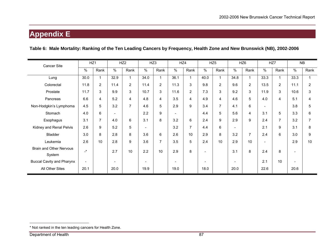### **Table 6: Male Mortality: Ranking of the Ten Leading Cancers by Frequency, Health Zone and New Brunswick (NB), 2002-2006**

| <b>Cancer Site</b>               | HZ1                      |                | HZ <sub>2</sub>          |                |                          | HZ3            | HZ4                      |                |      | HZ <sub>5</sub> |                          | HZ <sub>6</sub> | HZ7                      |                | <b>NB</b> |                |
|----------------------------------|--------------------------|----------------|--------------------------|----------------|--------------------------|----------------|--------------------------|----------------|------|-----------------|--------------------------|-----------------|--------------------------|----------------|-----------|----------------|
|                                  | $\%$                     | Rank           | $\%$                     | Rank           | $\%$                     | Rank           | $\%$                     | Rank           | $\%$ | Rank            | $\%$                     | Rank            | %                        | Rank           | $\%$      | Rank           |
| Lung                             | 30.0                     | $\mathbf{1}$   | 32.9                     | $\mathbf{1}$   | 34.0                     | 1              | 36.1                     | $\mathbf 1$    | 40.0 | $\mathbf 1$     | 34.8                     | 1               | 33.3                     | 1              | 33.3      |                |
| Colorectal                       | 11.8                     | $\overline{2}$ | 11.4                     | $\overline{2}$ | 11.4                     | $\mathbf{2}$   | 11.3                     | 3              | 9.8  | 2               | 9.6                      | $\overline{2}$  | 13.5                     | $\overline{2}$ | 11.1      | $\overline{2}$ |
| Prostate                         | 11.7                     | 3              | 9.9                      | 3              | 10.7                     | $\mathsf 3$    | 11.6                     | $\overline{2}$ | 7.3  | 3               | 9.2                      | 3               | 11.9                     | 3              | 10.6      | 3              |
| Pancreas                         | 6.6                      | 4              | 5.2                      | 4              | 4.8                      | 4              | 3.5                      | 4              | 4.9  | 4               | 4.6                      | 5               | 4.0                      | 4              | 5.1       | 4              |
| Non-Hodgkin's Lymphoma           | 4.5                      | 5              | 3.2                      | $\overline{7}$ | 4.6                      | 5              | 2.9                      | 9              | 3.4  | $\overline{7}$  | 4.1                      | 6               | $\overline{\phantom{0}}$ |                | 3.8       | 5              |
| Stomach                          | 4.0                      | 6              | ۰                        |                | 2.2                      | 9              | $\overline{\phantom{a}}$ |                | 4.4  | 5               | 5.6                      | 4               | 3.1                      | 5              | 3.3       | 6              |
| Esophagus                        | 3.1                      | $\overline{7}$ | 4.0                      | 6              | 3.1                      | 8              | 3.2                      | 6              | 2.4  | 9               | 2.9                      | 9               | 2.4                      | 7              | 3.2       |                |
| Kidney and Renal Pelvis          | 2.6                      | 9              | 5.2                      | 5              | $\overline{\phantom{a}}$ |                | 3.2                      | 7              | 4.4  | 6               | $\overline{\phantom{0}}$ |                 | 2.1                      | 9              | 3.1       | 8              |
| <b>Bladder</b>                   | 3.0                      | 8              | 2.8                      | 8              | 3.6                      | 6              | 2.6                      | 10             | 2.9  | 8               | 3.2                      | $\overline{7}$  | 2.4                      | 6              | 3.0       | 9              |
| Leukemia                         | 2.6                      | 10             | 2.8                      | 9              | 3.6                      | $\overline{7}$ | 3.5                      | 5              | 2.4  | 10              | 2.9                      | 10              | ۰                        |                | 2.9       | 10             |
| <b>Brain and Other Nervous</b>   | $\star$                  |                | 2.7                      | 10             | 2.2                      | 10             | 2.9                      | 8              |      |                 | 3.1                      | 8               | 2.4                      | 8              |           |                |
| System                           |                          |                |                          |                |                          |                |                          |                |      |                 |                          |                 |                          |                |           |                |
| <b>Buccal Cavity and Pharynx</b> | $\overline{\phantom{a}}$ |                | $\overline{\phantom{a}}$ |                | $\overline{\phantom{a}}$ |                | $\overline{\phantom{0}}$ |                |      |                 | $\overline{\phantom{0}}$ |                 | 2.1                      | 10             |           |                |
| All Other Sites                  | 20.1                     |                | 20.0                     |                | 19.9                     |                | 19.0                     |                | 18.0 |                 | 20.0                     |                 | 22.6                     |                | 20.6      |                |

<sup>\*</sup> Not ranked in the ten leading cancers for Health Zone.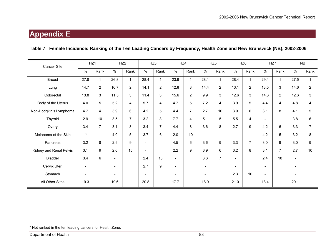### **Table 7: Female Incidence: Ranking of the Ten Leading Cancers by Frequency, Health Zone and New Brunswick (NB), 2002-2006**

| Cancer Site             | HZ1                      |                |                          | HZ <sub>2</sub>  | HZ3                      |                | HZ4                      |                |                          | HZ <sub>5</sub> |                          | HZ <sub>6</sub> |                          | HZ7             | <b>NB</b>      |                |
|-------------------------|--------------------------|----------------|--------------------------|------------------|--------------------------|----------------|--------------------------|----------------|--------------------------|-----------------|--------------------------|-----------------|--------------------------|-----------------|----------------|----------------|
|                         | %                        | Rank           | $\%$                     | Rank             | $\%$                     | Rank           | $\%$                     | Rank           | %                        | Rank            | $\%$                     | Rank            | $\%$                     | Rank            | $\%$           | Rank           |
| <b>Breast</b>           | 27.8                     | 1              | 26.8                     | $\mathbf{1}$     | 28.4                     | $\mathbf{1}$   | 23.9                     | $\mathbf{1}$   | 28.1                     | $\mathbf{1}$    | 28.4                     | 1               | 29.4                     | $\mathbf{1}$    | 27.5           | 1              |
| Lung                    | 14.7                     | $\overline{2}$ | 16.7                     | $\overline{2}$   | 14.1                     | $\overline{2}$ | 12.8                     | 3              | 14.4                     | $\overline{2}$  | 13.1                     | $\overline{2}$  | 13.5                     | 3               | 14.6           | $\overline{2}$ |
| Colorectal              | 13.8                     | 3              | 11.5                     | 3                | 11.4                     | 3              | 15.6                     | $\overline{2}$ | 9.9                      | 3               | 12.6                     | 3               | 14.3                     | $\overline{2}$  | 12.6           | 3              |
| Body of the Uterus      | 4.0                      | 5              | 5.2                      | 4                | 5.7                      | 4              | 4.7                      | 5              | 7.2                      | 4               | 3.9                      | 5               | 4.4                      | 4               | 4.8            | 4              |
| Non-Hodgkin's Lymphoma  | 4.7                      | 4              | 3.9                      | 6                | 4.2                      | 5              | 4.4                      | 7              | 2.7                      | 10              | 3.9                      | 6               | 3.1                      | 8               | 4.1            | 5              |
| Thyroid                 | 2.9                      | 10             | 3.5                      | $\overline{7}$   | 3.2                      | 8              | 7.7                      | 4              | 5.1                      | 5               | 5.5                      | 4               | $\overline{\phantom{a}}$ |                 | 3.8            | 6              |
| Ovary                   | 3.4                      | $\overline{7}$ | 3.1                      | 8                | 3.4                      | $\overline{7}$ | 4.4                      | 8              | 3.6                      | 8               | 2.7                      | 9               | 4.2                      | 6               | 3.3            | $\overline{7}$ |
| Melanoma of the Skin    | $\mathbf{r}$             |                | 4.0                      | 5                | 3.7                      | 6              | 2.0                      | 10             | $\overline{\phantom{a}}$ |                 | $\overline{\phantom{a}}$ |                 | 4.2                      | 5               | 3.2            | 8              |
| Pancreas                | 3.2                      | 8              | 2.9                      | $\boldsymbol{9}$ | $\overline{\phantom{a}}$ |                | 4.5                      | 6              | 3.6                      | 9               | 3.3                      | $\overline{7}$  | 3.0                      | 9               | 3.0            | 9              |
| Kidney and Renal Pelvis | 3.1                      | 9              | 2.6                      | 10               | $\overline{\phantom{a}}$ |                | 2.2                      | 9              | 3.9                      | 6               | 3.2                      | 8               | 3.1                      | $\overline{7}$  | 2.7            | 10             |
| Bladder                 | 3.4                      | 6              | $\overline{\phantom{a}}$ |                  | 2.4                      | 10             | $\overline{\phantom{a}}$ |                | 3.6                      | $\overline{7}$  | $\overline{\phantom{a}}$ |                 | 2.4                      | 10 <sup>°</sup> | $\blacksquare$ |                |
| Cervix Uteri            | $\overline{\phantom{a}}$ |                | $\overline{\phantom{0}}$ |                  | 2.7                      | 9              | $\overline{\phantom{a}}$ |                | $\overline{\phantom{a}}$ |                 | $\overline{\phantom{a}}$ |                 | $\overline{\phantom{a}}$ |                 |                |                |
| Stomach                 | $\overline{\phantom{a}}$ |                | ٠                        |                  | $\overline{\phantom{a}}$ |                |                          |                | $\overline{\phantom{a}}$ |                 | 2.3                      | 10              | $\overline{\phantom{a}}$ |                 |                |                |
| All Other Sites         | 19.3                     |                | 19.6                     |                  | 20.8                     |                | 17.7                     |                | 18.0                     |                 | 21.0                     |                 | 18.4                     |                 | 20.1           |                |

<sup>\*</sup> Not ranked in the ten leading cancers for Health Zone.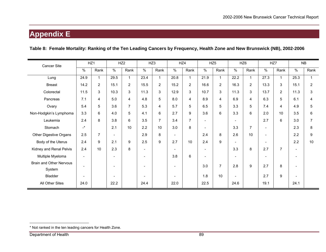### **Table 8: Female Mortality: Ranking of the Ten Leading Cancers by Frequency, Health Zone and New Brunswick (NB), 2002-2006**

| Cancer Site                    |                          | HZ1            |                          | HZ <sub>2</sub> |                          | HZ3            | HZ4                      |                |                          | HZ <sub>5</sub> |                          | HZ <sub>6</sub> | HZ7                      |                | <b>NB</b>                |                |
|--------------------------------|--------------------------|----------------|--------------------------|-----------------|--------------------------|----------------|--------------------------|----------------|--------------------------|-----------------|--------------------------|-----------------|--------------------------|----------------|--------------------------|----------------|
|                                | $\frac{0}{0}$            | Rank           | $\%$                     | Rank            | %                        | Rank           | $\%$                     | Rank           | %                        | Rank            | %                        | Rank            | $\%$                     | Rank           | $\%$                     | Rank           |
| Lung                           | 24.9                     | $\mathbf{1}$   | 29.5                     | $\mathbf{1}$    | 23.4                     |                | 20.8                     | $\mathbf 1$    | 21.9                     | $\mathbf{1}$    | 22.2                     | $\mathbf 1$     | 27.3                     |                | 25.3                     |                |
| <b>Breast</b>                  | 14.2                     | $\mathbf{2}$   | 15.1                     | $\overline{2}$  | 15.5                     | $\overline{2}$ | 15.2                     | $\overline{2}$ | 16.6                     | $\overline{2}$  | 16.3                     | $\overline{2}$  | 13.3                     | 3              | 15.1                     | $\overline{2}$ |
| Colorectal                     | 11.5                     | 3              | 10.3                     | 3               | 11.3                     | 3              | 12.9                     | 3              | 10.7                     | 3               | 11.3                     | 3               | 13.7                     | $\overline{2}$ | 11.3                     | 3              |
| Pancreas                       | 7.1                      | 4              | 5.0                      | 4               | 4.8                      | 5              | 8.0                      | $\overline{4}$ | 8.9                      | 4               | 6.9                      | 4               | 6.3                      | 5              | 6.1                      | 4              |
| Ovary                          | 5.4                      | 5              | 3.6                      | $\overline{7}$  | 5.3                      | 4              | 5.7                      | 5              | 6.5                      | 5               | 3.3                      | 5               | 7.4                      | 4              | 4.9                      | 5              |
| Non-Hodgkin's Lymphoma         | 3.3                      | 6              | 4.0                      | 5               | 4.1                      | 6              | 2.7                      | 9              | 3.6                      | 6               | 3.3                      | 6               | 2.0                      | 10             | 3.5                      | 6              |
| Leukemia                       | 2.4                      | 8              | 3.8                      | 6               | 3.5                      | $\overline{7}$ | 3.4                      | $\overline{7}$ | $\overline{\phantom{a}}$ |                 | $\overline{\phantom{a}}$ |                 | 2.7                      | 6              | 3.0                      | $\overline{7}$ |
| Stomach                        | $\mathbf{L}^{\star}$     |                | 2.1                      | 10              | 2.2                      | 10             | 3.0                      | 8              |                          |                 | 3.3                      | $\overline{7}$  |                          |                | 2.3                      | 8              |
| Other Digestive Organs         | 2.5                      | $\overline{7}$ | $\overline{\phantom{0}}$ |                 | 2.9                      | 8              | $\overline{\phantom{a}}$ |                | 2.4                      | 8               | 2.6                      | 10              | $\overline{\phantom{a}}$ |                | 2.2                      | 9              |
| Body of the Uterus             | 2.4                      | 9              | 2.1                      | 9               | 2.5                      | 9              | 2.7                      | 10             | 2.4                      | 9               | $\overline{\phantom{a}}$ |                 |                          |                | 2.2                      | 10             |
| Kidney and Renal Pelvis        | 2.4                      | 10             | 2.3                      | 8               | $\overline{\phantom{a}}$ |                | $\overline{\phantom{a}}$ |                | $\overline{\phantom{a}}$ |                 | 3.3                      | 8               | 2.7                      | 7              | $\sim$                   |                |
| Multiple Myeloma               | $\overline{\phantom{a}}$ |                | $\overline{\phantom{a}}$ |                 | $\overline{\phantom{0}}$ |                | 3.8                      | 6              | $\overline{\phantom{a}}$ |                 | $\overline{\phantom{a}}$ |                 | $\overline{\phantom{a}}$ |                | $\overline{\phantom{a}}$ |                |
| <b>Brain and Other Nervous</b> | $\overline{\phantom{0}}$ |                | $\overline{\phantom{0}}$ |                 |                          |                |                          |                | 3.0                      | $\overline{7}$  | 2.8                      | 9               | 2.7                      | 8              |                          |                |
| System                         |                          |                |                          |                 |                          |                |                          |                |                          |                 |                          |                 |                          |                |                          |                |
| Bladder                        | $\overline{\phantom{a}}$ |                | $\overline{\phantom{0}}$ |                 |                          |                | $\overline{\phantom{0}}$ |                | 1.8                      | 10              | $\overline{\phantom{a}}$ |                 | 2.7                      | 9              |                          |                |
| All Other Sites                | 24.0                     |                | 22.2                     |                 | 24.4                     |                | 22.0                     |                | 22.5                     |                 | 24.6                     |                 | 19.1                     |                | 24.1                     |                |

<sup>\*</sup> Not ranked in the ten leading cancers for Health Zone.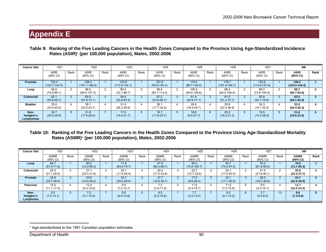| Table 9: Ranking of the Five Leading Cancers in the Health Zones Compared to the Province Using Age-Standardized Incidence |
|----------------------------------------------------------------------------------------------------------------------------|
| Rates (ASIR)* (per 100,000 population), Males, 2002-2006                                                                   |

| <b>Cancer Site</b>             | HZ <sub>1</sub>                   |        | HZ <sub>2</sub>            |      | HZ3                        |      | HZ4                                |      | HZ <sub>5</sub>           |               | HZ <sub>6</sub>                   |      | HZ7                        |                | <b>NB</b>                  |      |
|--------------------------------|-----------------------------------|--------|----------------------------|------|----------------------------|------|------------------------------------|------|---------------------------|---------------|-----------------------------------|------|----------------------------|----------------|----------------------------|------|
|                                | <b>ASIR</b><br>$(95% \text{ Cl})$ | Rank   | <b>ASIR</b><br>(95% CI)    | Rank | <b>ASIR</b><br>(95% CI)    | Rank | <b>ASIR</b><br>$(95\% \text{ Cl})$ | Rank | <b>ASIR</b><br>(95% CI)   | Rank          | <b>ASIR</b><br>$(95% \text{ Cl})$ | Rank | <b>ASIR</b><br>(95% CI)    | Rank           | ASIR<br>(95% CI)           | Rank |
| <b>Prostate</b>                | 132.4<br>$(122.7 - 142.0)$        |        | 158.4<br>$(147.1 - 169.8)$ |      | 123.8<br>$(113.5 - 134.1)$ |      | 107.6<br>$(90.8 - 124.3)$          |      | 118.5<br>$(96.7 - 140.4)$ |               | 178.1<br>$(161.5 - 194.7)$        |      | 132.6<br>$(113.6 - 151.6)$ |                | 139.3<br>$(134.3 - 144.4)$ |      |
| Lung                           | 82.5<br>$(74.8 - 90.1)$           | $\sim$ | 98.5<br>$(89.5 - 107.5)$   |      | 80.4<br>$(72.1 - 88.7)$    | 2    | 96.8<br>$(80.7 - 113.0)$           |      | 105.9<br>$(84.9 - 126.8)$ | $\mathcal{P}$ | 96.4<br>$(84.0 - 108.0)$          |      | 89.3<br>$(73.8 - 104.9)$   | 2              | 89.7<br>$(85.7 - 93.8)$    |      |
| Colorectal                     | 62.1<br>$(55.6 - 68.7)$           | 3      | 65.0<br>$(57.8 - 72.1)$    |      | 59.9<br>$(52.8 - 67.0)$    | 3    | 67.2<br>$(53.8 - 80.7)$            |      | 61.4<br>$(45.8 - 77.1)$   | $\mathbf{R}$  | 61.0<br>$(51.2 - 70.7)$           |      | 62.9<br>$(50.1 - 75.8)$    | 3              | 62.5<br>$(59.1 - 65.8)$    |      |
| <b>Bladder</b>                 | 35.4<br>$(30.5 - 40.4)$           |        | 38.1<br>$(32.5 - 43.7)$    |      | 31.4<br>$(26.2 - 36.6)$    |      | 26.1<br>$(17.7 - 34.6)$            |      | 29.6<br>$(18.4 - 40.7)$   |               | 29.9<br>$(23.0 - 36.8)$           |      | 24.3<br>$(16.1 - 32.4)$    | $\overline{a}$ | 32.9<br>$(30.4 - 35.3)$    |      |
| Non-<br>Hodgkin's<br>Lymphomas | 24.7<br>$(20.5 - 28.9)$           | b      | 21.8<br>$(17.6 - 26.0)$    |      | 17.8<br>$(14.0 - 21.7)$    |      | 18.7<br>$(11.6 - 25.7)$            |      | 18.8<br>$(9.9 - 27.7)$    | 6             | 25.3<br>$(19.2 - 31.3)$           |      | 19.5<br>$(12.3 - 26.8)$    | b.             | 21.6<br>$(19.6 - 23.5)$    |      |

#### **Table 10: Ranking of the Five Leading Cancers in the Health Zones Compared to the Province Using Age-Standardized Mortality Rates (ASMR)**\* **(per 100,000 population), Males, 2002-2006**

| <b>Cancer Site</b>            | HZ <sub>1</sub>                   |      | HZ <sub>2</sub>         |      | HZ3                     |      | HZ4                     |      | HZ <sub>5</sub>          |      | HZ <sub>6</sub>         |      | HZ7                               |      | <b>NB</b>               |      |
|-------------------------------|-----------------------------------|------|-------------------------|------|-------------------------|------|-------------------------|------|--------------------------|------|-------------------------|------|-----------------------------------|------|-------------------------|------|
|                               | <b>ASMR</b><br>$(95% \text{ Cl})$ | Rank | <b>ASMR</b><br>(95% CI) | Rank | <b>ASMR</b><br>(95% CI) | Rank | <b>ASMR</b><br>(95% CI) | Rank | <b>ASMR</b><br>(95% CI)  | Rank | <b>ASMR</b><br>(95% CI) | Rank | <b>ASMR</b><br>$(95% \text{ Cl})$ | Rank | <b>ASMR</b><br>(95% CI) | Rank |
| Lung                          | 64.7<br>$(57.9 - 71.5)$           |      | 80.2<br>$(72.0 - 88.3)$ |      | 71.8<br>$(64.0 - 79.7)$ |      | 81.6<br>$(66.5 - 96.7)$ |      | 90.2<br>$(70.6 - 109.7)$ |      | 85.7<br>$(74.0 - 97.5)$ |      | 76.2<br>$(61.9 - 90.5)$           |      | 76.5<br>$(72.7 - 80.3)$ |      |
| Colorectal                    | 25.3<br>$(21.1 - 29.5)$           |      | 27.1<br>$(22.4 - 31.8)$ |      | 22.1<br>$(17.8 - 26.4)$ | 3    | 25.4<br>$(17.0 - 33.8)$ |      | 22.7<br>$(12.7 - 32.6)$  |      | 24.1<br>$(17.8 - 30.4)$ | C    | 31.0<br>$(21.8 - 40.1)$           |      | 25.5<br>$(23.3 - 27.7)$ |      |
| <b>Prostate</b>               | 24.9<br>$(20.7 - 29.0)$           |      | 23.8<br>$(19.4 - 28.2)$ |      | 24.7<br>$(20.0 - 29.4)$ |      | 27.7<br>$(18.6 - 36.7)$ |      | 17.5<br>$(8.6 - 26.4)$   |      | 24.1<br>$(17.7 - 30.5)$ |      | 28.0<br>$(19.2 - 36.8)$           |      | 24.7<br>$(22.6 - 26.9)$ |      |
| <b>Pancreas</b>               | 14.2<br>$(11.1 - 17.4)$           |      | 12.4<br>$(9.2 - 15.6)$  |      | 9.9<br>$(7.0-12.7)$     | 4    | 7.4<br>$(3.0 - 11.8)$   |      | 11.6<br>$(4.4 - 18.7)$   |      | 11.5<br>$(7.2 - 15.9)$  | b.   | 9.5<br>$(4.3 - 14.7)$             |      | 11.7<br>$(10.3 - 13.2)$ |      |
| Non-<br>Hodgkin's<br>Lymphoma | 9.5<br>$(7.0-12.1)$               |      | 7.5<br>$(5.1 - 10.0)$   |      | 9.8<br>$(6.9-12.8)$     | 5    | 6.5<br>$(2.3 - 10.8)$   |      | 7.7<br>$(2.0 - 13.4)$    |      | 9.5<br>$(5.7-13.3)$     | 6    | 3.7<br>$(0.5 - 6.9)$              | 13   | 8.6<br>$(7.4-9.9)$      |      |

<sup>\*</sup> Age-standardized to the 1991 Canadian population estimates.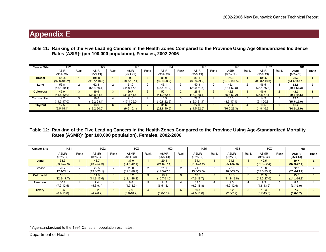| Table 11: Ranking of the Five Leading Cancers in the Health Zones Compared to the Province Using Age-Standardized Incidence |
|-----------------------------------------------------------------------------------------------------------------------------|
| Rates (ASIR)* (per 100,000 population), Females, 2002-2006                                                                  |

| <b>Cancer Site</b>  | HZ <sub>1</sub>           |      | HZ2                       |      | HZ <sub>3</sub>          |      | HZ4                     |      | HZ <sub>5</sub>         |      | HZ <sub>6</sub>          |      | HZ7                       |      | <b>NB</b>                |              |
|---------------------|---------------------------|------|---------------------------|------|--------------------------|------|-------------------------|------|-------------------------|------|--------------------------|------|---------------------------|------|--------------------------|--------------|
|                     | <b>ASIR</b><br>(95% CI)   | Rank | <b>ASIR</b><br>(95% CI)   | Rank | <b>ASIR</b><br>(95% CI)  | Rank | <b>ASIR</b><br>(95% CI) | Rank | <b>ASIR</b><br>(95% CI) | Rank | <b>ASIR</b><br>(95% CI)  | Rank | <b>ASIR</b><br>(95% CI)   | Rank | <b>ASIR</b><br>(95% CI)  | Rank         |
| <b>Breast</b>       | 100.5<br>$(92.8 - 108.2)$ |      | 101.9<br>$(93.7 - 110.0)$ |      | 99.0<br>$(90.7 - 107.4)$ |      | 83.0<br>$(69.9-96.2)$   |      | 83.1<br>$(66.3 - 99.9)$ |      | 96.3<br>$(85.0 - 107.5)$ |      | 103.6<br>$(88.0 - 119.3)$ |      | 98.3<br>$(94.4 - 102.1)$ |              |
| Lung                | 53.8<br>$(48.1 - 59.4)$   |      | 62.8<br>$(56.4 - 69.1)$   |      | 51.0<br>$(44.9 - 57.1)$  |      | 45.<br>$(35.4 - 54.9)$  | ◠    | 40.3<br>$(28.9 - 51.7)$ |      | 45.7<br>$(37.4 - 52.8)$  |      | 46.5<br>$(36.1 - 56.8)$   |      | 52.5<br>$(49.7 - 55.3)$  |              |
| <b>Colorectal</b>   | 46.9<br>$(41.8 - 52.0)$   |      | 39.6<br>$(34.8 - 44.4)$   |      | 36.7<br>$(31.8 - 41.5)$  |      | 52.7<br>$(41.9 - 62.3)$ |      | 28.4<br>$(18.7 - 38.1)$ |      | 42.8<br>$(35.3 - 50.2)$  | 3    | 46.9<br>$(36.8 - 57.1)$   |      | 42.0<br>$(39.6 - 44.5)$  | $\mathbf{r}$ |
| <b>Corpus Uteri</b> | 14.2<br>$(11.3 - 17.0)$   |      | 19.8<br>$(16.2 - 23.4)$   |      | 21.0<br>$(17.1 - 25.0)$  |      | 16.9<br>$(10.8 - 22.9)$ |      | 22.2<br>$(13.3 - 31.1)$ |      | 13.0<br>$(8.9 - 17.1)$   |      | 14.9<br>$(9.1 - 20.8)$    |      | 17.3<br>$(15.7 - 19.0)$  |              |
| <b>Thyroid</b>      | 12.5<br>$(9.5 - 15.4)$    |      | 16.9<br>$(13.2 - 20.6)$   | 6    | 12.8<br>$(9.6 - 16.1)$   |      | 31.6<br>$(22.8 - 40.5)$ |      | 22.0<br>$(11.5 - 32.5)$ |      | 22.4<br>$(16.5 - 28.3)$  |      | 10.5<br>$(4.8 - 16.3)$    |      | 16.2<br>$(14.5 - 17.9)$  |              |

#### **Table 12: Ranking of the Five Leading Cancers in the Health Zones Compared to the Province Using Age-Standardized Mortality Rates (ASMR)**\* **(per 100,000 population), Females, 2002-2006**

| <b>Cancer Site</b> | HZ <sub>1</sub>                    |      | HZ2                     |             | HZ3                         |      | HZ4                                |      | HZ <sub>5</sub>         |      | HZ <sub>6</sub>         |      | HZ7                               |      | <b>NB</b>               |      |
|--------------------|------------------------------------|------|-------------------------|-------------|-----------------------------|------|------------------------------------|------|-------------------------|------|-------------------------|------|-----------------------------------|------|-------------------------|------|
|                    | <b>ASMR</b><br>$(95\% \text{ Cl})$ | Rank | <b>ASMR</b><br>(95% CI) | Rank        | ASMR<br>$(95\% \text{ Cl})$ | Rank | <b>ASMR</b><br>$(95\% \text{ Cl})$ | Rank | <b>ASMR</b><br>(95% CI) | Rank | <b>ASMR</b><br>(95% CI) | Rank | <b>ASMR</b><br>$(95% \text{ Cl})$ | Rank | <b>ASMR</b><br>(95% CI) | Rank |
| Lung               | 38.3<br>$(33.7 - 42.9)$            |      | 48.7<br>$(43.2 - 54.3)$ |             | 37.0<br>$(31.8 - 42.1)$     |      | 29.4<br>$(21.6 - 37.1)$            |      | 31.1<br>$(21.1 - 41.2)$ |      | 31.5<br>$(25.1 - 37.8)$ |      | 42.5<br>$(32.5 - 52.4)$           |      | 39.7<br>$(37.3 - 42.1)$ |      |
| <b>Breast</b>      | 20.7<br>$(17.4 - 24.1)$            |      | 22.5<br>$(19.0 - 26.1)$ |             | 23.0<br>$(19.1 - 26.9)$     |      | 21.0<br>$(14.5 - 27.5)$            |      | 21.5<br>$(13.6 - 29.5)$ |      | 22.0<br>$(16.8 - 27.2)$ |      | 18.8<br>$(12.5 - 25.1)$           | ۰.   | 22.2<br>$(20.4 - 23.9)$ |      |
| <b>Colorectal</b>  | 15.0<br>$(12.3 - 17.7)$            |      | 14.8<br>$(11.9 - 17.6)$ | 3           | 15.2<br>$(12.1 - 18.2)$     |      | 16.1<br>$(10.7 - 21.5)$            |      | 13.5<br>$(7.3 - 19.7)$  |      | 15.5<br>$(11.1 - 19.8)$ |      | 20.3<br>$(13.6 - 27.0)$           |      | 15.5<br>$(14.1 - 16.9)$ | з    |
| <b>Pancreas</b>    | 10.2<br>$(7.9-12.5)$               |      | 7.4<br>$(5.3 - 9.4)$    |             | 6.8<br>$(4.7 - 8.9)$        |      | 11.3<br>$(6.5 - 16.1)$             |      | 12.5<br>$(6.2 - 18.8)$  |      | 9.3<br>$(5.9 - 12.6)$   |      | 9.3<br>$(4.8 - 13.9)$             |      | 8.8<br>$(7.7-9.9)$      |      |
| Ovary              | 8.6<br>$(6.4 - 10.8)$              |      | 6.2<br>$(4.2 - 8.2)$    | $5^{\circ}$ | 7.9<br>$(5.6 - 10.2)$       |      | 7.3<br>$(3.6 - 10.9)$              |      | 10.1<br>$(4.1 - 16.0)$  | h.   | 5.2<br>$(2.5 - 7.9)$    | b    | 10.3<br>$(5.7 - 15.0)$            |      | 7.7<br>$(6.6 - 8.7)$    |      |

<sup>\*</sup> Age-standardized to the 1991 Canadian population estimates.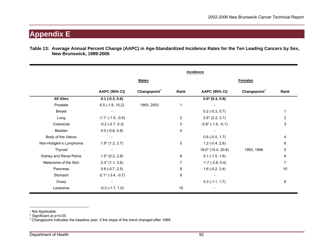#### **Table 13: Average Annual Percent Change (AAPC) in Age-Standardized Incidence Rates for the Ten Leading Cancers by Sex, New Brunswick, 1989-2006**

|                         | Incidence                 |                          |                |                           |                          |                |  |
|-------------------------|---------------------------|--------------------------|----------------|---------------------------|--------------------------|----------------|--|
|                         | <b>Males</b>              |                          |                | <b>Females</b>            |                          |                |  |
|                         | <b>AAPC (95% CI)</b>      | Changepoint <sup>†</sup> | Rank           | <b>AAPC (95% CI)</b>      | Changepoint <sup>†</sup> | Rank           |  |
| <b>All Sites</b>        | $0.1$ (-0.3, 0.6)         |                          |                | $0.6* (0.3, 0.9)$         |                          |                |  |
| Prostate                | $6.5$ (-1.6, 15.2)        | 1993, 2003               | 1              |                           |                          |                |  |
| <b>Breast</b>           |                           |                          |                | $0.2$ (-0.3, 0.7)         |                          |                |  |
| Lung                    | $-1.1$ * ( $-1.5, -0.8$ ) |                          | $\overline{2}$ | $2.6*(2.2, 3.1)$          |                          | $\overline{2}$ |  |
| Colorectal              | $-0.2$ $(-0.7, 0.3)$      |                          | 3              | $-0.8$ * ( $-1.5, -0.1$ ) |                          | 3              |  |
| Bladder                 | $0.0$ (-0.8, 0.8)         |                          | 4              |                           |                          |                |  |
| Body of the Uterus      |                           |                          |                | $0.6$ (-0.5, 1.7)         |                          | 4              |  |
| Non-Hodgkin's Lymphoma  | $1.9*(1.2, 2.7)$          |                          | 5              | $1.2(-0.4, 2.8)$          |                          | 6              |  |
| Thyroid                 |                           |                          |                | $18.0^*$ (15.4, 20.6)     | 1993, 1998               | 5              |  |
| Kidney and Renal Pelvis | $1.5*(0.2, 2.8)$          |                          | 6              | $0.1$ (-1.5, 1.6)         |                          | 9              |  |
| Melanoma of the Skin    | $2.3*(1.1, 3.6)$          |                          | 7              | $-1.7$ ( $-3.8, 0.4$ )    |                          | 7              |  |
| Pancreas                | $0.9$ (-0.7, 2.5)         |                          | 8              | $1.6(-0.2, 3.4)$          |                          | 10             |  |
| Stomach                 | $-2.1$ * ( $-3.4, -0.7$ ) |                          | 9              |                           |                          |                |  |
| Ovary                   |                           |                          |                | $0.3$ (-1.1, 1.7)         |                          | 8              |  |
| Leukemia                | $-0.3$ $(-1.7, 1.0)$      |                          | 10             |                           |                          |                |  |

- Not Applicable.

\* Significant at p=0.05.<br><sup>†</sup> Changepoint indicates the baseline year, if the slope of the trend changed after 1989.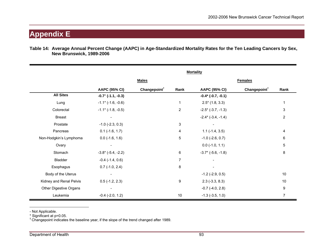| Table 14: Average Annual Percent Change (AAPC) in Age-Standardized Mortality Rates for the Ten Leading Cancers by Sex, |  |  |
|------------------------------------------------------------------------------------------------------------------------|--|--|
| <b>New Brunswick, 1989-2006</b>                                                                                        |  |  |

|                         | <b>Mortality</b>             |                          |                |                              |                          |                |  |
|-------------------------|------------------------------|--------------------------|----------------|------------------------------|--------------------------|----------------|--|
|                         | <b>Males</b>                 |                          |                | <b>Females</b>               |                          |                |  |
|                         | <b>AAPC (95% CI)</b>         | Changepoint <sup>†</sup> | Rank           | <b>AAPC (95% CI)</b>         | Changepoint <sup>†</sup> | Rank           |  |
| <b>All Sites</b>        | $-0.7$ * ( $-1.1, -0.3$ )    |                          |                | $-0.4*$ (-0.7, -0.1)         |                          |                |  |
| Lung                    | $-1.1$ * ( $-1.6, -0.6$ )    |                          | 1              | $2.5^*$ (1.8, 3.3)           |                          |                |  |
| Colorectal              | $-1.1$ * ( $-1.8, -0.5$ )    |                          | $\overline{2}$ | $-2.5$ * ( $-3.7, -1.3$ )    |                          | 3              |  |
| <b>Breast</b>           |                              |                          |                | $-2.4$ * ( $-3.4$ , $-1.4$ ) |                          | $\overline{2}$ |  |
| Prostate                | $-1.0$ ( $-2.3$ , 0.3)       |                          | 3              |                              |                          |                |  |
| Pancreas                | $0.1$ (-1.6, 1.7)            |                          | 4              | $1.1$ (-1.4, 3.5)            |                          | 4              |  |
| Non-Hodgkin's Lymphoma  | $0.0$ (-1.6, 1.6)            |                          | 5              | $-1.0$ ( $-2.6$ , 0.7)       |                          | 6              |  |
| Ovary                   |                              |                          |                | $0.0$ (-1.0, 1.1)            |                          | 5              |  |
| Stomach                 | $-3.8$ * ( $-5.4$ , $-2.2$ ) |                          | 6              | $-3.7$ * ( $-5.6, -1.8$ )    |                          | 8              |  |
| <b>Bladder</b>          | $-0.4$ $(-1.4, 0.6)$         |                          | $\overline{7}$ |                              |                          |                |  |
| Esophagus               | $0.7$ (-1.0, 2.4)            |                          | 8              |                              |                          |                |  |
| Body of the Uterus      |                              |                          |                | $-1.2$ ( $-2.9$ , 0.5)       |                          | 10             |  |
| Kidney and Renal Pelvis | $0.5$ (-1.2, 2.3)            |                          | 9              | $2.3$ (-3.3, 8.3)            |                          | 10             |  |
| Other Digestive Organs  |                              |                          |                | $-0.7$ $(-4.0, 2.8)$         |                          | 9              |  |
| Leukemia                | $-0.4$ $(-2.0, 1.2)$         |                          | 10             | $-1.3$ $(-3.5, 1.0)$         |                          | $\overline{7}$ |  |

- Not Applicable.

\* Significant at p=0.05.<br><sup>†</sup> Changepoint indicates the baseline year, if the slope of the trend changed after 1989.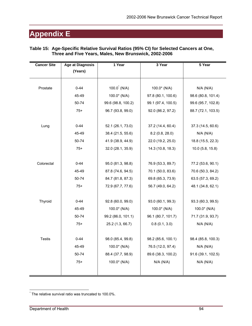#### **Table 15: Age-Specific Relative Survival Ratios (95% CI) for Selected Cancers at One, Three and Five Years, Males, New Brunswick, 2002-2006**

| <b>Cancer Site</b> | <b>Age at Diagnosis</b> | 1 Year                  | 3 Year             | 5 Year             |
|--------------------|-------------------------|-------------------------|--------------------|--------------------|
|                    | (Years)                 |                         |                    |                    |
|                    |                         |                         |                    |                    |
| Prostate           | $0 - 44$                | $100.0^{\degree}$ (N/A) | 100.0* (N/A)       | N/A (N/A)          |
|                    | 45-49                   | $100.0*$ (N/A)          | 97.8 (80.1, 100.6) | 98.6 (80.8, 101.4) |
|                    | 50-74                   | 99.6 (98.8, 100.2)      | 99.1 (97.4, 100.5) | 99.6 (95.7, 102.8) |
|                    | $75+$                   | 96.7 (93.8, 99.0)       | 92.0 (86.2, 97.2)  | 88.7 (72.1, 103.5) |
|                    |                         |                         |                    |                    |
| Lung               | $0 - 44$                | 52.1 (26.1, 73.0)       | 37.2 (14.4, 60.4)  | 37.3 (14.5, 60.6)  |
|                    | 45-49                   | 38.4 (21.5, 55.6)       | 8.2(0.8, 28.0)     | N/A (N/A)          |
|                    | 50-74                   | 41.9 (38.9, 44.9)       | 22.0 (19.2, 25.0)  | 18.8 (15.5, 22.3)  |
|                    | $75+$                   | 32.0 (28.1, 35.9)       | 14.3 (10.8, 18.3)  | $10.0$ (5.8, 15.8) |
|                    |                         |                         |                    |                    |
| Colorectal         | $0 - 44$                | 95.0 (81.3, 98.8)       | 76.9 (53.3, 89.7)  | 77.2 (53.6, 90.1)  |
|                    | 45-49                   | 87.8 (74.6, 94.5)       | 70.1 (50.0, 83.6)  | 70.6 (50.3, 84.2)  |
|                    | 50-74                   | 84.7 (81.8, 87.3)       | 69.8 (65.3, 73.9)  | 63.5 (57.3, 69.2)  |
|                    | $75+$                   | 72.9 (67.7, 77.6)       | 56.7 (49.0, 64.2)  | 48.1 (34.8, 62.1)  |
|                    |                         |                         |                    |                    |
| Thyroid            | $0 - 44$                | 92.8 (60.0, 99.0)       | 93.0 (60.1, 99.3)  | 93.3 (60.3, 99.5)  |
|                    | 45-49                   | 100.0* (N/A)            | 100.0* (N/A)       | 100.0* (N/A)       |
|                    | 50-74                   | 99.2 (86.0, 101.1)      | 96.1 (80.7, 101.7) | 71.7 (31.9, 93.7)  |
|                    | $75+$                   | 25.2 (1.3, 66.7)        | 0.8(0.1, 3.0)      | N/A (N/A)          |
|                    |                         |                         |                    |                    |
| <b>Testis</b>      | $0 - 44$                | 98.0 (85.4, 99.8)       | 98.2 (85.6, 100.1) | 98.4 (85.8, 100.3) |
|                    | 45-49                   | 100.0* (N/A)            | 76.5 (12.0, 97.4)  | N/A (N/A)          |
|                    | 50-74                   | 88.4 (37.7, 98.9)       | 89.6 (38.3, 100.2) | 91.6 (39.1, 102.5) |
|                    | $75+$                   | 100.0* (N/A)            | N/A (N/A)          | N/A (N/A)          |
|                    |                         |                         |                    |                    |
|                    |                         |                         |                    |                    |

 $\overline{a}$ The relative survival ratio was truncated to 100.0%.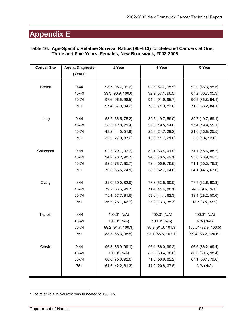| <b>Cancer Site</b> | <b>Age at Diagnosis</b> | 1 Year             | 3 Year             | 5 Year               |
|--------------------|-------------------------|--------------------|--------------------|----------------------|
|                    | (Years)                 |                    |                    |                      |
|                    |                         |                    |                    |                      |
| <b>Breast</b>      | $0 - 44$                | 98.7 (95.7, 99.6)  | 92.8 (87.7, 95.9)  | 92.0 (86.3, 95.5)    |
|                    | 45-49                   | 99.3 (96.9, 100.0) | 92.9 (87.1, 96.3)  | 87.2 (66.7, 95.9)    |
|                    | 50-74                   | 97.6 (96.5, 98.5)  | 94.0 (91.9, 95.7)  | 90.5 (85.8, 94.1)    |
|                    | $75+$                   | 97.4 (87.9, 94.2)  | 78.0 (71.9, 83.6)  | 71.6 (58.2, 84.1)    |
|                    |                         |                    |                    |                      |
| Lung               | $0 - 44$                | 58.5 (36.5, 75.2)  | 39.6 (19.7, 59.0)  | 39.7 (19.7, 59.1)    |
|                    | 45-49                   | 58.5 (42.6, 71.4)  | 37.3 (19.5, 54.8)  | 37.4 (19.9, 55.1)    |
|                    | 50-74                   | 48.2 (44.5, 51.8)  | 25.3 (21.7, 29.2)  | 21.0 (16.8, 25.5)    |
|                    | $75+$                   | 32.5 (27.9, 37.2)  | 16.0 (11.7, 21.0)  | 5.0(1.4, 12.6)       |
|                    |                         |                    |                    |                      |
| Colorectal         | $0 - 44$                | 92.8 (79.1, 97.7)  | 82.1 (63.4, 91.9)  | 74.4 (48.6, 88.7)    |
|                    | 45-49                   | 94.2 (78.2, 98.7)  | 94.6 (78.5, 99.1)  | 95.0 (78.9, 99.5)    |
|                    | 50-74                   | 82.5 (78.7, 85.7)  | 72.0 (66.9, 76.6)  | 71.1 (65.3, 76.3)    |
|                    | $75+$                   | 70.0 (65.5, 74.1)  | 58.8 (52.7, 64.6)  | 54.1 (44.6, 63.6)    |
|                    |                         |                    |                    |                      |
| Ovary              | $0 - 44$                | 82.0 (59.0, 82.9)  | 77.3 (53.5, 90.0)  | 77.5 (53.6, 90.3)    |
|                    | 45-49                   | 79.2 (53.6, 91.7)  | 71.4 (41.4, 88.1)  | 44.5 (9.6, 76.0)     |
|                    | 50-74                   | 75.4 (67.7, 81.6)  | 53.6 (44.1, 62.3)  | 39.4 (28.2, 50.6)    |
|                    | $75+$                   | 36.3 (26.1, 46.7)  | 23.2 (13.3, 35.3)  | 13.5 (3.5, 32.9)     |
|                    |                         |                    |                    |                      |
| Thyroid            | $0 - 44$                | $100.0*$ (N/A)     | 100.0* (N/A)       | $100.0*$ (N/A)       |
|                    | 45-49                   | 100.0* (N/A)       | $100.0*$ (N/A)     | N/A (N/A)            |
|                    | 50-74                   | 99.2 (94.7, 100.3) | 98.9 (91.0, 101.3) | 100.0* (92.9, 103.5) |
|                    | $75+$                   | 88.3 (66.3, 98.5)  | 93.1 (66.6, 107.1) | 99.4 (63.2, 120.6)   |
|                    |                         |                    |                    |                      |
| Cervix             | $0 - 44$                | 96.3 (85.9, 99.1)  | 96.4 (86.0, 99.2)  | 96.6 (86.2, 99.4)    |
|                    | 45-49                   | 100.0* (N/A)       | 85.9 (39.4, 98.0)  | 86.3 (39.6, 98.4)    |
|                    | 50-74                   | 86.0 (75.0, 92.6)  | 71.5 (56.9, 82.2)  | 67.1 (50.1, 79.6)    |
|                    | $75+$                   | 64.6 (42.2, 81.3)  | 44.0 (20.8, 67.8)  | N/A (N/A)            |
|                    |                         |                    |                    |                      |

#### **Table 16: Age-Specific Relative Survival Ratios (95% CI) for Selected Cancers at One, Three and Five Years, Females, New Brunswick, 2002-2006**

 $\overline{a}$ 

<sup>\*</sup> The relative survival ratio was truncated to 100.0%.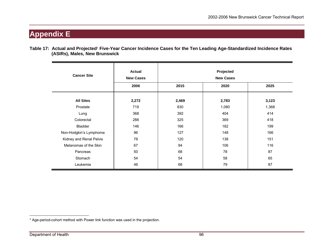**Table 17: Actual and Projected**\* **Five-Year Cancer Incidence Cases for the Ten Leading Age-Standardized Incidence Rates (ASIRs), Males, New Brunswick** 

| <b>Cancer Site</b>      | <b>Actual</b><br><b>New Cases</b> | Projected<br><b>New Cases</b> |       |       |  |  |  |
|-------------------------|-----------------------------------|-------------------------------|-------|-------|--|--|--|
|                         | 2006                              | 2015                          | 2020  | 2025  |  |  |  |
| <b>All Sites</b>        | 2,272                             | 2,469                         | 2,783 | 3,123 |  |  |  |
| Prostate                | 719                               | 830                           | 1,080 | 1,368 |  |  |  |
| Lung                    | 368                               | 392                           | 404   | 414   |  |  |  |
| Colorectal              | 288                               | 325                           | 369   | 418   |  |  |  |
| Bladder                 | 146                               | 166                           | 182   | 199   |  |  |  |
| Non-Hodgkin's Lymphoma  | 96                                | 127                           | 148   | 166   |  |  |  |
| Kidney and Renal Pelvis | 78                                | 120                           | 138   | 151   |  |  |  |
| Melanomas of the Skin   | 67                                | 94                            | 106   | 116   |  |  |  |
| Pancreas                | 50                                | 68                            | 78    | 87    |  |  |  |
| Stomach                 | 54                                | 54                            | 58    | 65    |  |  |  |
| Leukemia                | 46                                | 68                            | 79    | 87    |  |  |  |

<sup>\*</sup> Age-period-cohort method with Power link function was used in the projection.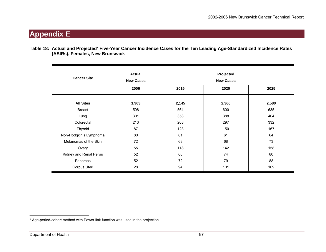**Table 18: Actual and Projected**\* **Five-Year Cancer Incidence Cases for the Ten Leading Age-Standardized Incidence Rates (ASIRs), Females, New Brunswick** 

| <b>Cancer Site</b>      | Actual<br><b>New Cases</b> | Projected<br><b>New Cases</b> |       |       |  |  |  |
|-------------------------|----------------------------|-------------------------------|-------|-------|--|--|--|
|                         | 2006                       | 2015                          | 2020  | 2025  |  |  |  |
| <b>All Sites</b>        | 1,903                      | 2,145                         | 2,360 | 2,580 |  |  |  |
| <b>Breast</b>           | 508                        | 564                           | 600   | 635   |  |  |  |
| Lung                    | 301                        | 353                           | 388   | 404   |  |  |  |
| Colorectal              | 213                        | 268                           | 297   | 332   |  |  |  |
| Thyroid                 | 87                         | 123                           | 150   | 167   |  |  |  |
| Non-Hodgkin's Lymphoma  | 80                         | 61                            | 61    | 64    |  |  |  |
| Melanomas of the Skin   | 72                         | 63                            | 68    | 73    |  |  |  |
| Ovary                   | 55                         | 118                           | 142   | 158   |  |  |  |
| Kidney and Renal Pelvis | 52                         | 66                            | 74    | 80    |  |  |  |
| Pancreas                | 52                         | 72                            | 79    | 88    |  |  |  |
| Corpus Uteri            | 28                         | 94                            | 101   | 109   |  |  |  |

<sup>\*</sup> Age-period-cohort method with Power link function was used in the projection.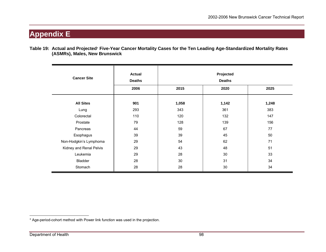**Table 19: Actual and Projected**\* **Five-Year Cancer Mortality Cases for the Ten Leading Age-Standardized Mortality Rates (ASMRs), Males, New Brunswick** 

| <b>Cancer Site</b>      | <b>Actual</b><br><b>Deaths</b> | Projected<br><b>Deaths</b> |       |       |  |  |  |
|-------------------------|--------------------------------|----------------------------|-------|-------|--|--|--|
|                         | 2006                           | 2015                       | 2020  | 2025  |  |  |  |
| <b>All Sites</b>        | 901                            | 1,058                      | 1,142 | 1,248 |  |  |  |
| Lung                    | 293                            | 343                        | 361   | 383   |  |  |  |
| Colorectal              | 110                            | 120                        | 132   | 147   |  |  |  |
| Prostate                | 79                             | 128                        | 139   | 156   |  |  |  |
| Pancreas                | 44                             | 59                         | 67    | 77    |  |  |  |
| Esophagus               | 39                             | 39                         | 45    | 50    |  |  |  |
| Non-Hodgkin's Lymphoma  | 29                             | 54                         | 62    | 71    |  |  |  |
| Kidney and Renal Pelvis | 29                             | 43                         | 48    | 51    |  |  |  |
| Leukemia                | 29                             | 28                         | 30    | 33    |  |  |  |
| Bladder                 | 28                             | 30                         | 31    | 34    |  |  |  |
| Stomach                 | 28                             | 28                         | 30    | 34    |  |  |  |

<sup>\*</sup> Age-period-cohort method with Power link function was used in the projection.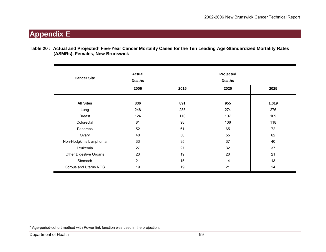**Table 20 : Actual and Projected**\* **Five-Year Cancer Mortality Cases for the Ten Leading Age-Standardized Mortality Rates (ASMRs), Females, New Brunswick** 

| <b>Cancer Site</b>     | <b>Actual</b><br><b>Deaths</b> | Projected<br><b>Deaths</b> |      |       |  |  |  |
|------------------------|--------------------------------|----------------------------|------|-------|--|--|--|
|                        | 2006                           | 2015                       | 2020 | 2025  |  |  |  |
| <b>All Sites</b>       | 836                            | 891                        | 955  | 1,019 |  |  |  |
| Lung                   | 248                            | 256                        | 274  | 276   |  |  |  |
| <b>Breast</b>          | 124                            | 110                        | 107  | 109   |  |  |  |
| Colorectal             | 81                             | 98                         | 106  | 118   |  |  |  |
| Pancreas               | 52                             | 61                         | 65   | 72    |  |  |  |
| Ovary                  | 40                             | 50                         | 55   | 62    |  |  |  |
| Non-Hodgkin's Lymphoma | 33                             | 35                         | 37   | 40    |  |  |  |
| Leukemia               | 27                             | 27                         | 32   | 37    |  |  |  |
| Other Digestive Organs | 23                             | 19                         | 20   | 21    |  |  |  |
| Stomach                | 21                             | 15                         | 14   | 13    |  |  |  |
| Corpus and Uterus NOS  | 19                             | 19                         | 21   | 24    |  |  |  |

<sup>\*</sup> Age-period-cohort method with Power link function was used in the projection.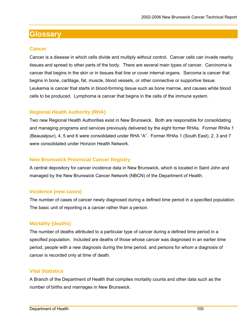#### **Cancer**

Cancer is a disease in which cells divide and multiply without control. Cancer cells can invade nearby tissues and spread to other parts of the body. There are several main types of cancer. Carcinoma is cancer that begins in the skin or in tissues that line or cover internal organs. Sarcoma is cancer that begins in bone, cartilage, fat, muscle, blood vessels, or other connective or supportive tissue. Leukemia is cancer that starts in blood-forming tissue such as bone marrow, and causes white blood cells to be produced. Lymphoma is cancer that begins in the cells of the immune system.

### **Regional Health Authority (RHA)**

Two new Regional Health Authorities exist in New Brunswick. Both are responsible for consolidating and managing programs and services previously delivered by the eight former RHAs. Former RHAs 1 (Beauséjour), 4, 5 and 6 were consolidated under RHA "A". Former RHAs 1 (South East), 2, 3 and 7 were consolidated under Horizon Health Network.

#### **New Brunswick Provincial Cancer Registry**

A central depository for cancer incidence data in New Brunswick, which is located in Saint John and managed by the New Brunswick Cancer Network (NBCN) of the Department of Health.

#### **Incidence (new cases)**

The number of cases of cancer newly diagnosed during a defined time period in a specified population. The basic unit of reporting is a cancer rather than a person.

#### **Mortality (deaths)**

The number of deaths attributed to a particular type of cancer during a defined time period in a specified population. Included are deaths of those whose cancer was diagnosed in an earlier time period, people with a new diagnosis during the time period, and persons for whom a diagnosis of cancer is recorded only at time of death.

#### **Vital Statistics**

A Branch of the Department of Health that compiles mortality counts and other data such as the number of births and marriages in New Brunswick.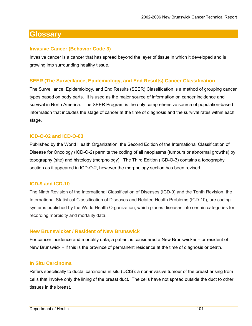#### **Invasive Cancer (Behavior Code 3)**

Invasive cancer is a cancer that has spread beyond the layer of tissue in which it developed and is growing into surrounding healthy tissue.

#### **SEER (The Surveillance, Epidemiology, and End Results) Cancer Classification**

The Surveillance, Epidemiology, and End Results (SEER) Classification is a method of grouping cancer types based on body parts. It is used as the major source of information on cancer incidence and survival in North America. The SEER Program is the only comprehensive source of population-based information that includes the stage of cancer at the time of diagnosis and the survival rates within each stage.

#### **ICD-O-02 and ICD-O-03**

Published by the World Health Organization, the Second Edition of the International Classification of Disease for Oncology (ICD-O-2) permits the coding of all neoplasms (tumours or abnormal growths) by topography (site) and histology (morphology). The Third Edition (ICD-O-3) contains a topography section as it appeared in ICD-O-2, however the morphology section has been revised.

#### **ICD-9 and ICD-10**

The Ninth Revision of the International Classification of Diseases (ICD-9) and the Tenth Revision, the International Statistical Classification of Diseases and Related Health Problems (ICD-10), are coding systems published by the World Health Organization, which places diseases into certain categories for recording morbidity and mortality data.

#### **New Brunswicker / Resident of New Brunswick**

For cancer incidence and mortality data, a patient is considered a New Brunswicker – or resident of New Brunswick – if this is the province of permanent residence at the time of diagnosis or death.

#### **In Situ Carcinoma**

Refers specifically to ductal carcinoma in situ (DCIS): a non-invasive tumour of the breast arising from cells that involve only the lining of the breast duct. The cells have not spread outside the duct to other tissues in the breast.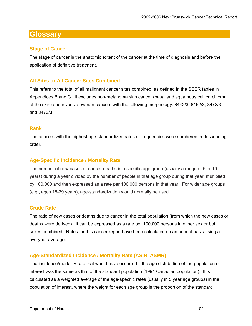#### **Stage of Cancer**

The stage of cancer is the anatomic extent of the cancer at the time of diagnosis and before the application of definitive treatment.

#### **All Sites or All Cancer Sites Combined**

This refers to the total of all malignant cancer sites combined, as defined in the SEER tables in Appendices B and C. It excludes non-melanoma skin cancer (basal and squamous cell carcinoma of the skin) and invasive ovarian cancers with the following morphology: 8442/3, 8462/3, 8472/3 and 8473/3.

#### **Rank**

The cancers with the highest age-standardized rates or frequencies were numbered in descending order.

#### **Age-Specific Incidence / Mortality Rate**

The number of new cases or cancer deaths in a specific age group (usually a range of 5 or 10 years) during a year divided by the number of people in that age group during that year, multiplied by 100,000 and then expressed as a rate per 100,000 persons in that year. For wider age groups (e.g., ages 15-29 years), age-standardization would normally be used.

#### **Crude Rate**

The ratio of new cases or deaths due to cancer in the total population (from which the new cases or deaths were derived). It can be expressed as a rate per 100,000 persons in either sex or both sexes combined. Rates for this cancer report have been calculated on an annual basis using a five-year average.

#### **Age-Standardized Incidence / Mortality Rate (ASIR, ASMR)**

The incidence/mortality rate that would have occurred if the age distribution of the population of interest was the same as that of the standard population (1991 Canadian population). It is calculated as a weighted average of the age-specific rates (usually in 5 year age groups) in the population of interest, where the weight for each age group is the proportion of the standard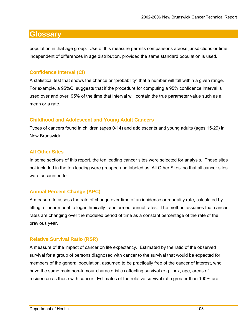population in that age group. Use of this measure permits comparisons across jurisdictions or time, independent of differences in age distribution, provided the same standard population is used.

### **Confidence Interval (CI)**

A statistical test that shows the chance or "probability" that a number will fall within a given range. For example, a 95%CI suggests that if the procedure for computing a 95% confidence interval is used over and over, 95% of the time that interval will contain the true parameter value such as a mean or a rate.

### **Childhood and Adolescent and Young Adult Cancers**

Types of cancers found in children (ages 0-14) and adolescents and young adults (ages 15-29) in New Brunswick.

### **All Other Sites**

In some sections of this report, the ten leading cancer sites were selected for analysis. Those sites not included in the ten leading were grouped and labeled as 'All Other Sites' so that all cancer sites were accounted for.

### **Annual Percent Change (APC)**

A measure to assess the rate of change over time of an incidence or mortality rate, calculated by fitting a linear model to logarithmically transformed annual rates. The method assumes that cancer rates are changing over the modeled period of time as a constant percentage of the rate of the previous year.

### **Relative Survival Ratio (RSR)**

A measure of the impact of cancer on life expectancy. Estimated by the ratio of the observed survival for a group of persons diagnosed with cancer to the survival that would be expected for members of the general population, assumed to be practically free of the cancer of interest, who have the same main non-tumour characteristics affecting survival (e.g., sex, age, areas of residence) as those with cancer. Estimates of the relative survival ratio greater than 100% are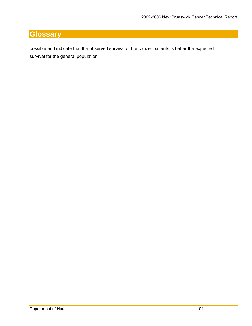possible and indicate that the observed survival of the cancer patients is better the expected survival for the general population.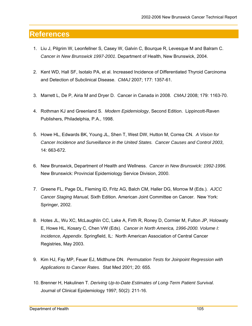### **References**

- 1. Liu J, Pilgrim W, Leonfellner S, Casey W, Galvin C, Bourque R, Levesque M and Balram C. *Cancer in New Brunswick 1997-2001*. Department of Health, New Brunswick, 2004.
- 2. Kent WD, Hall SF, Isotalo PA, et al. Increased Incidence of Differentiated Thyroid Carcinoma and Detection of Subclinical Disease. *CMAJ* 2007; 177: 1357-61.
- 3. Marrett L, De P, Airia M and Dryer D. Cancer in Canada in 2008. *CMAJ* 2008; 179: 1163-70.
- 4. Rothman KJ and Greenland S. *Modern Epidemiology*, Second Edition. Lippincott-Raven Publishers, Philadelphia, P.A., 1998.
- 5. Howe HL, Edwards BK, Young JL, Shen T, West DW, Hutton M, Correa CN. *A Vision for Cancer Incidence and Surveillance in the United States. Cancer Causes and Control 2003*, 14: 663-672.
- 6. New Brunswick, Department of Health and Wellness. *Cancer in New Brunswick: 1992-1996.* New Brunswick: Provincial Epidemiology Service Division, 2000.
- 7. Greene FL, Page DL, Fleming ID, Fritz AG, Balch CM, Haller DG, Morrow M (Eds.). *AJCC Cancer Staging Manual,* Sixth Edition. American Joint Committee on Cancer. New York: Springer, 2002.
- 8. Hotes JL, Wu XC, McLaughlin CC, Lake A, Firth R, Roney D, Cormier M, Fulton JP, Holowaty E, Howe HL, Kosary C, Chen VW (Eds). *Cancer in North America, 1996-2000. Volume I: Incidence, Appendix*. Springfield, IL: North American Association of Central Cancer Registries, May 2003.
- 9. Kim HJ, Fay MP, Feuer EJ, Midthune DN. *Permutation Tests for Joinpoint Regression with Applications to Cancer Rates.* Stat Med 2001; 20: 655.
- 10. Brenner H, Hakulinen T. *Deriving Up-to-Date Estimates of Long-Term Patient Survival*. Journal of Clinical Epidemiology 1997; 50(2): 211-16.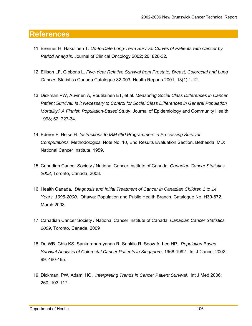### **References**

- 11. Brenner H, Hakulinen T. *Up-to-Date Long-Term Survival Curves of Patients with Cancer by Period Analysis*. Journal of Clinical Oncology 2002; 20: 826-32.
- 12. Ellison LF, Gibbons L. *Five-Year Relative Survival from Prostate, Breast, Colorectal and Lung Cancer.* Statistics Canada Catalogue 82-003, Health Reports 2001; 13(1):1-12.
- 13. Dickman PW, Auvinen A, Voutilainen ET, et al. *Measuring Social Class Differences in Cancer Patient Survival: Is it Necessary to Control for Social Class Differences in General Population Mortality? A Finnish Population-Based Study*. Journal of Epidemiology and Community Health 1998; 52: 727-34.
- 14. Ederer F, Heise H. *Instructions to IBM 650 Programmers in Processing Survival Computations.* Methodological Note No. 10, End Results Evaluation Section. Bethesda, MD: National Cancer Institute, 1959.
- 15. Canadian Cancer Society / National Cancer Institute of Canada: *Canadian Cancer Statistics 2008*, Toronto, Canada, 2008.
- 16. Health Canada. *Diagnosis and Initial Treatment of Cancer in Canadian Children 1 to 14 Years, 1995-2000*. Ottawa: Population and Public Health Branch, Catalogue No. H39-672, March 2003.
- 17. Canadian Cancer Society / National Cancer Institute of Canada: *Canadian Cancer Statistics 2009*, Toronto, Canada, 2009
- 18. Du WB, Chia KS, Sankaranarayanan R, Sankila R, Seow A, Lee HP. *Population Based Survival Analysis of Colorectal Cancer Patients in Singapore,* 1968-1992. Int J Cancer 2002; 99: 460-465.
- 19. Dickman, PW, Adami HO. *Interpreting Trends in Cancer Patient Survival.* Int J Med 2006; 260: 103-117.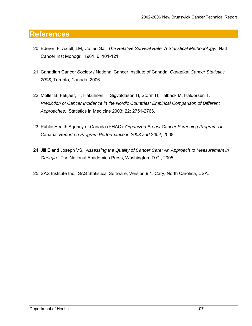### **References**

- 20. Ederer, F, Axtell, LM, Cutler, SJ. *The Relative Survival Rate: A Statistical Methodology.* Natl Cancer Inst Monogr. 1961; 6: 101-121.
- 21. Canadian Cancer Society / National Cancer Institute of Canada: *Canadian Cancer Statistics 2006*, Toronto, Canada, 2006.
- 22. Moller B, Fekjaer, H, Hakulinen T, Sigvaldason H, Storm H, Talbäck M, Haldorsen T. *Prediction of Cancer Incidence in the Nordic Countries: Empirical Comparison of Different Approaches*. Statistics in Medicine 2003; 22: 2751-2766.
- 23. Public Health Agency of Canada (PHAC): *Organized Breast Cancer Screening Programs in Canada: Report on Program Performance in 2003 and 2004*, 2008.
- 24. Jill E and Joseph VS. *Assessing the Quality of Cancer Care: An Approach to Measurement in Georgia.* The National Academies Press, Washington, D.C., 2005.
- 25. SAS Institute Inc., SAS Statistical Software, Version 9.1. Cary, North Carolina, USA.